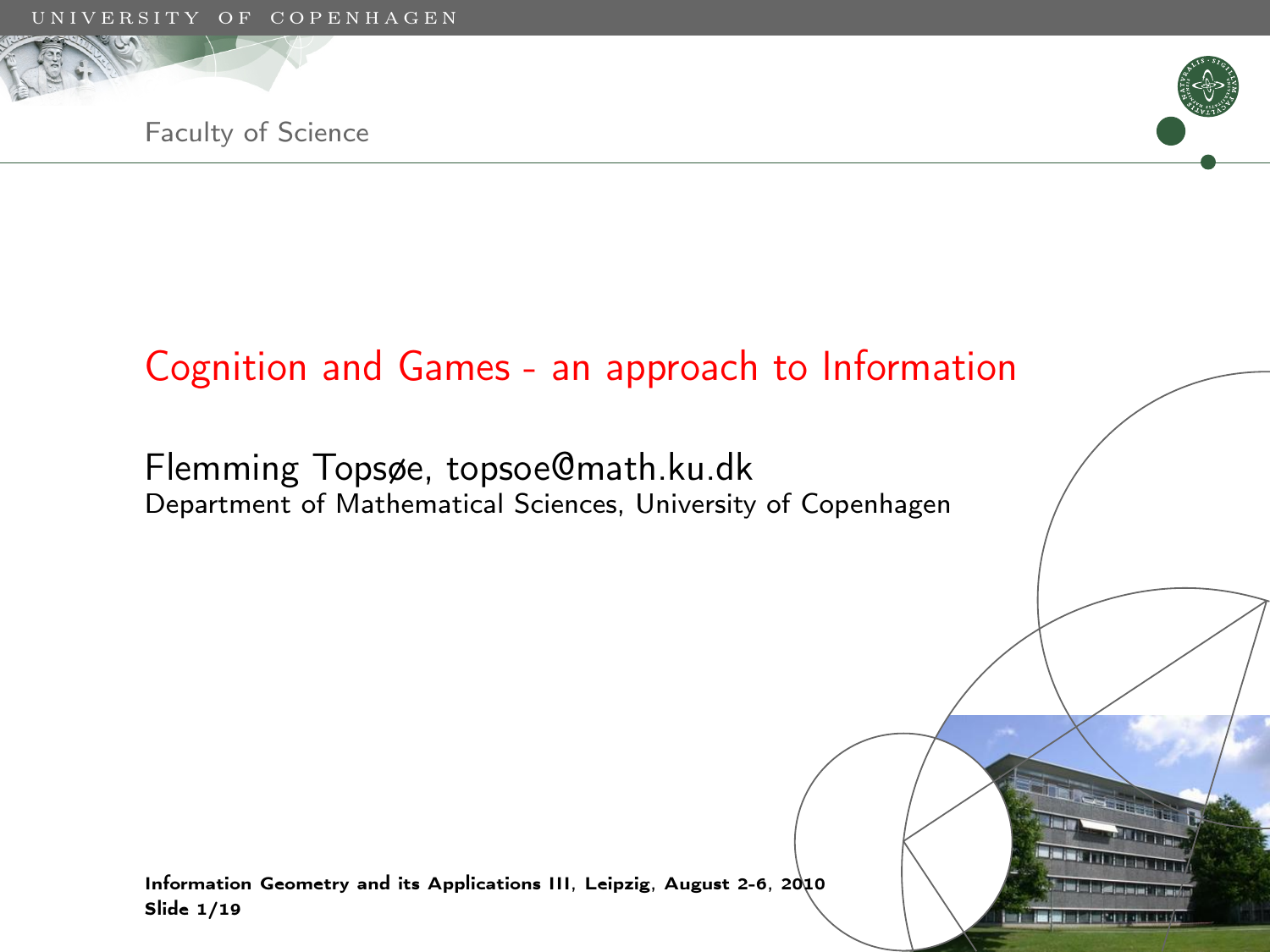



Faculty of Science

#### Cognition and Games - an approach to Information

Flemming Topsøe, topsoe@math.ku.dk Department of Mathematical Sciences, University of Copenhagen

Information Geometry and its Applications III, Leipzig, August 2-6, 2010 Slide 1/19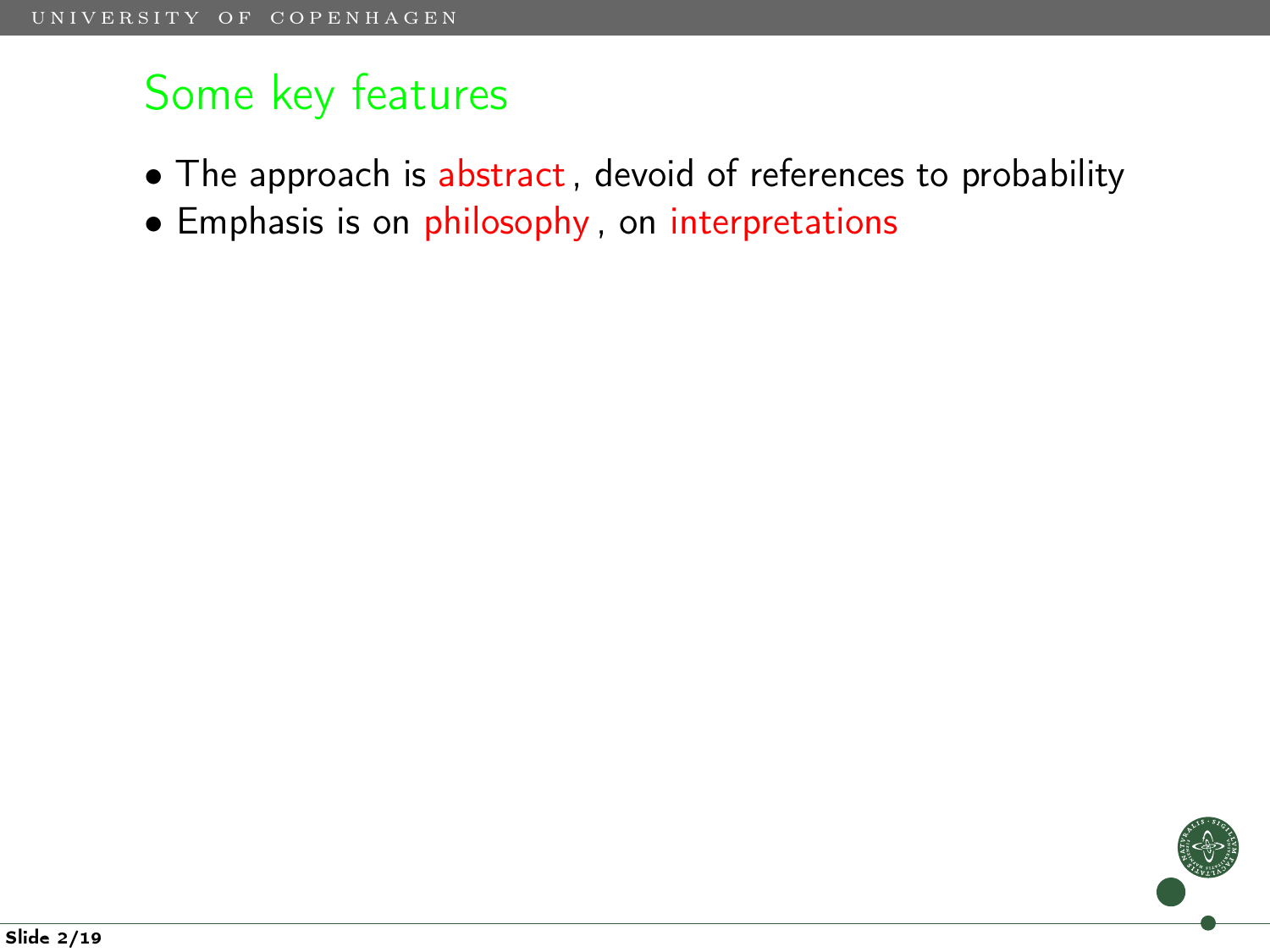- The approach is abstract, devoid of references to probability
- Emphasis is on philosophy, on interpretations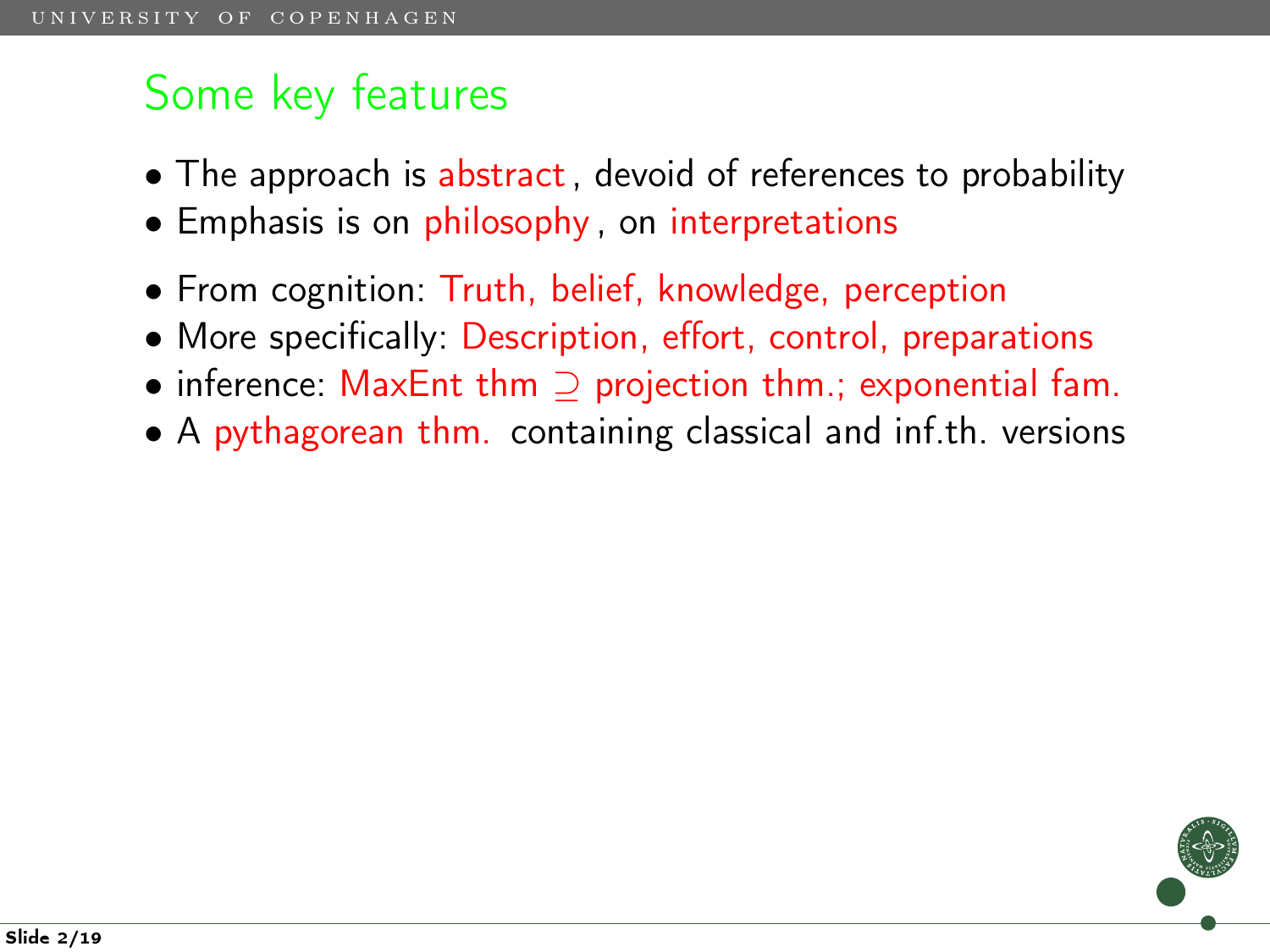- The approach is abstract, devoid of references to probability
- Emphasis is on philosophy, on interpretations
- From cognition: Truth, belief, knowledge, perception
- More specifically: Description, effort, control, preparations
- inference: MaxEnt thm ⊇ projection thm.; exponential fam.
- A pythagorean thm. containing classical and inf.th. versions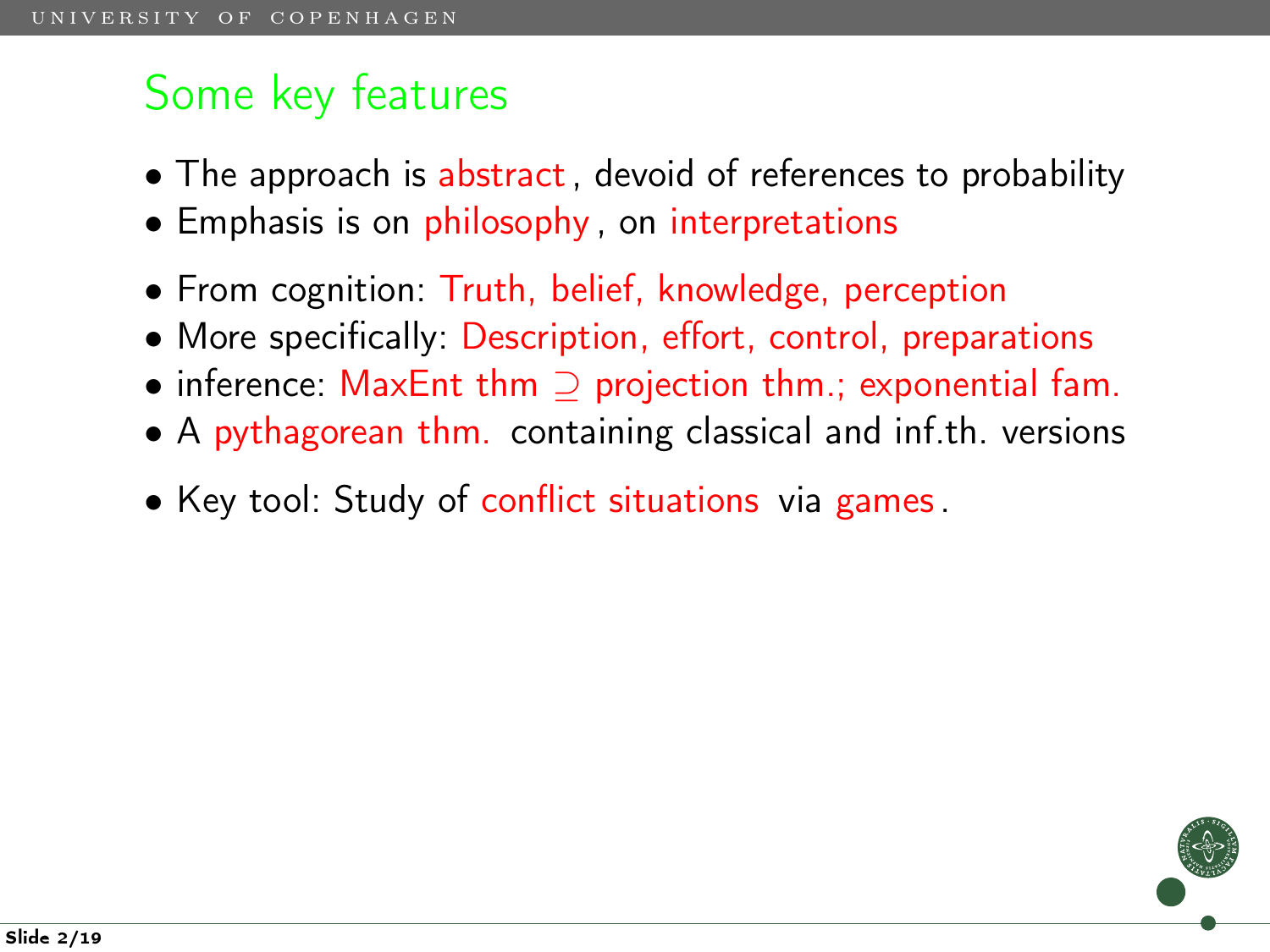- The approach is abstract, devoid of references to probability
- Emphasis is on philosophy, on interpretations
- From cognition: Truth, belief, knowledge, perception
- More specifically: Description, effort, control, preparations
- inference: MaxEnt thm ⊇ projection thm.; exponential fam.
- A pythagorean thm. containing classical and inf.th. versions
- Key tool: Study of conflict situations via games.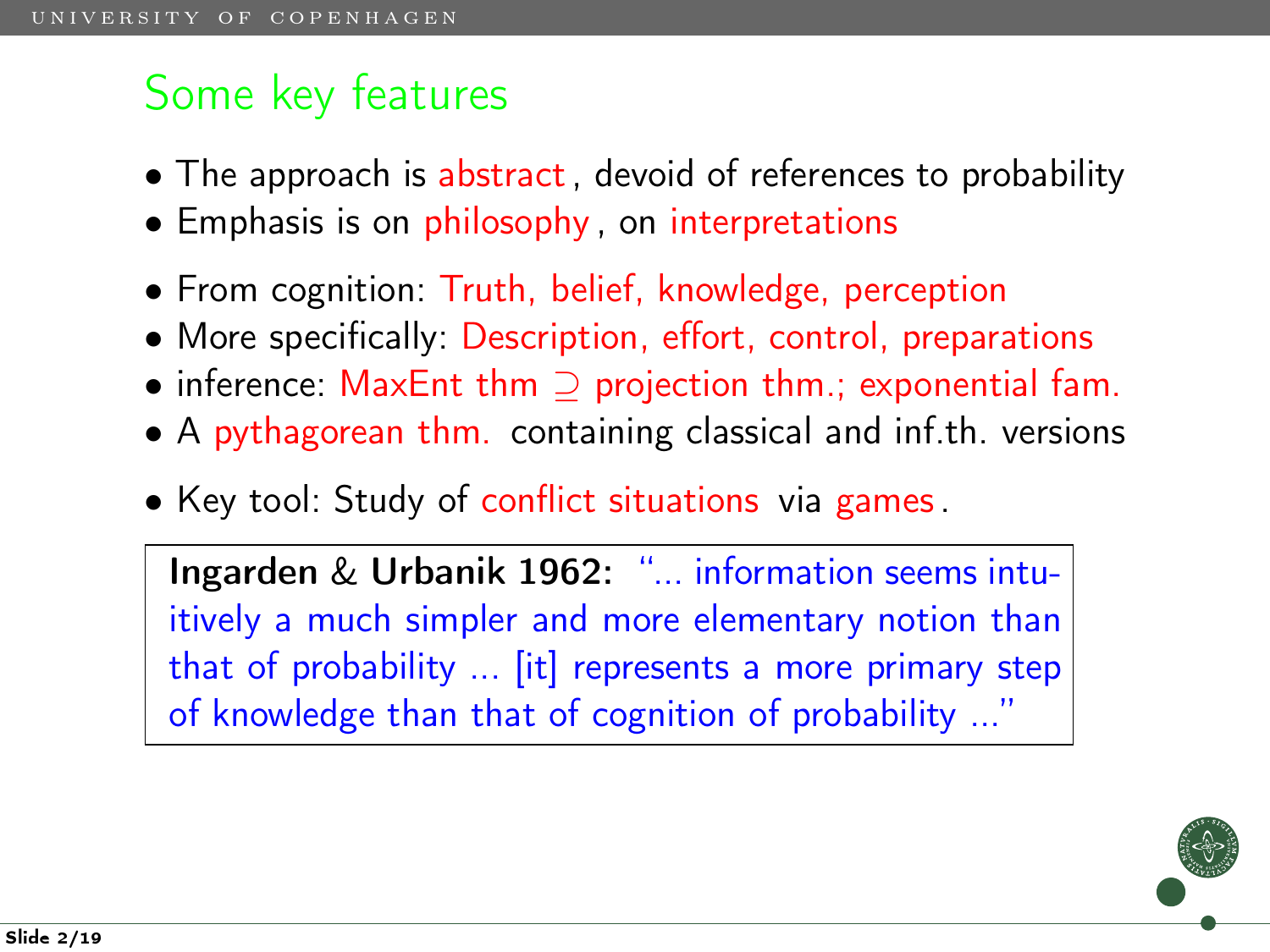- The approach is abstract, devoid of references to probability
- Emphasis is on philosophy, on interpretations
- From cognition: Truth, belief, knowledge, perception
- More specifically: Description, effort, control, preparations
- inference: MaxEnt thm ⊇ projection thm.; exponential fam.
- A pythagorean thm. containing classical and inf.th. versions
- Key tool: Study of conflict situations via games.

Ingarden & Urbanik 1962: "... information seems intuitively a much simpler and more elementary notion than that of probability ... [it] represents a more primary step of knowledge than that of cognition of probability ..."

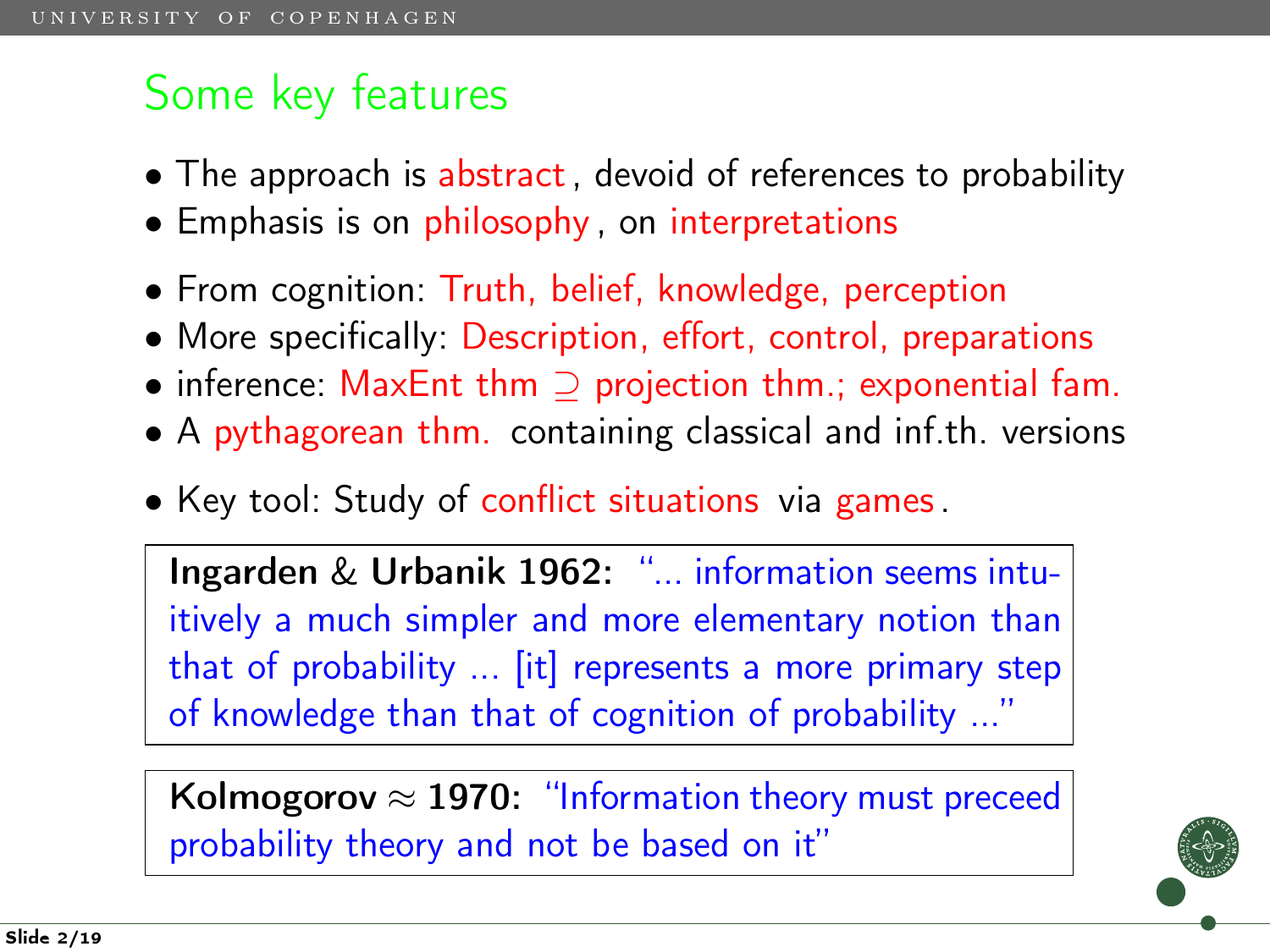- The approach is abstract, devoid of references to probability
- Emphasis is on philosophy, on interpretations
- From cognition: Truth, belief, knowledge, perception
- More specifically: Description, effort, control, preparations
- inference: MaxEnt thm ⊇ projection thm.; exponential fam.
- A pythagorean thm. containing classical and inf.th. versions
- Key tool: Study of conflict situations via games.

Ingarden & Urbanik 1962: "... information seems intuitively a much simpler and more elementary notion than that of probability ... [it] represents a more primary step of knowledge than that of cognition of probability ...'

Kolmogorov  $\approx$  1970: "Information theory must preceed probability theory and not be based on it"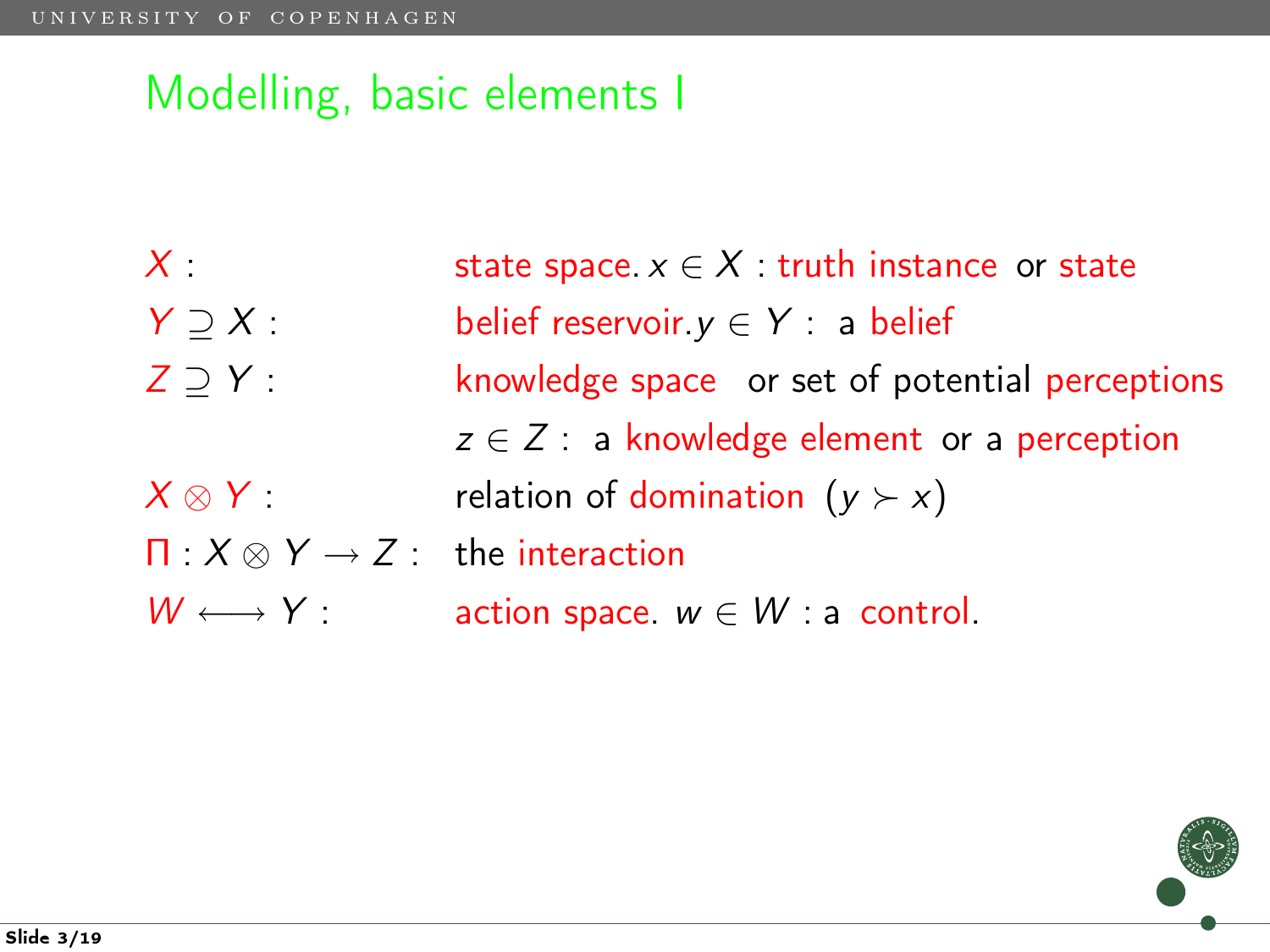$X$  : state space.  $x \in X$  : truth instance or state  $Y \supseteq X$  : belief reservoir.  $y \in Y$  : a belief  $Z \supseteq Y$  : knowledge space or set of potential perceptions  $z \in \mathbb{Z}$  : a knowledge element or a perception  $X \otimes Y$  : relation of domination  $(y \succ x)$  $\Pi: X \otimes Y \rightarrow Z$ : the interaction  $W \longleftrightarrow Y$ : action space.  $w \in W$ : a control.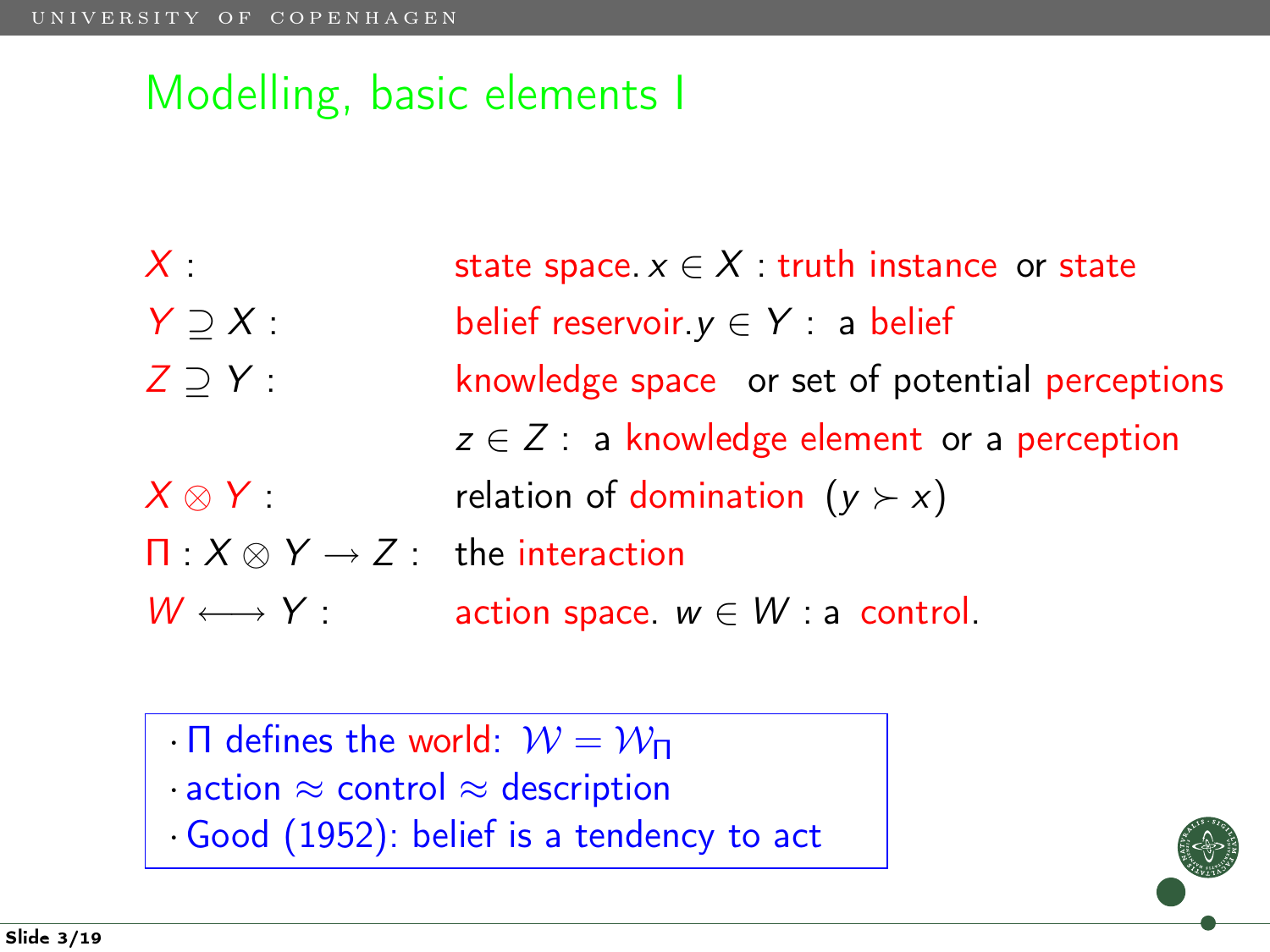- $X$  : state space.  $x \in X$  : truth instance or state
- $Y \supseteq X$  : belief reservoir.  $y \in Y$  : a belief
- $Z \supseteq Y$  : knowledge space or set of potential perceptions
- $z \in \mathbb{Z}$  : a knowledge element or a perception  $X \otimes Y$  : relation of domination  $(y \succ x)$
- $\Pi: X \otimes Y \rightarrow Z$ : the interaction
- $W \longleftrightarrow Y$ : action space.  $w \in W$ : a control.
	- · Π defines the world:  $W = W_{\Pi}$
	- · action ≈ control ≈ description
	- ·Good (1952): belief is a tendency to act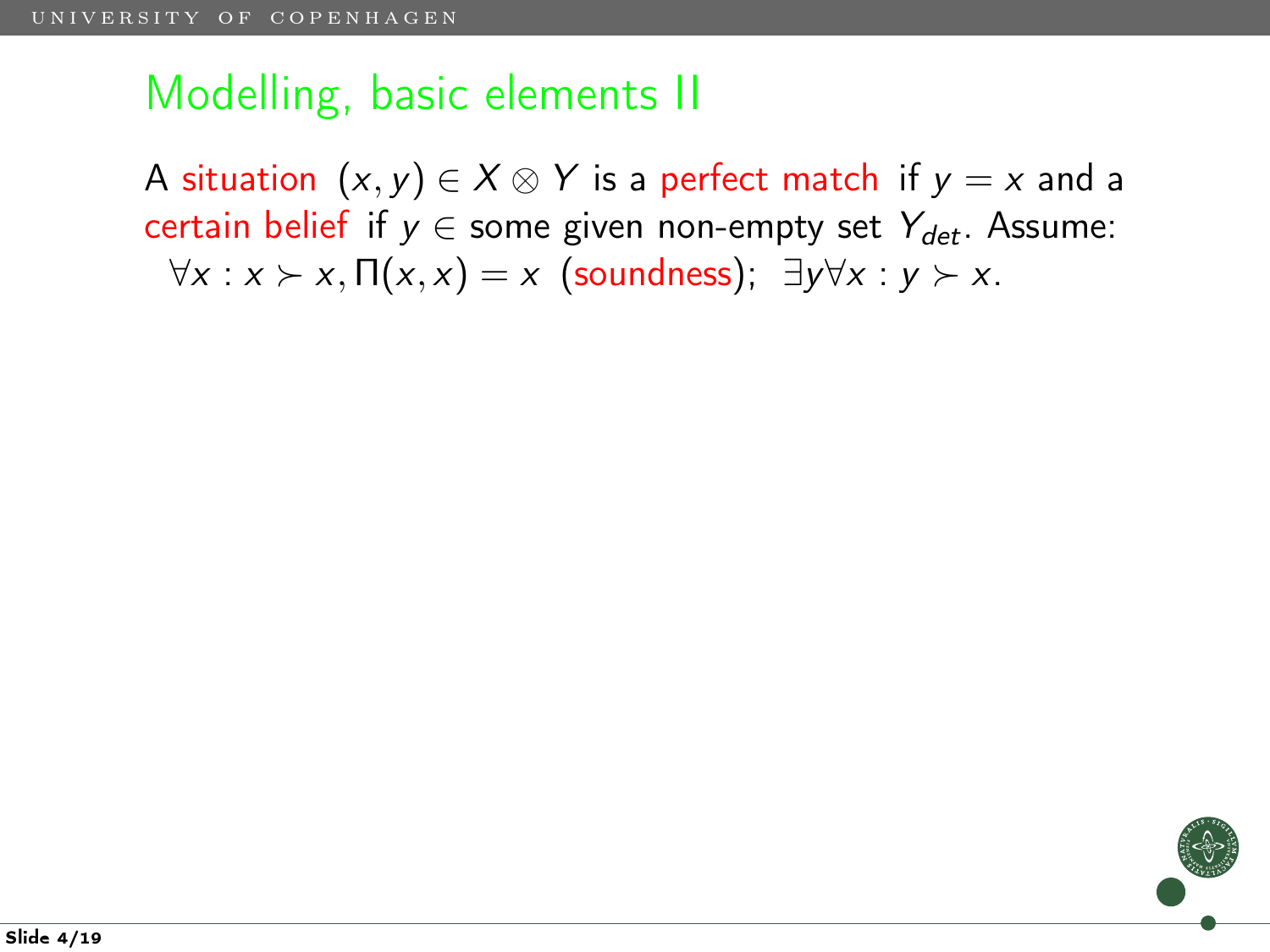A situation  $(x, y) \in X \otimes Y$  is a perfect match if  $y = x$  and a certain belief if  $y \in$  some given non-empty set  $Y_{\text{det}}$ . Assume:  $\forall x : x \succ x, \Pi(x, x) = x$  (soundness);  $\exists y \forall x : y \succ x$ .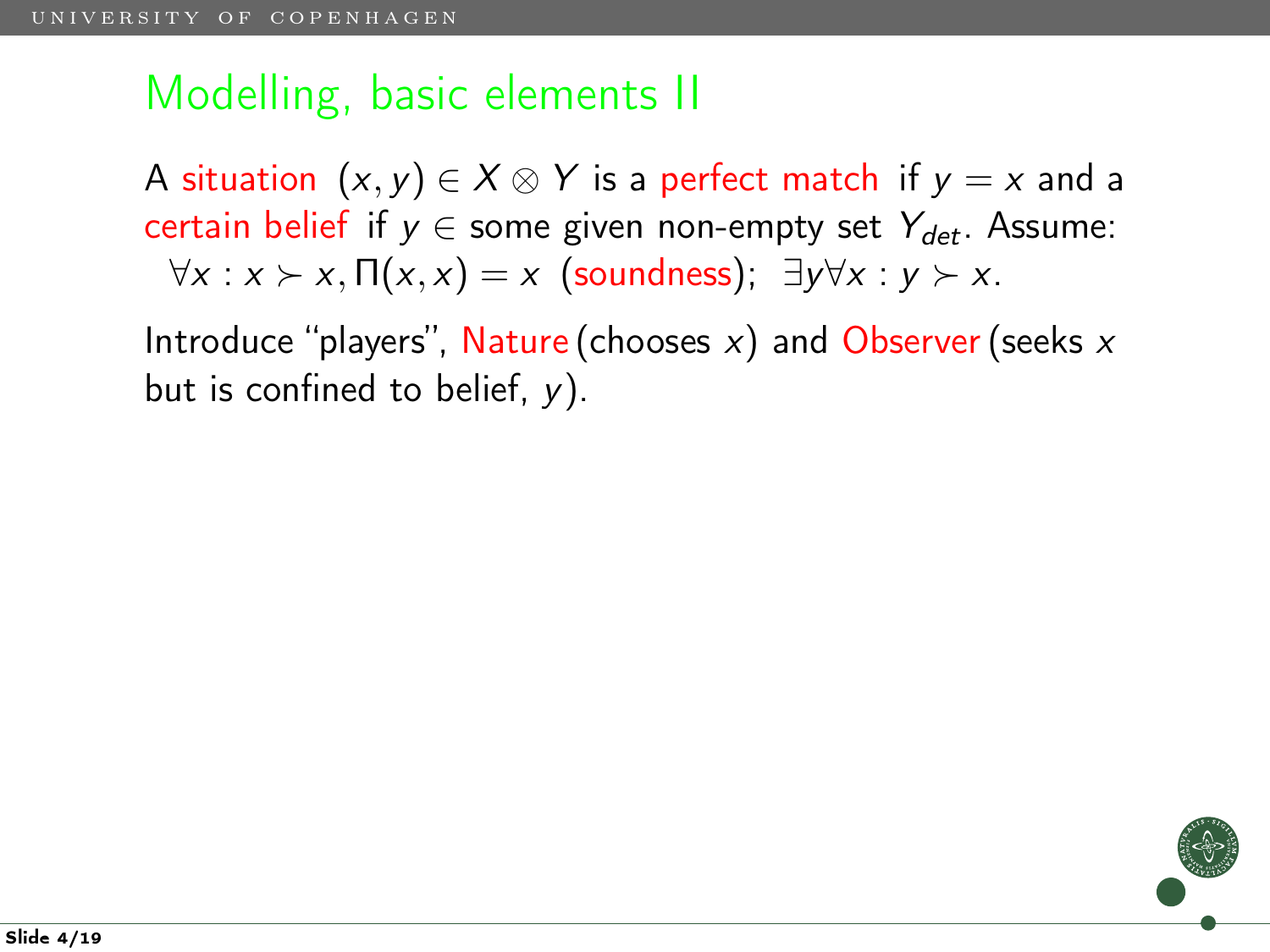A situation  $(x, y) \in X \otimes Y$  is a perfect match if  $y = x$  and a certain belief if  $y \in$  some given non-empty set  $Y_{det}$ . Assume:  $\forall x : x \succ x, \Pi(x, x) = x$  (soundness);  $\exists y \forall x : y \succ x$ .

Introduce "players", Nature (chooses  $x$ ) and Observer (seeks  $x$ but is confined to belief,  $y$ ).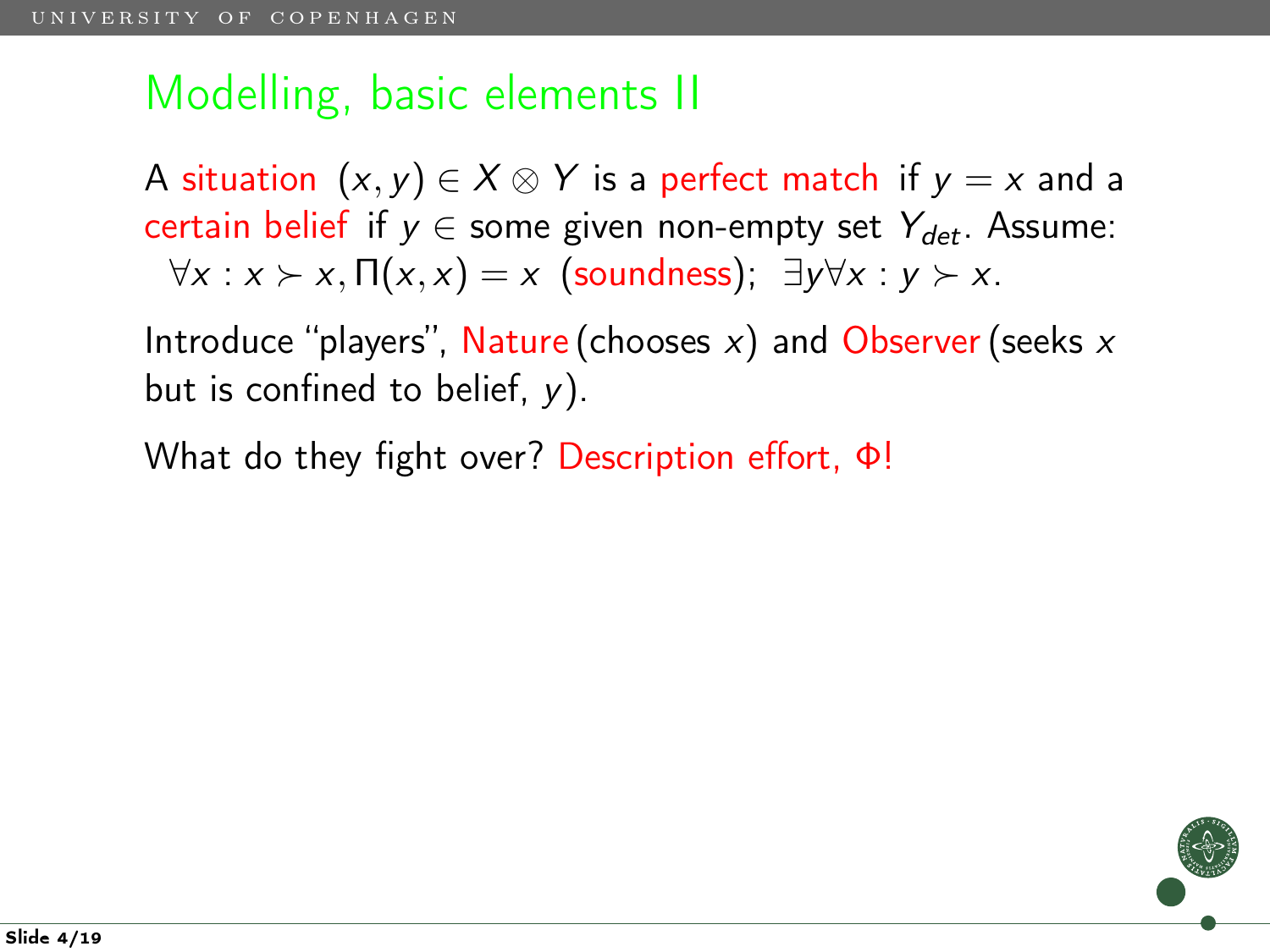A situation  $(x, y) \in X \otimes Y$  is a perfect match if  $y = x$  and a certain belief if  $y \in$  some given non-empty set  $Y_{det}$ . Assume:  $\forall x : x \succ x, \Pi(x, x) = x$  (soundness);  $\exists y \forall x : y \succ x$ .

Introduce "players", Nature (chooses  $x$ ) and Observer (seeks  $x$ but is confined to belief,  $y$ ).

What do they fight over? Description effort, Φ!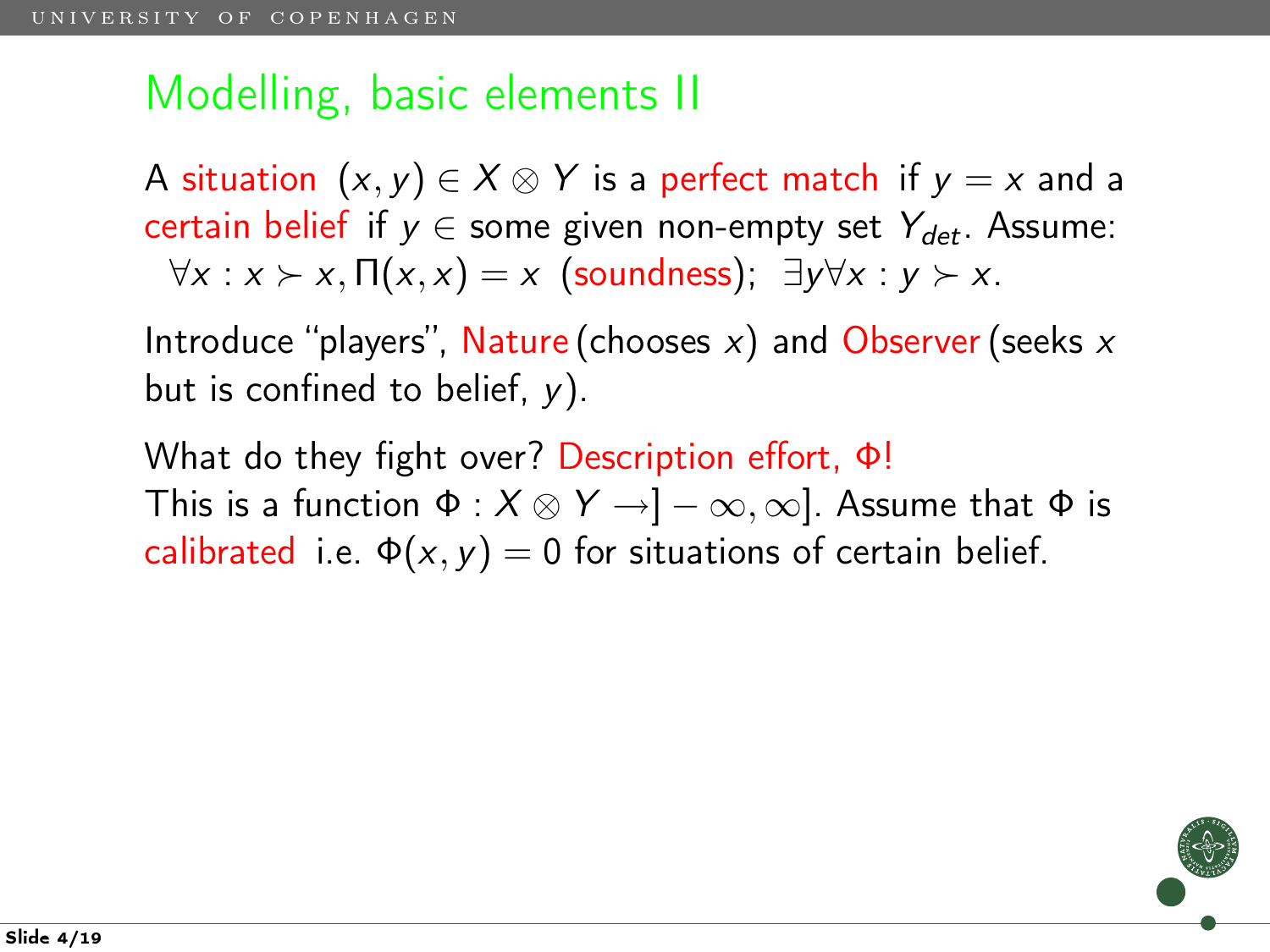A situation  $(x, y) \in X \otimes Y$  is a perfect match if  $y = x$  and a certain belief if  $y \in$  some given non-empty set  $Y_{det}$ . Assume:  $\forall x : x \succ x, \Pi(x, x) = x$  (soundness);  $\exists y \forall x : y \succ x$ .

Introduce "players", Nature (chooses  $x$ ) and Observer (seeks  $x$ but is confined to belief,  $y$ ).

What do they fight over? Description effort, Φ! This is a function  $\Phi : X \otimes Y \to ]-\infty, \infty]$ . Assume that  $\Phi$  is calibrated i.e.  $\Phi(x, y) = 0$  for situations of certain belief.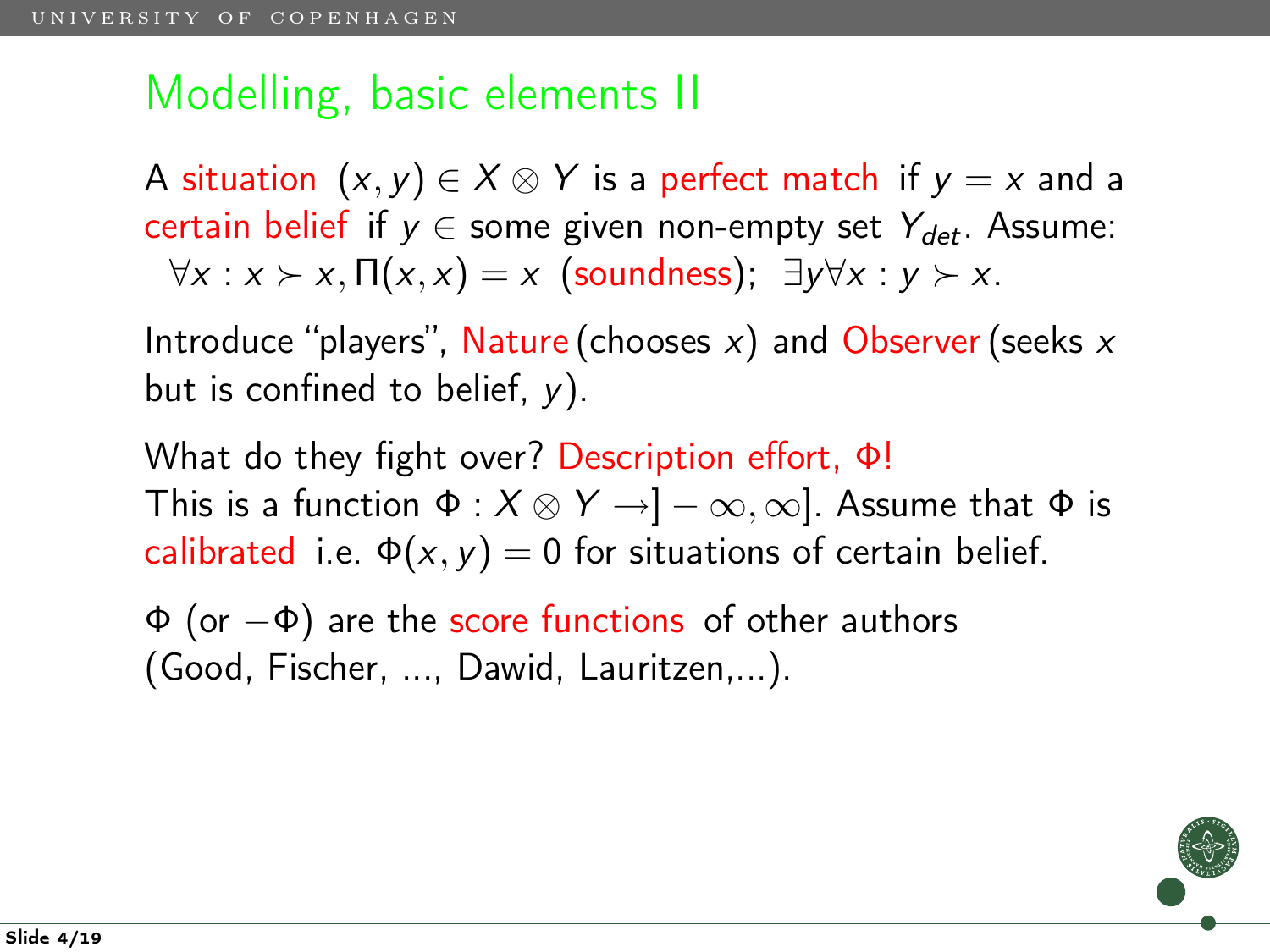A situation  $(x, y) \in X \otimes Y$  is a perfect match if  $y = x$  and a certain belief if  $y \in$  some given non-empty set  $Y_{det}$ . Assume:  $\forall x : x \succ x, \Pi(x, x) = x$  (soundness);  $\exists y \forall x : y \succ x$ .

Introduce "players", Nature (chooses  $x$ ) and Observer (seeks  $x$ but is confined to belief,  $y$ ).

What do they fight over? Description effort, Φ! This is a function  $\Phi : X \otimes Y \to ]-\infty, \infty]$ . Assume that  $\Phi$  is calibrated i.e.  $\Phi(x, y) = 0$  for situations of certain belief.

 $\Phi$  (or  $-\Phi$ ) are the score functions of other authors (Good, Fischer, ..., Dawid, Lauritzen,...).

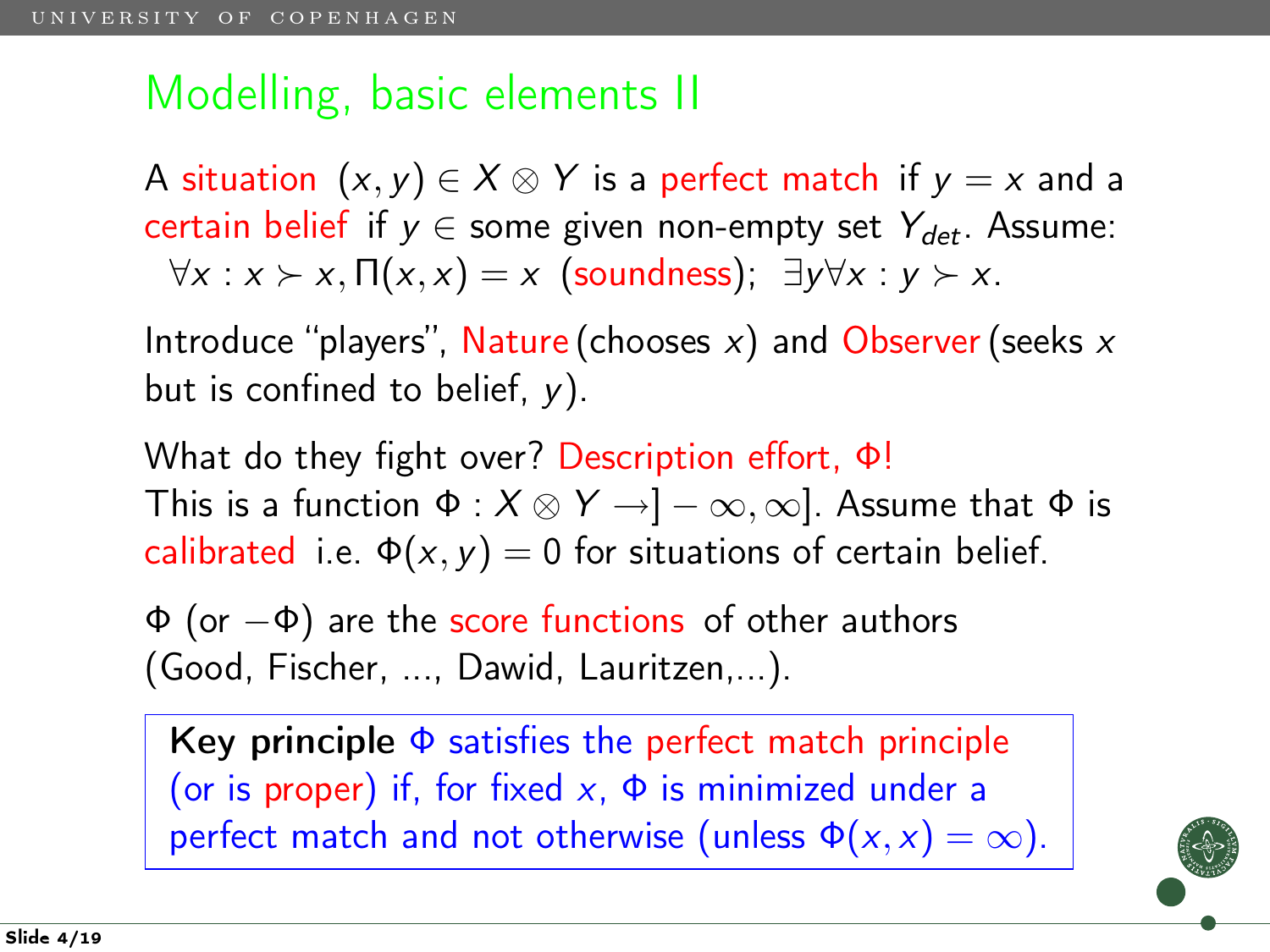A situation  $(x, y) \in X \otimes Y$  is a perfect match if  $y = x$  and a certain belief if  $y \in$  some given non-empty set  $Y_{\text{det}}$ . Assume:  $\forall x : x \succ x, \Pi(x, x) = x$  (soundness);  $\exists y \forall x : y \succ x$ .

Introduce "players", Nature (chooses  $x$ ) and Observer (seeks  $x$ but is confined to belief,  $y$ ).

What do they fight over? Description effort, Φ! This is a function  $\Phi : X \otimes Y \to ]-\infty, \infty]$ . Assume that  $\Phi$  is calibrated i.e.  $\Phi(x, y) = 0$  for situations of certain belief.

 $\Phi$  (or  $-\Phi$ ) are the score functions of other authors (Good, Fischer, ..., Dawid, Lauritzen,...).

Key principle  $\Phi$  satisfies the perfect match principle (or is proper) if, for fixed  $x$ ,  $\Phi$  is minimized under a perfect match and not otherwise (unless  $\Phi(x, x) = \infty$ ).

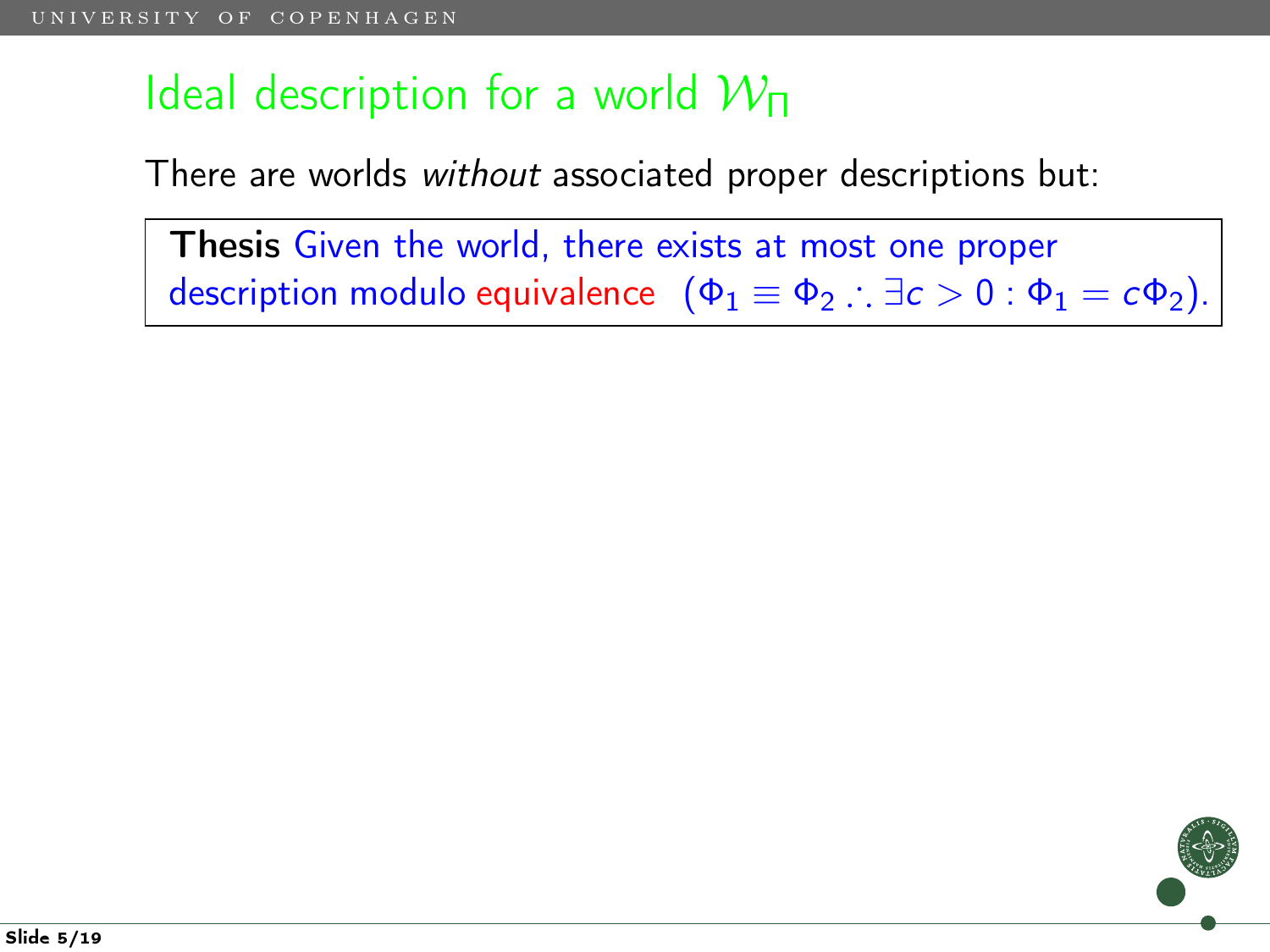## Ideal description for a world  $W_{\Pi}$

There are worlds without associated proper descriptions but:

Thesis Given the world, there exists at most one proper description modulo equivalence  $(\Phi_1 \equiv \Phi_2 : \exists c > 0 : \Phi_1 = c\Phi_2)$ .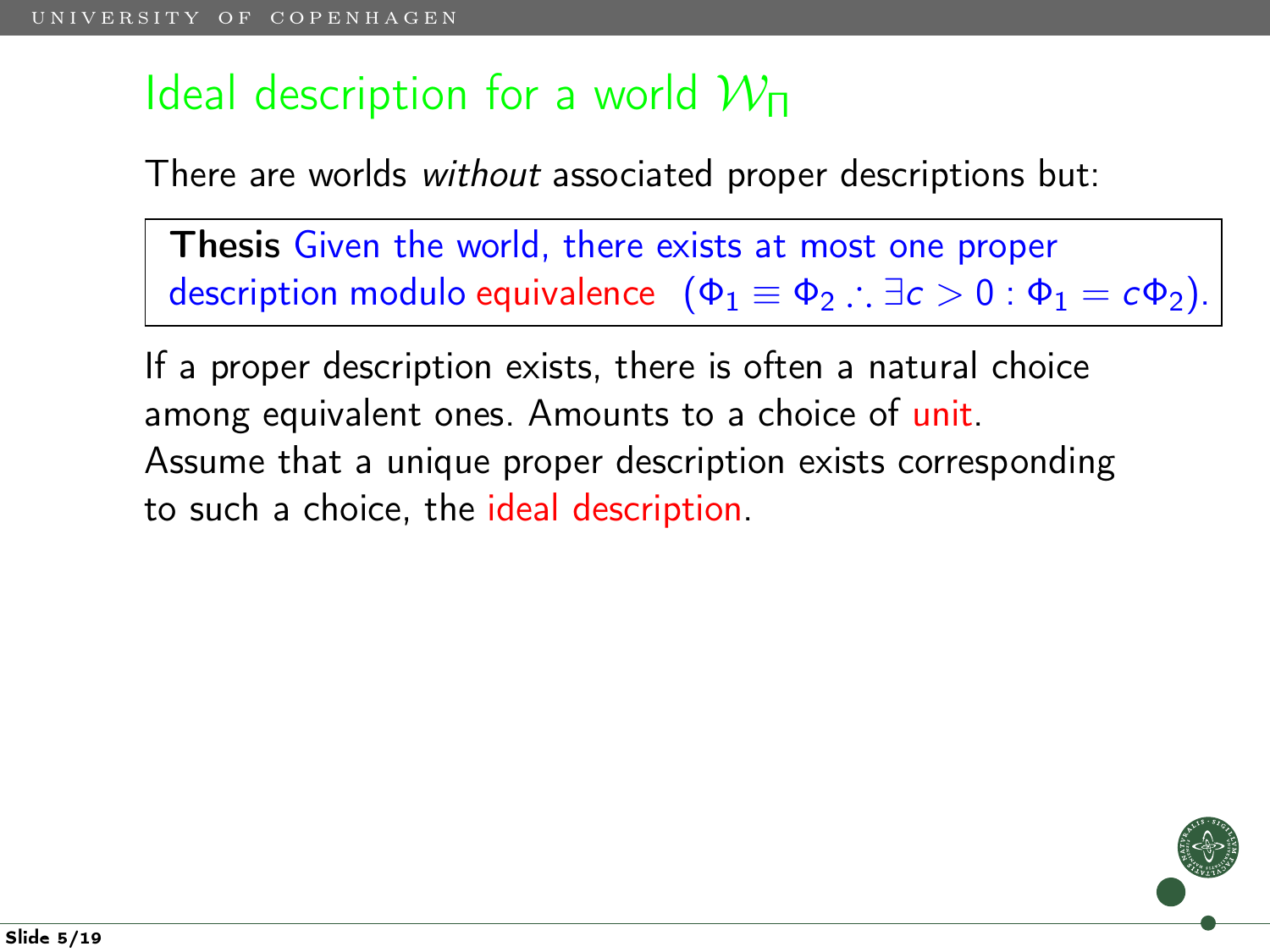# Ideal description for a world  $W_{\Pi}$

There are worlds without associated proper descriptions but:

Thesis Given the world, there exists at most one proper description modulo equivalence  $(\Phi_1 \equiv \Phi_2 \therefore \exists c > 0 : \Phi_1 = c\Phi_2)$ .

If a proper description exists, there is often a natural choice among equivalent ones. Amounts to a choice of unit. Assume that a unique proper description exists corresponding to such a choice, the ideal description.

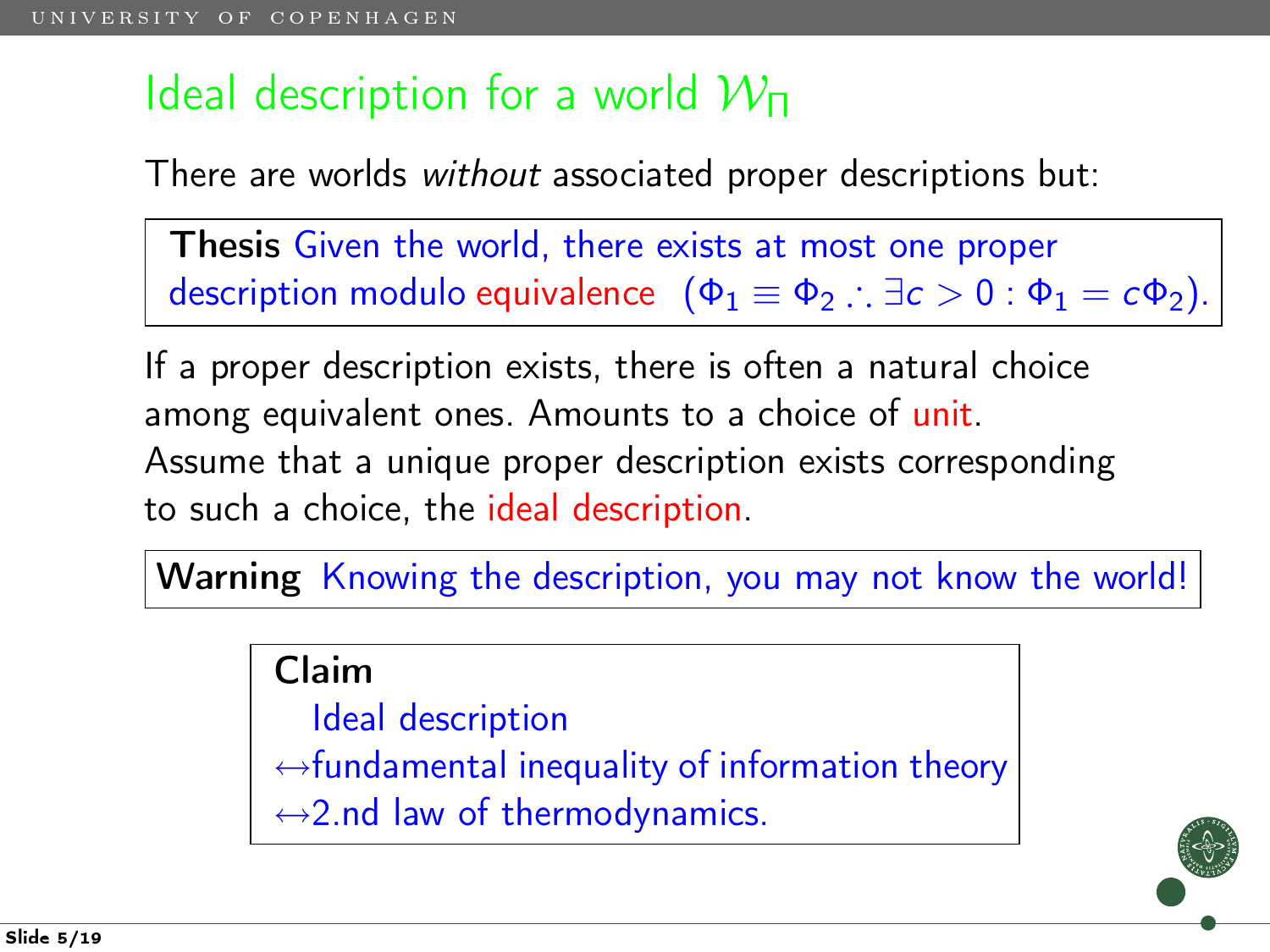# Ideal description for a world  $W_{\Pi}$

There are worlds without associated proper descriptions but:

Thesis Given the world, there exists at most one proper description modulo equivalence  $(\Phi_1 \equiv \Phi_2 \therefore \exists c > 0 : \Phi_1 = c\Phi_2)$ .

If a proper description exists, there is often a natural choice among equivalent ones. Amounts to a choice of unit. Assume that a unique proper description exists corresponding to such a choice, the ideal description.

Warning Knowing the description, you may not know the world!

Claim

Ideal description  $\leftrightarrow$  fundamental inequality of information theory  $\leftrightarrow$ 2.nd law of thermodynamics.

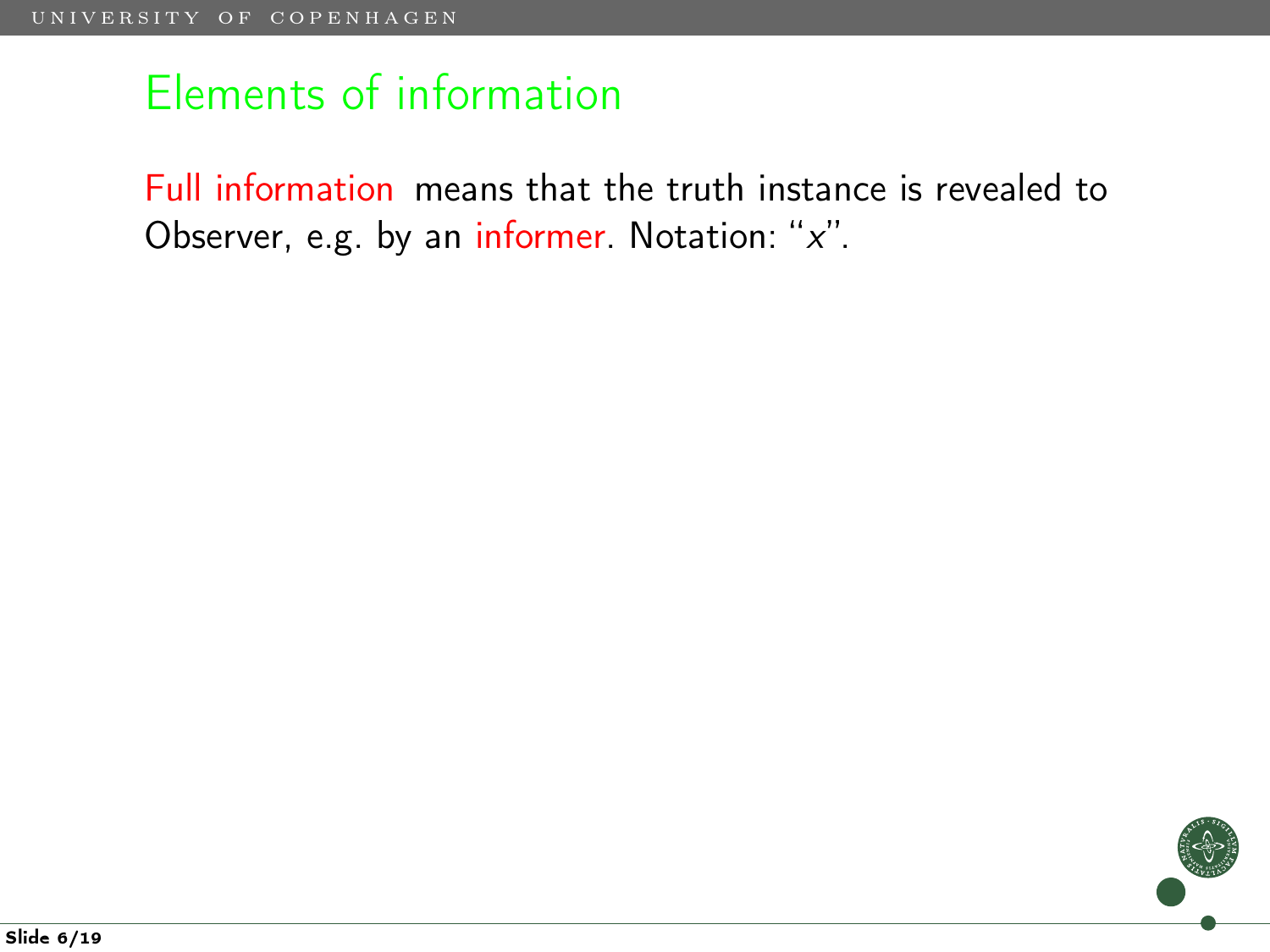Full information means that the truth instance is revealed to Observer, e.g. by an informer. Notation: "x".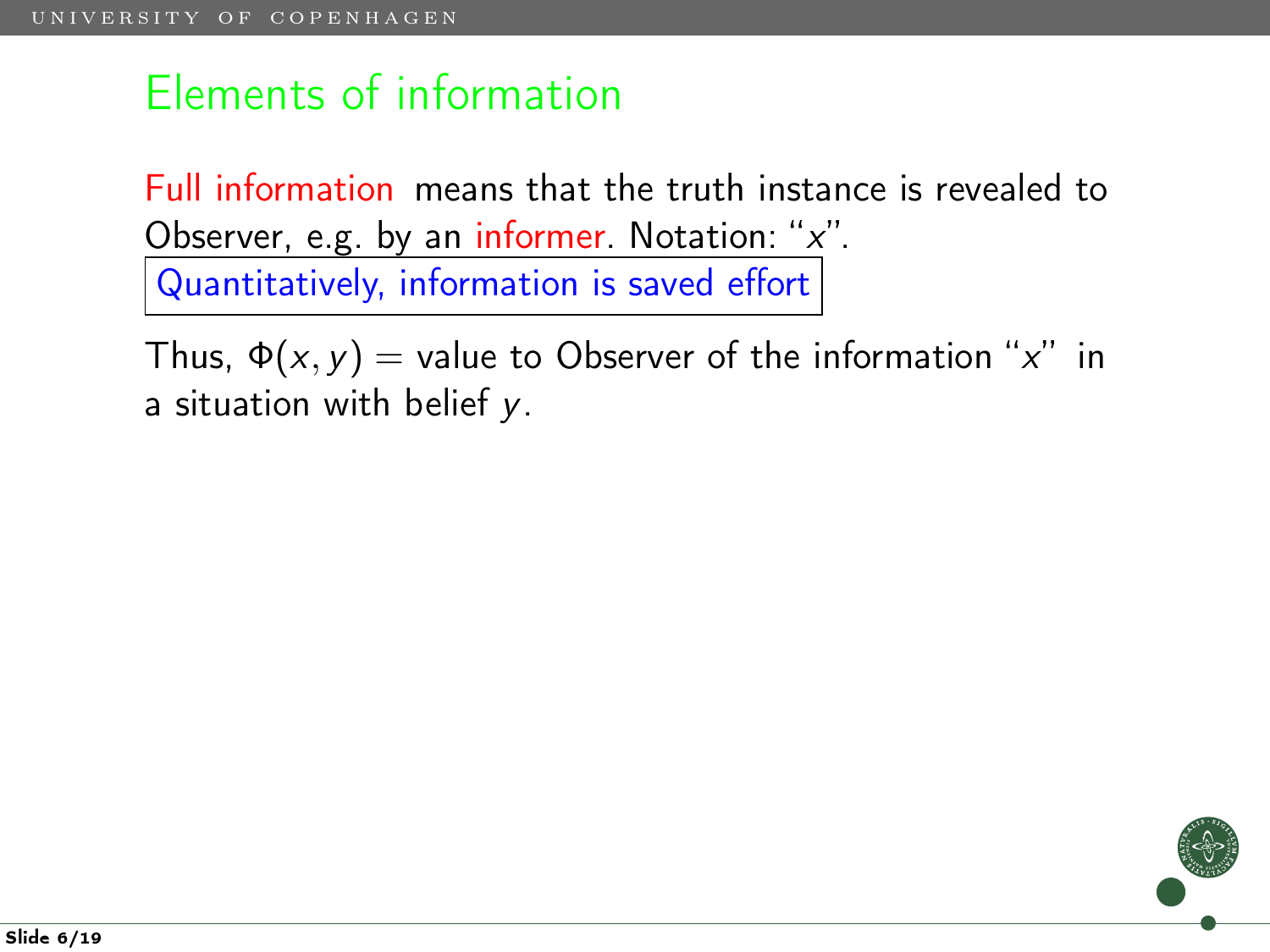Full information means that the truth instance is revealed to Observer, e.g. by an informer. Notation: "x". Quantitatively, information is saved effort

Thus,  $\Phi(x, y)$  = value to Observer of the information "x" in a situation with belief y.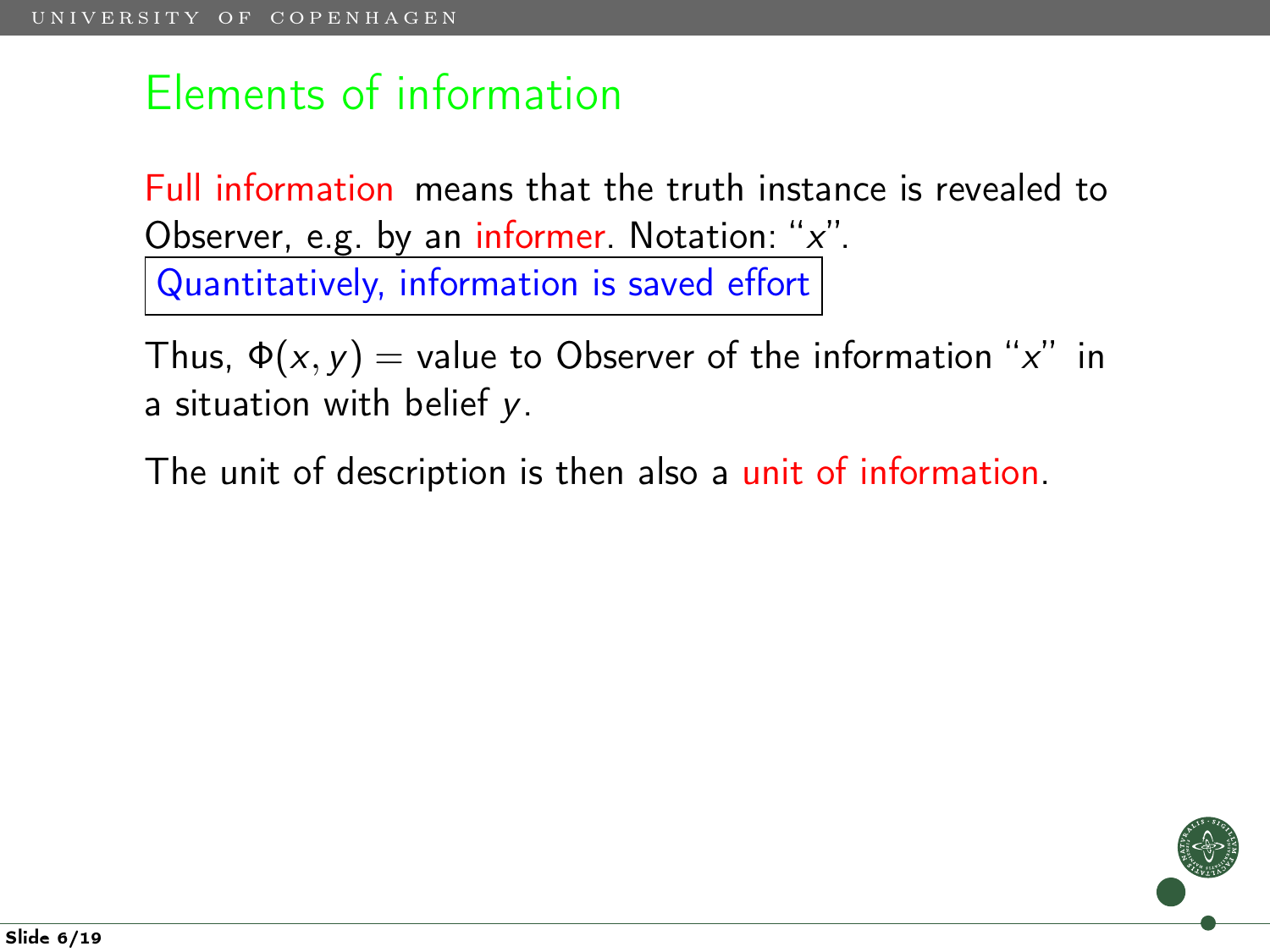Full information means that the truth instance is revealed to Observer, e.g. by an informer. Notation: "x". Quantitatively, information is saved effort

Thus,  $\Phi(x, y)$  = value to Observer of the information "x" in a situation with belief y.

The unit of description is then also a unit of information.

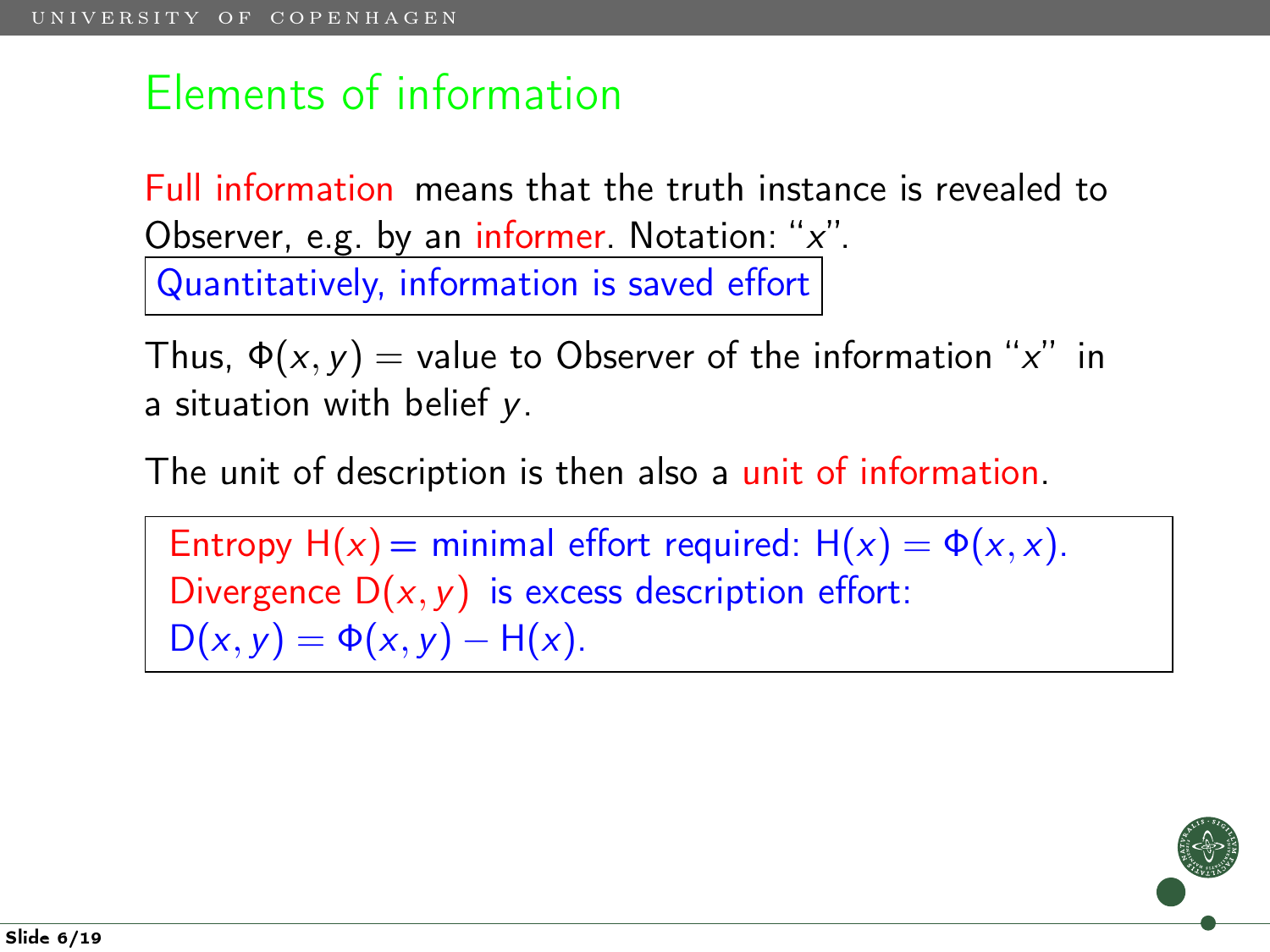Full information means that the truth instance is revealed to Observer, e.g. by an informer. Notation: " $x$ ". Quantitatively, information is saved effort

Thus,  $\Phi(x, y) =$  value to Observer of the information "x" in a situation with belief y.

The unit of description is then also a unit of information.

Entropy  $H(x) = minimal$  effort required:  $H(x) = \Phi(x, x)$ . Divergence  $D(x, y)$  is excess description effort:  $D(x, y) = \Phi(x, y) - H(x)$ .

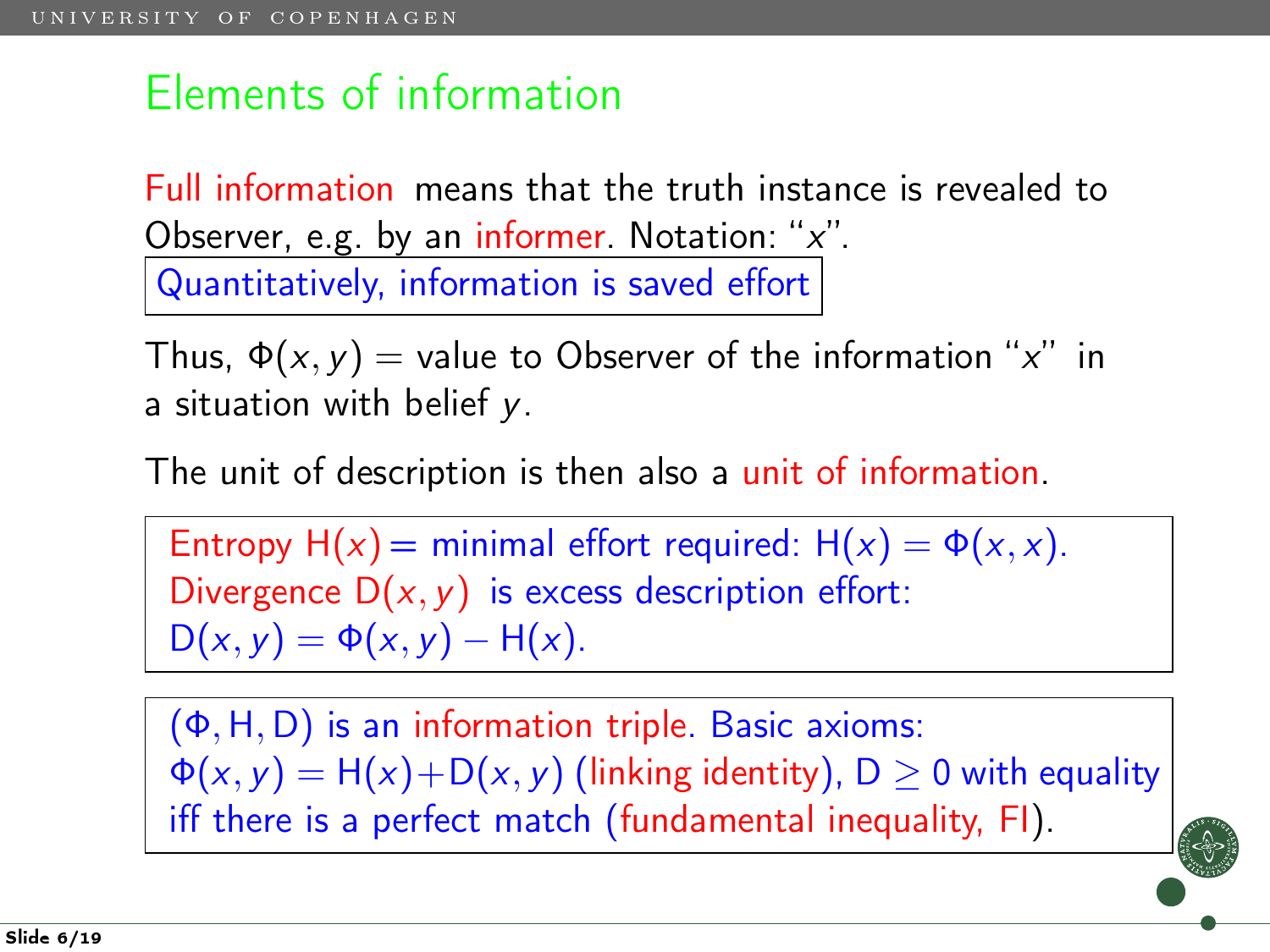Full information means that the truth instance is revealed to Observer, e.g. by an informer. Notation: " $x$ ". Quantitatively, information is saved effort

Thus,  $\Phi(x, y) =$  value to Observer of the information "x" in a situation with belief y.

The unit of description is then also a unit of information.

Entropy  $H(x) = minimal$  effort required:  $H(x) = \Phi(x, x)$ . Divergence  $D(x, y)$  is excess description effort:  $D(x, y) = \Phi(x, y) - H(x)$ .

(Φ,H, D) is an information triple. Basic axioms:  $\Phi(x, y) = H(x) + D(x, y)$  (linking identity),  $D \ge 0$  with equality iff there is a perfect match (fundamental inequality, FI).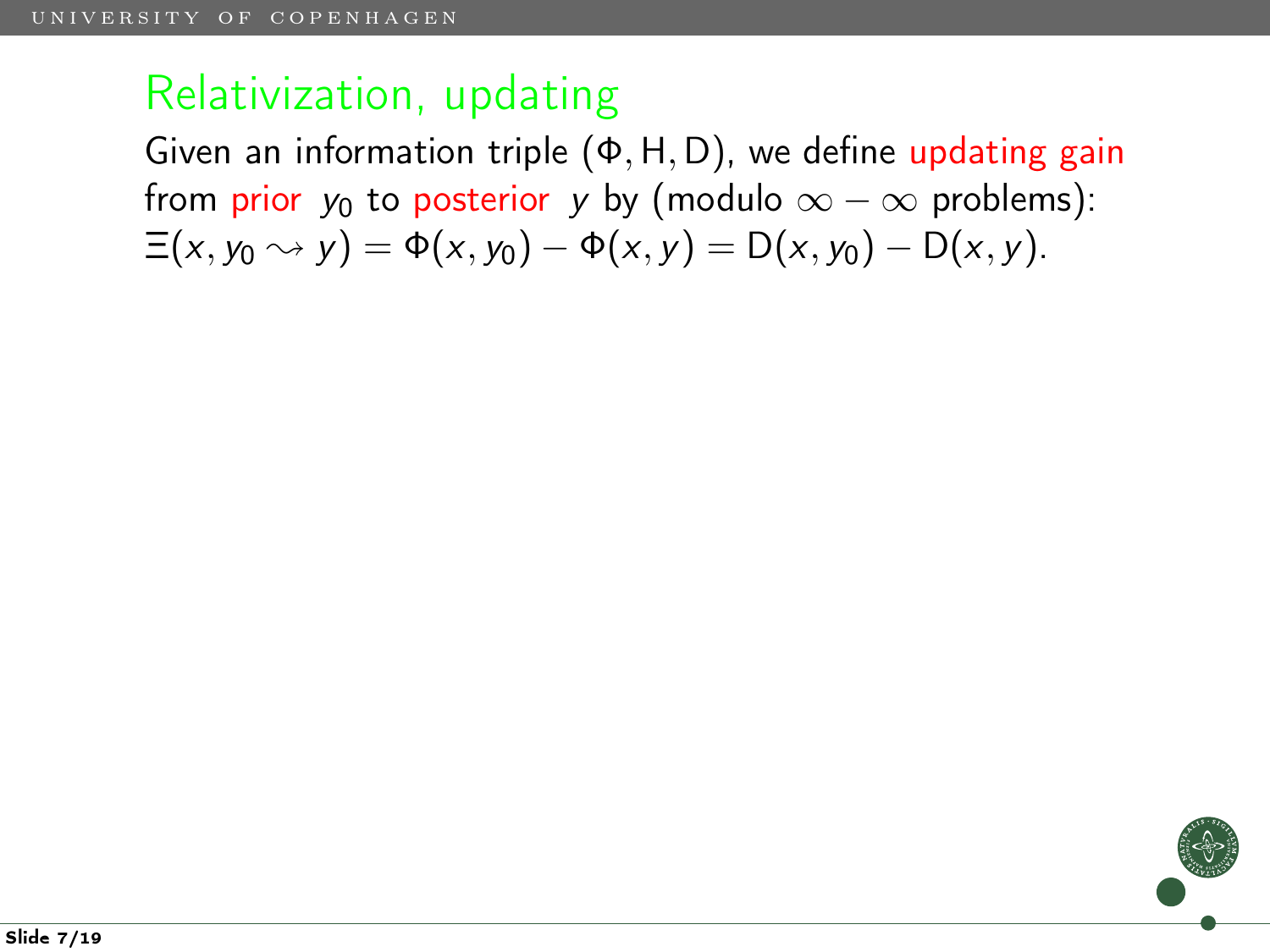Given an information triple (Φ,H, D), we define updating gain from prior  $y_0$  to posterior y by (modulo  $\infty - \infty$  problems):  $\Xi(x, y_0 \rightsquigarrow y) = \Phi(x, y_0) - \Phi(x, y) = D(x, y_0) - D(x, y).$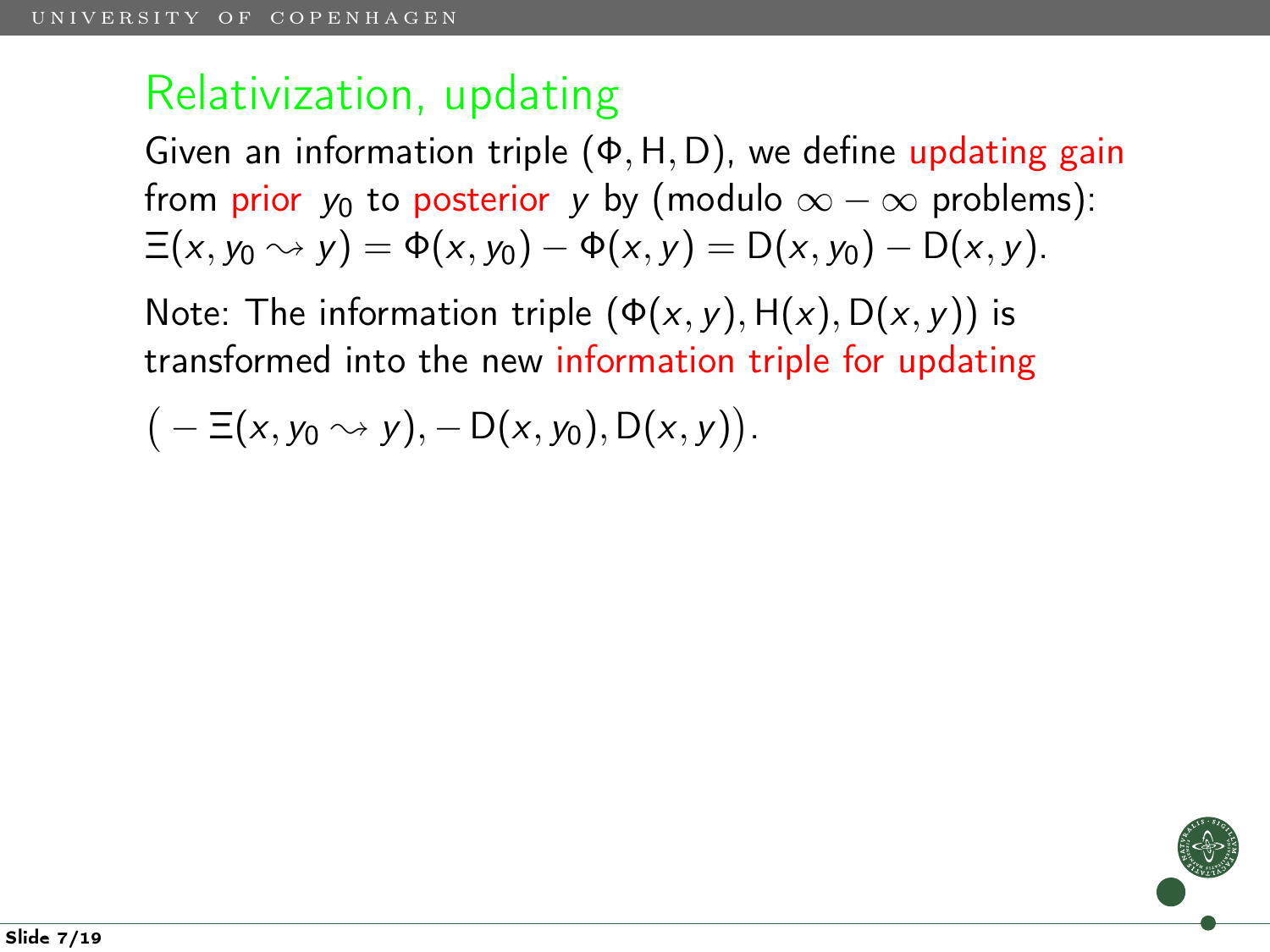Given an information triple  $(\Phi, H, D)$ , we define updating gain from prior  $y_0$  to posterior y by (modulo  $\infty - \infty$  problems):  $\Xi(x, y_0 \rightsquigarrow y) = \Phi(x, y_0) - \Phi(x, y) = D(x, y_0) - D(x, y).$ 

Note: The information triple  $(\Phi(x, y), H(x), D(x, y))$  is transformed into the new information triple for updating

$$
(-\Xi(x,y_0\rightsquigarrow y), -D(x,y_0), D(x,y)).
$$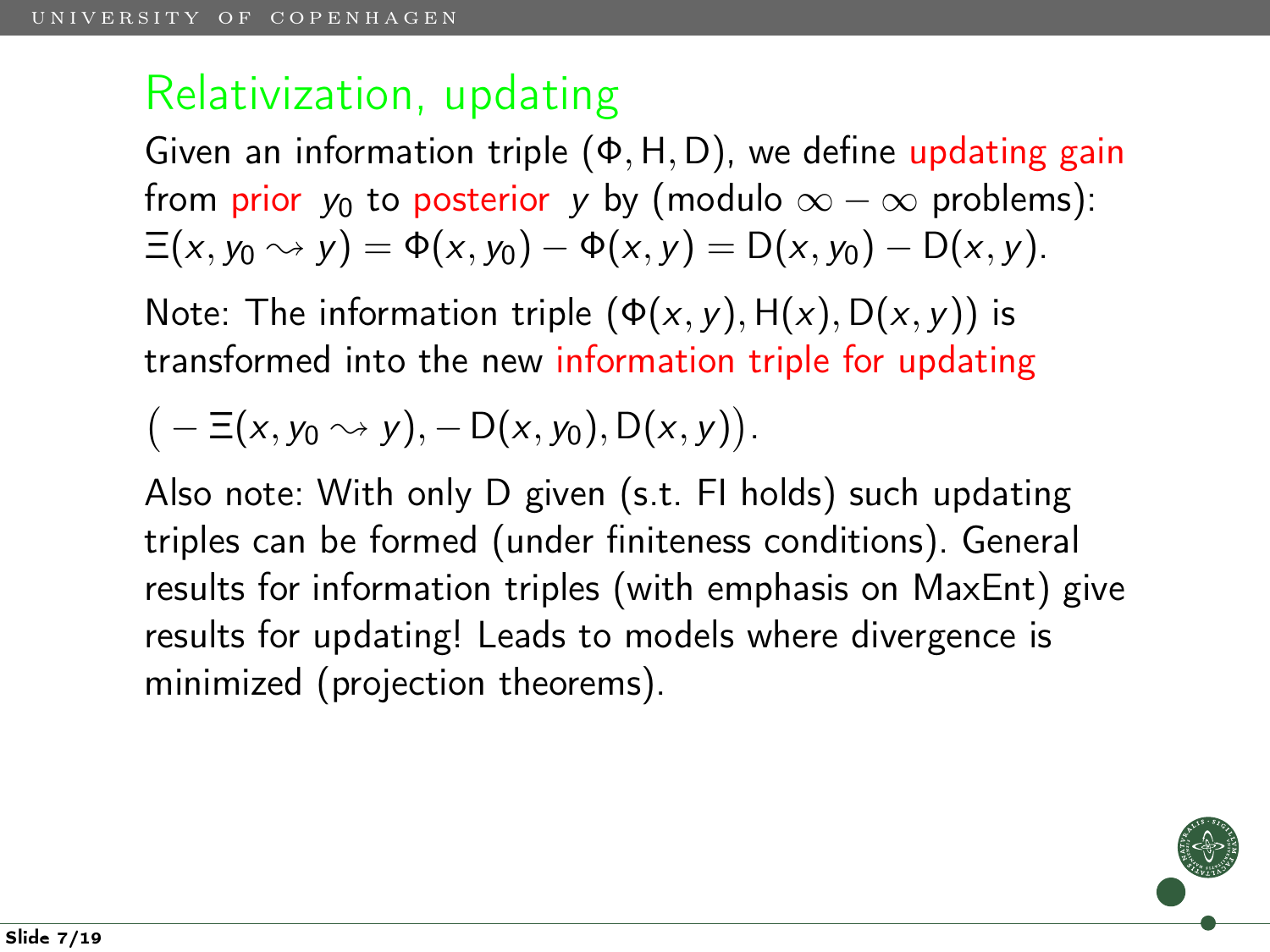Given an information triple  $(\Phi, H, D)$ , we define updating gain from prior  $y_0$  to posterior y by (modulo  $\infty - \infty$  problems):  $\Xi(x, y_0 \rightsquigarrow y) = \Phi(x, y_0) - \Phi(x, y) = D(x, y_0) - D(x, y).$ 

Note: The information triple  $(\Phi(x, y), H(x), D(x, y))$  is transformed into the new information triple for updating

$$
(-\Xi(x,y_0\rightsquigarrow y), -D(x,y_0),D(x,y)).
$$

Also note: With only D given (s.t. FI holds) such updating triples can be formed (under finiteness conditions). General results for information triples (with emphasis on MaxEnt) give results for updating! Leads to models where divergence is minimized (projection theorems).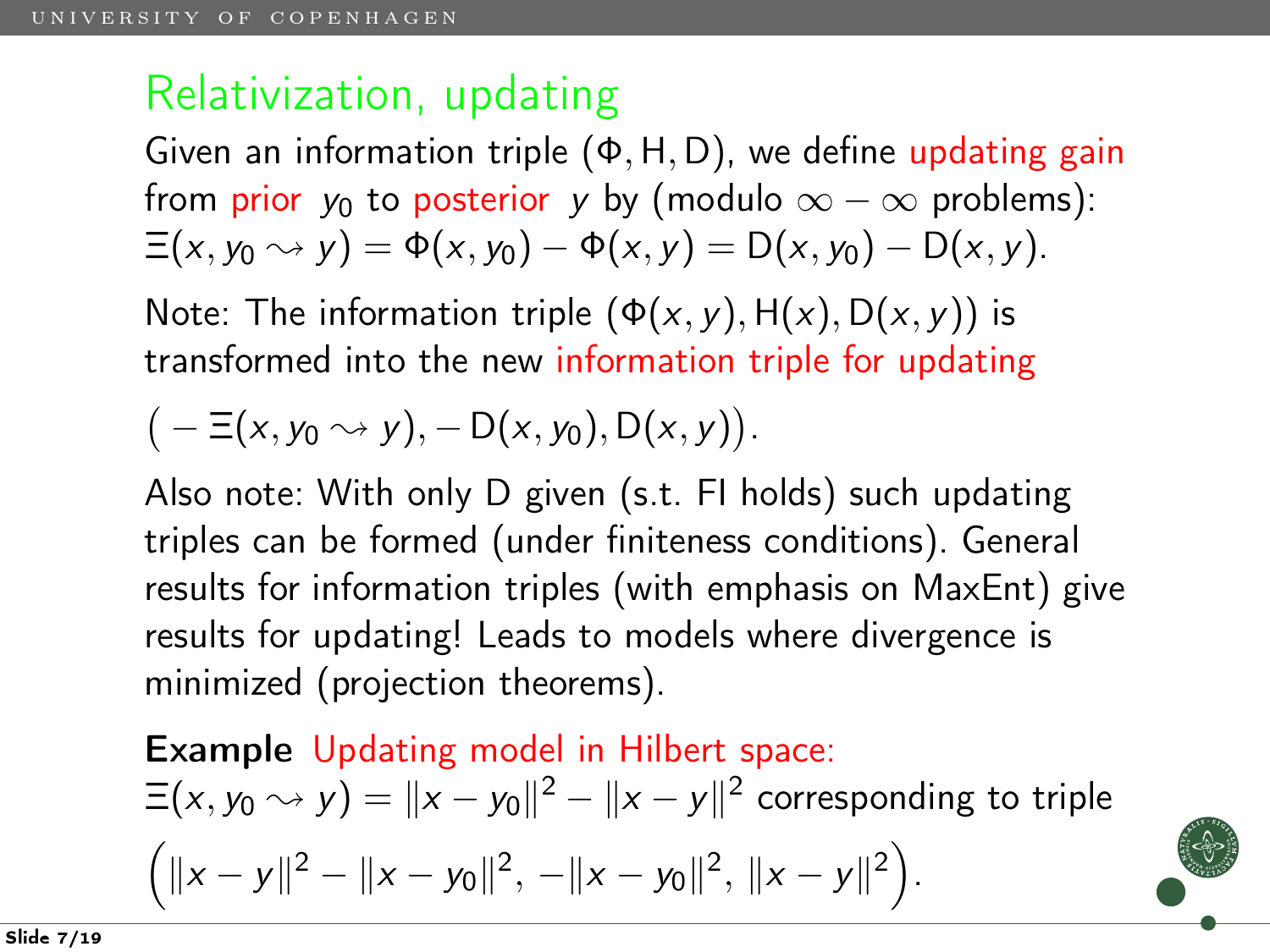Given an information triple  $(\Phi, H, D)$ , we define updating gain from prior  $y_0$  to posterior y by (modulo  $\infty - \infty$  problems):  $\Xi(x, y_0 \rightsquigarrow y) = \Phi(x, y_0) - \Phi(x, y) = D(x, y_0) - D(x, y).$ 

Note: The information triple  $(\Phi(x, y), H(x), D(x, y))$  is transformed into the new information triple for updating

$$
(-\Xi(x,y_0\rightsquigarrow y), -D(x,y_0), D(x,y)).
$$

Also note: With only D given (s.t. FI holds) such updating triples can be formed (under finiteness conditions). General results for information triples (with emphasis on MaxEnt) give results for updating! Leads to models where divergence is minimized (projection theorems).

Example Updating model in Hilbert space:  $\Xi(x,y_0\rightsquigarrow y)=\|x-y_0\|^2-\|x-y\|^2$  corresponding to triple  $\left(\|x-y\|^2 - \|x-y_0\|^2, \ -\|x-y_0\|^2, \ \|x-y\|^2\right).$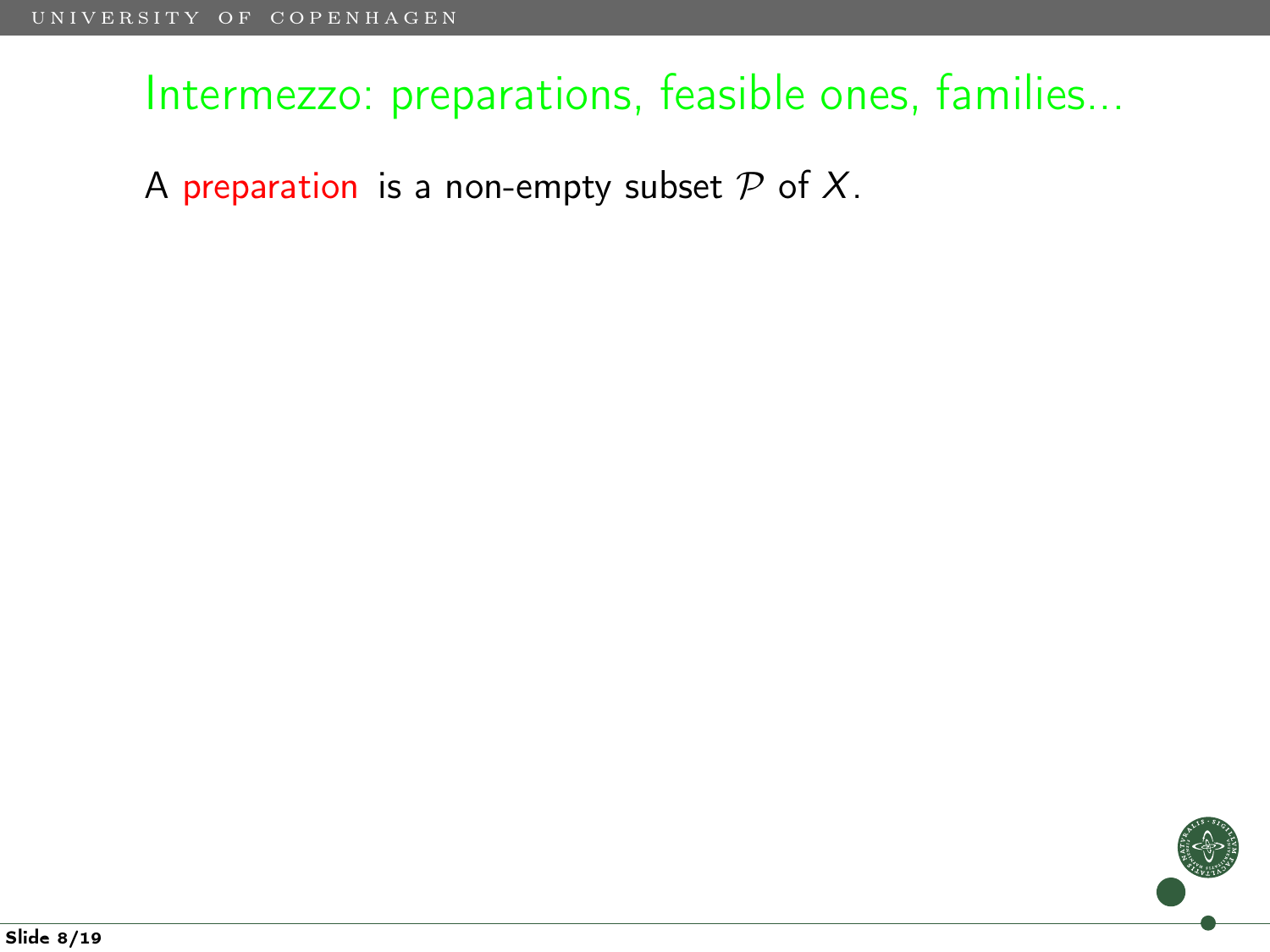A preparation is a non-empty subset  $P$  of  $X$ .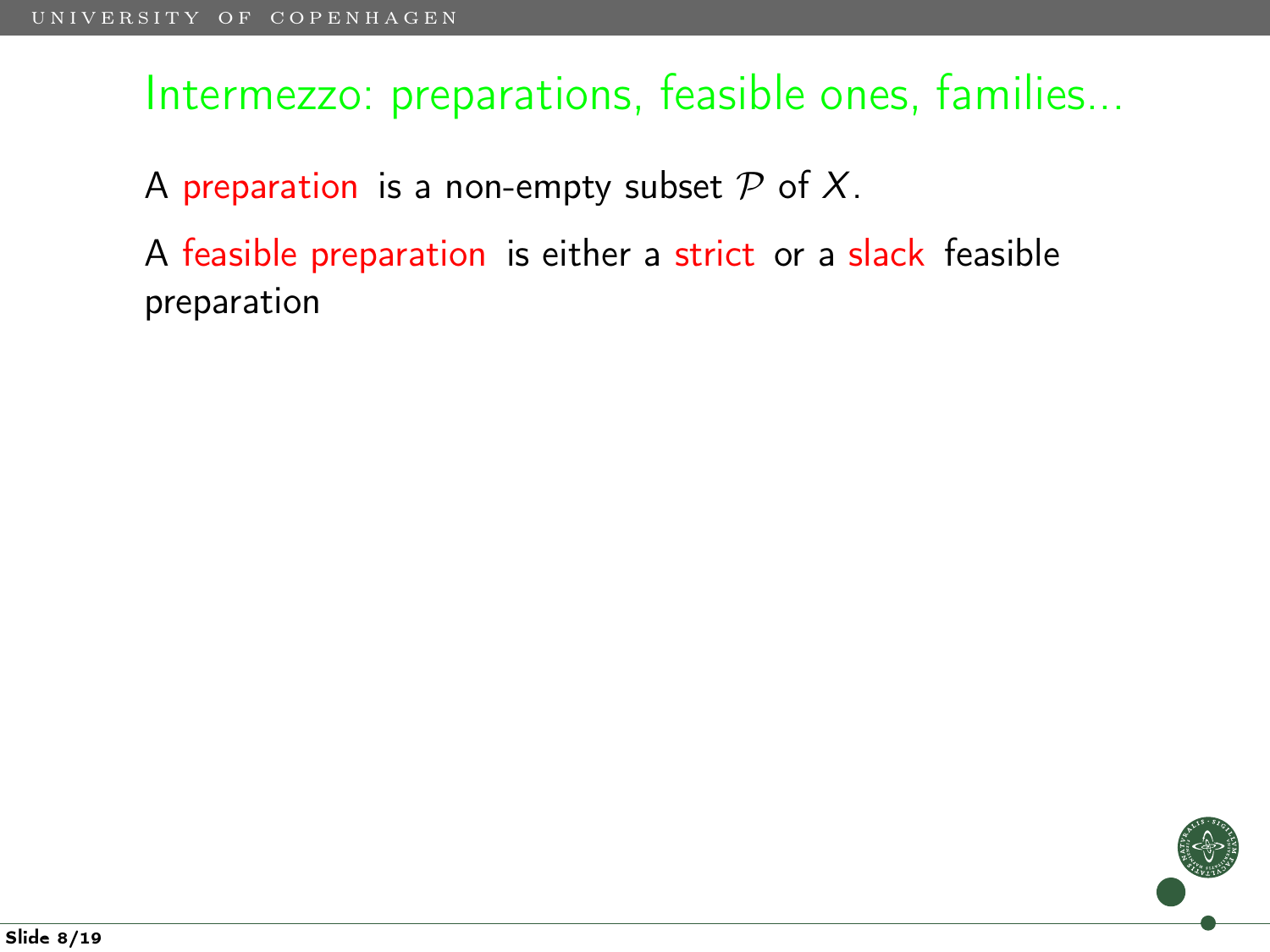A preparation is a non-empty subset  $P$  of  $X$ .

A feasible preparation is either a strict or a slack feasible preparation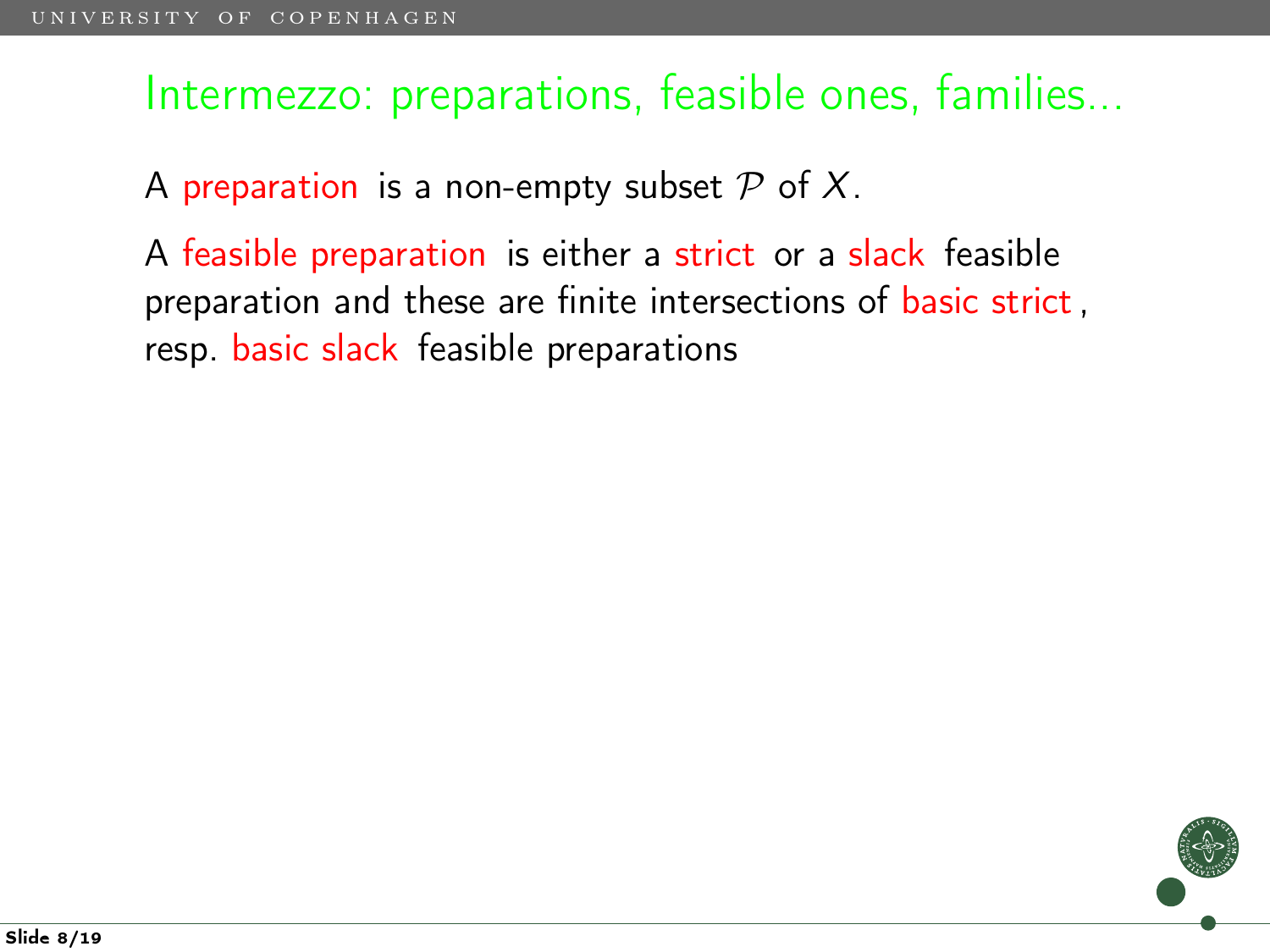A preparation is a non-empty subset  $P$  of  $X$ .

A feasible preparation is either a strict or a slack feasible preparation and these are finite intersections of basic strict, resp. basic slack feasible preparations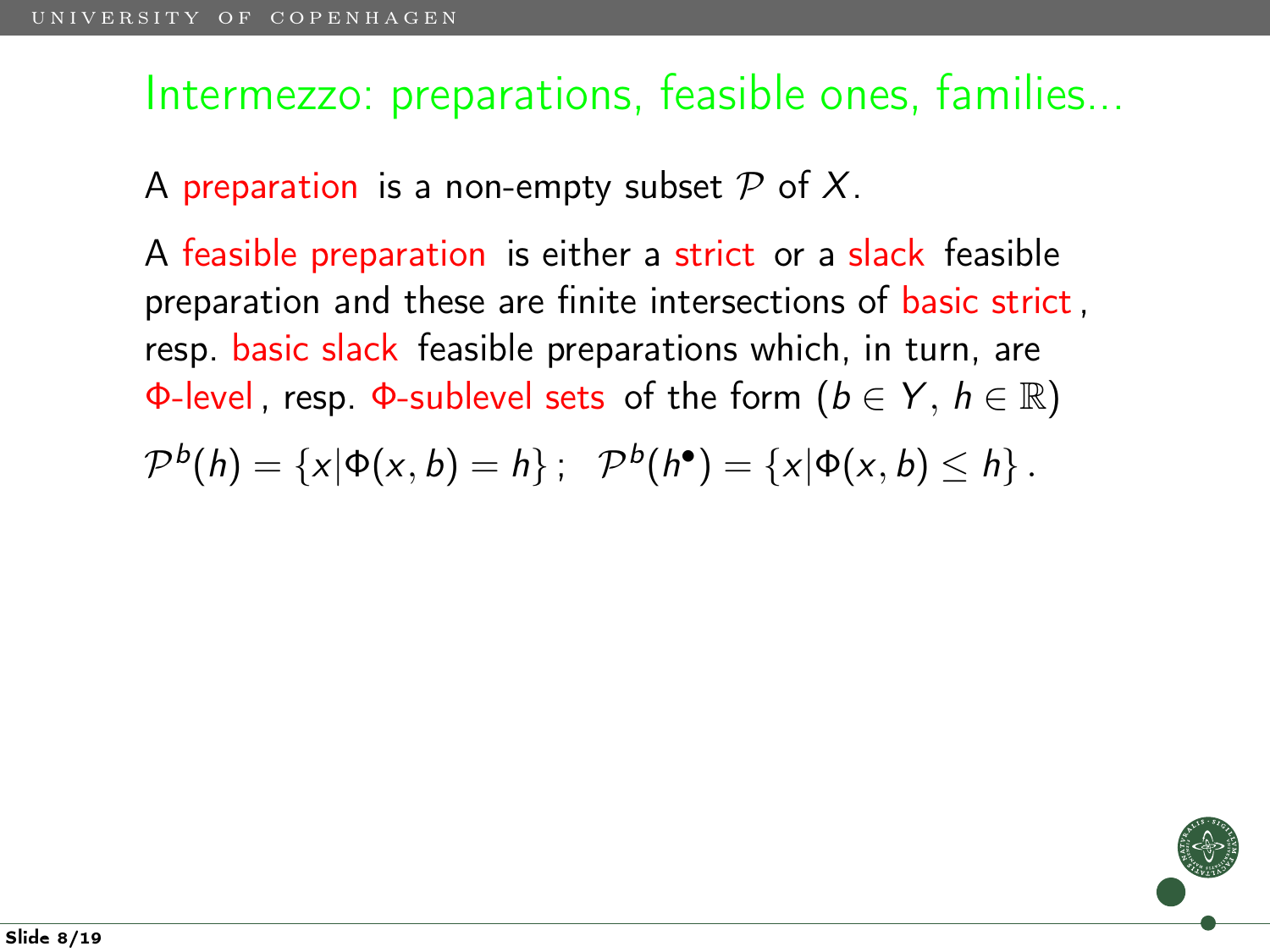A preparation is a non-empty subset  $P$  of X.

A feasible preparation is either a strict or a slack feasible preparation and these are finite intersections of basic strict, resp. basic slack feasible preparations which, in turn, are Φ-level, resp. Φ-sublevel sets of the form  $(b \in Y, h \in \mathbb{R})$ 

$$
\mathcal{P}^{b}(h)=\{x|\Phi(x,b)=h\}:\ \mathcal{P}^{b}(h^{\bullet})=\{x|\Phi(x,b)\leq h\}.
$$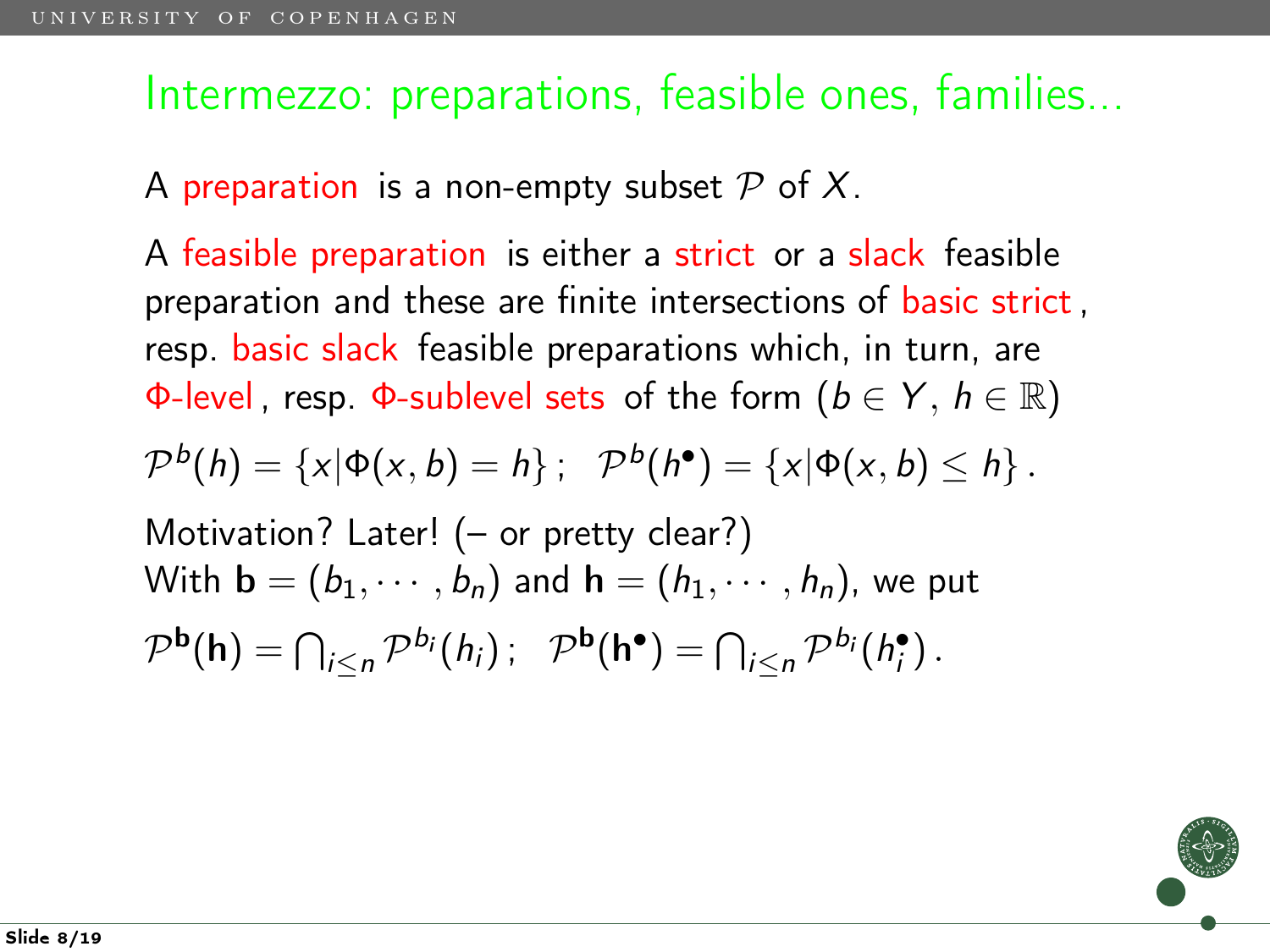A preparation is a non-empty subset  $P$  of X.

A feasible preparation is either a strict or a slack feasible preparation and these are finite intersections of basic strict, resp. basic slack feasible preparations which, in turn, are Φ-level, resp. Φ-sublevel sets of the form  $(b \in Y, h \in \mathbb{R})$ 

$$
\mathcal{P}^{b}(h)=\{x|\Phi(x,b)=h\}:\ \mathcal{P}^{b}(h^{\bullet})=\{x|\Phi(x,b)\leq h\}.
$$

Motivation? Later! (- or pretty clear?)  
With 
$$
\mathbf{b} = (b_1, \dots, b_n)
$$
 and  $\mathbf{h} = (h_1, \dots, h_n)$ , we put  

$$
\mathcal{P}^{\mathbf{b}}(\mathbf{h}) = \bigcap_{i \le n} \mathcal{P}^{b_i}(h_i); \quad \mathcal{P}^{\mathbf{b}}(\mathbf{h}^{\bullet}) = \bigcap_{i \le n} \mathcal{P}^{b_i}(h_i^{\bullet}).
$$

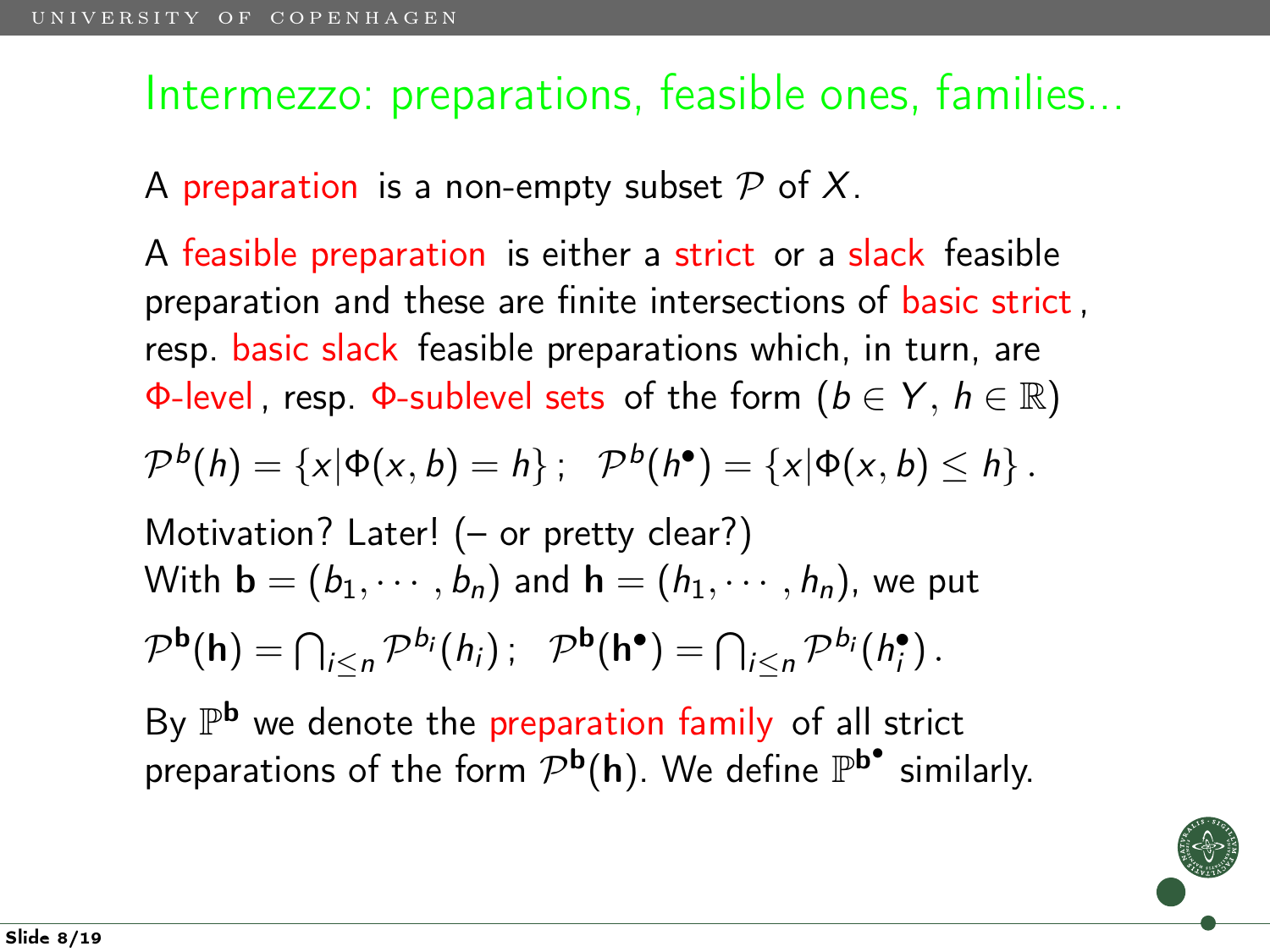A preparation is a non-empty subset  $P$  of X.

A feasible preparation is either a strict or a slack feasible preparation and these are finite intersections of basic strict, resp. basic slack feasible preparations which, in turn, are Φ-level, resp. Φ-sublevel sets of the form  $(b \in Y, h \in \mathbb{R})$ 

$$
\mathcal{P}^{b}(h)=\{x|\Phi(x,b)=h\}:\ \mathcal{P}^{b}(h^{\bullet})=\{x|\Phi(x,b)\leq h\}.
$$

Motivation? Later! (- or pretty clear?)  
With 
$$
\mathbf{b} = (b_1, \dots, b_n)
$$
 and  $\mathbf{h} = (h_1, \dots, h_n)$ , we put  

$$
\mathcal{P}^{\mathbf{b}}(\mathbf{h}) = \bigcap_{i \le n} \mathcal{P}^{b_i}(h_i); \quad \mathcal{P}^{\mathbf{b}}(\mathbf{h}^{\bullet}) = \bigcap_{i \le n} \mathcal{P}^{b_i}(h_i^{\bullet}).
$$

By  $\mathbb{P}^{\bf b}$  we denote the preparation family of all strict preparations of the form  $\mathcal{P}^{\mathbf{b}}(\mathsf{h})$ . We define  $\mathbb{P}^{\mathbf{b}^{\bullet}}$  similarly.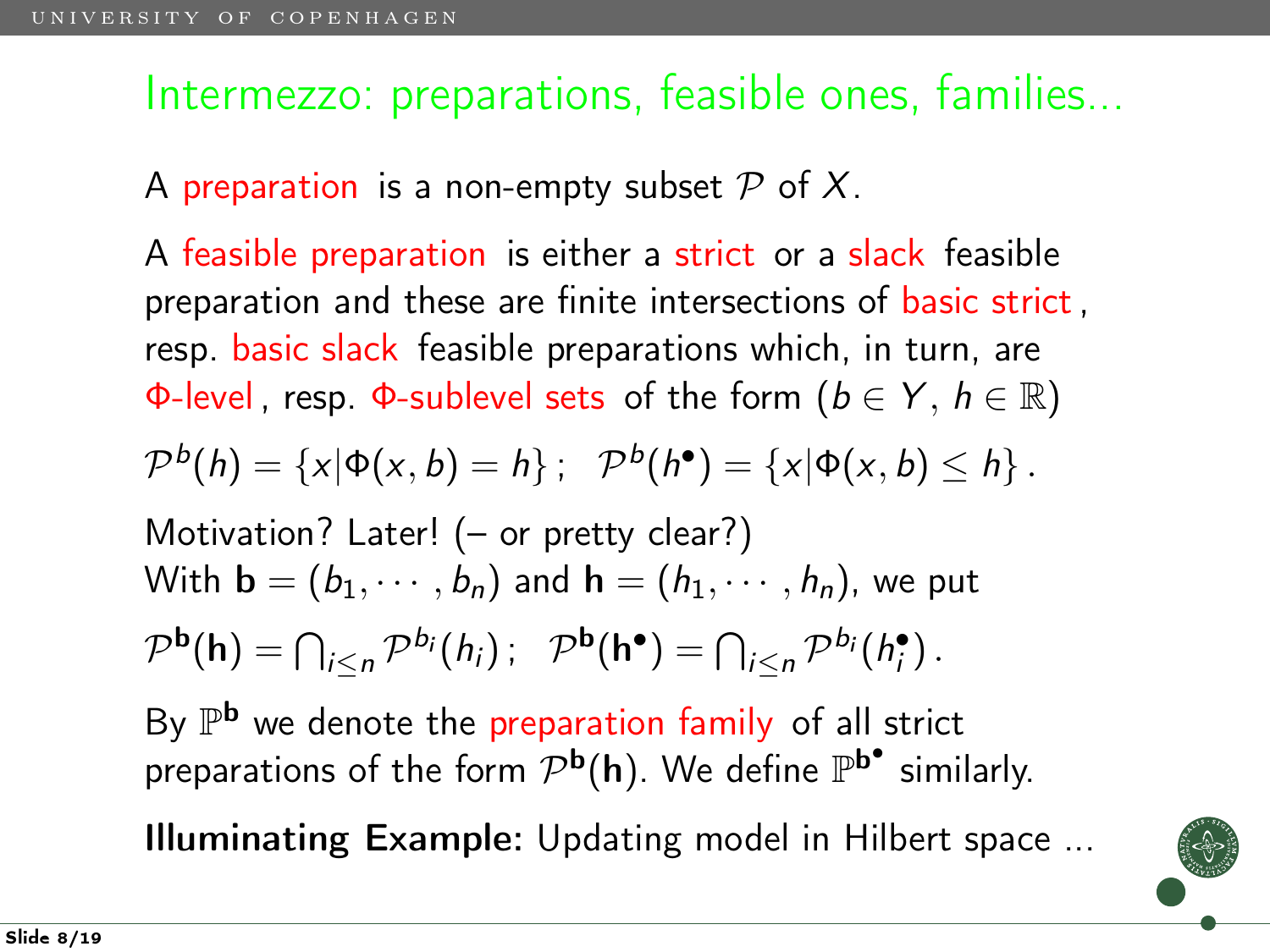A preparation is a non-empty subset  $P$  of X.

A feasible preparation is either a strict or a slack feasible preparation and these are finite intersections of basic strict, resp. basic slack feasible preparations which, in turn, are Φ-level, resp. Φ-sublevel sets of the form  $(b \in Y, h \in \mathbb{R})$ 

$$
\mathcal{P}^{b}(h) = \{x | \Phi(x, b) = h\}; \quad \mathcal{P}^{b}(h^{\bullet}) = \{x | \Phi(x, b) \leq h\}.
$$

Motivation? Later! (- or pretty clear?)  
With 
$$
\mathbf{b} = (b_1, \dots, b_n)
$$
 and  $\mathbf{h} = (h_1, \dots, h_n)$ , we put  

$$
\mathcal{P}^{\mathbf{b}}(\mathbf{h}) = \bigcap_{i \le n} \mathcal{P}^{b_i}(h_i); \quad \mathcal{P}^{\mathbf{b}}(\mathbf{h}^{\bullet}) = \bigcap_{i \le n} \mathcal{P}^{b_i}(h_i^{\bullet}).
$$

By  $\mathbb{P}^{\bf b}$  we denote the preparation family of all strict preparations of the form  $\mathcal{P}^{\mathbf{b}}(\mathsf{h})$ . We define  $\mathbb{P}^{\mathbf{b}^{\bullet}}$  similarly.

Illuminating Example: Updating model in Hilbert space ...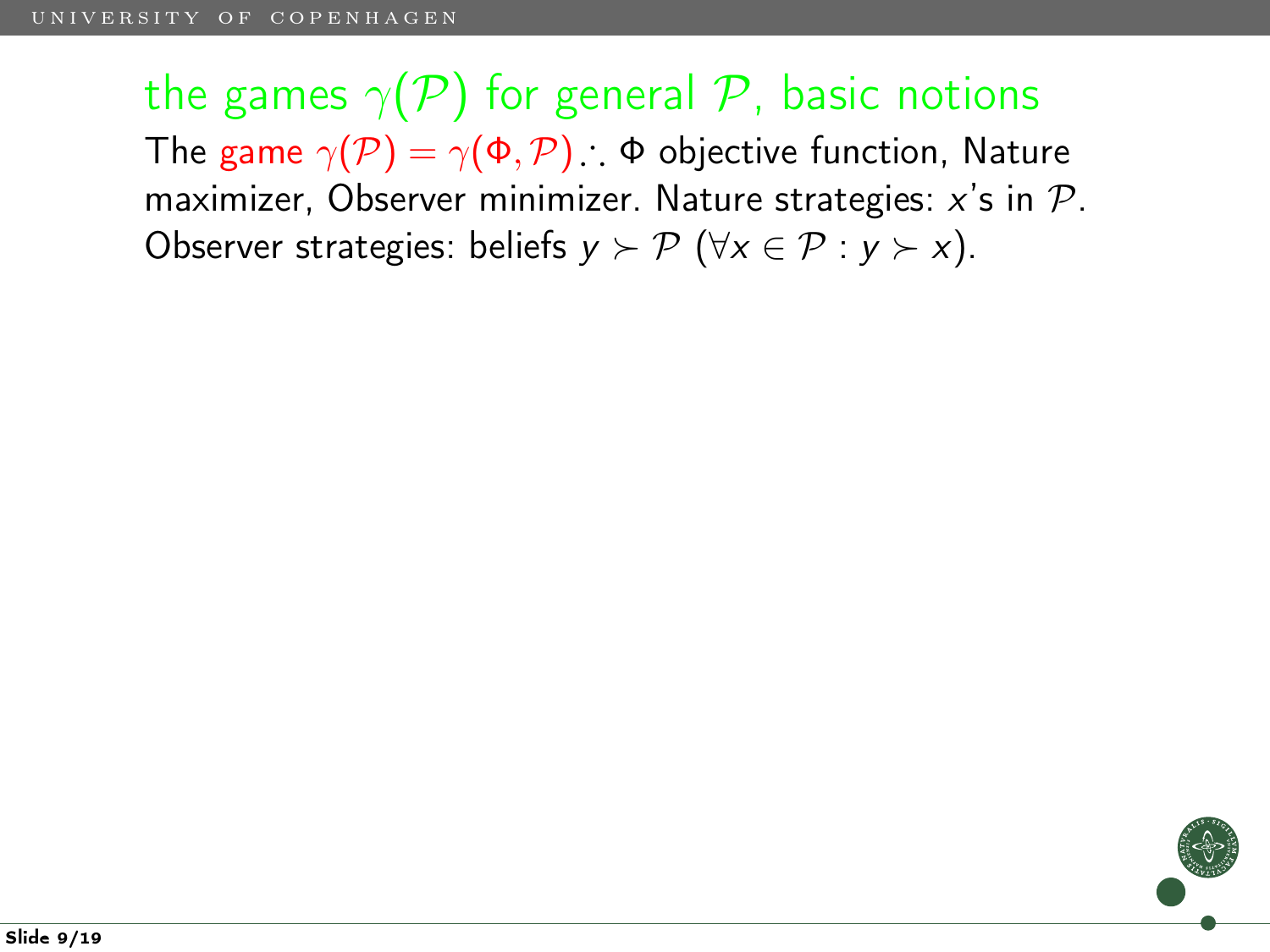the games  $\gamma(P)$  for general P, basic notions The game  $\gamma(\mathcal{P}) = \gamma(\Phi, \mathcal{P})$ :  $\Phi$  objective function, Nature maximizer, Observer minimizer. Nature strategies:  $x$ 's in  $\mathcal{P}$ . Observer strategies: beliefs  $y \succ \mathcal{P}$  ( $\forall x \in \mathcal{P} : y \succ x$ ).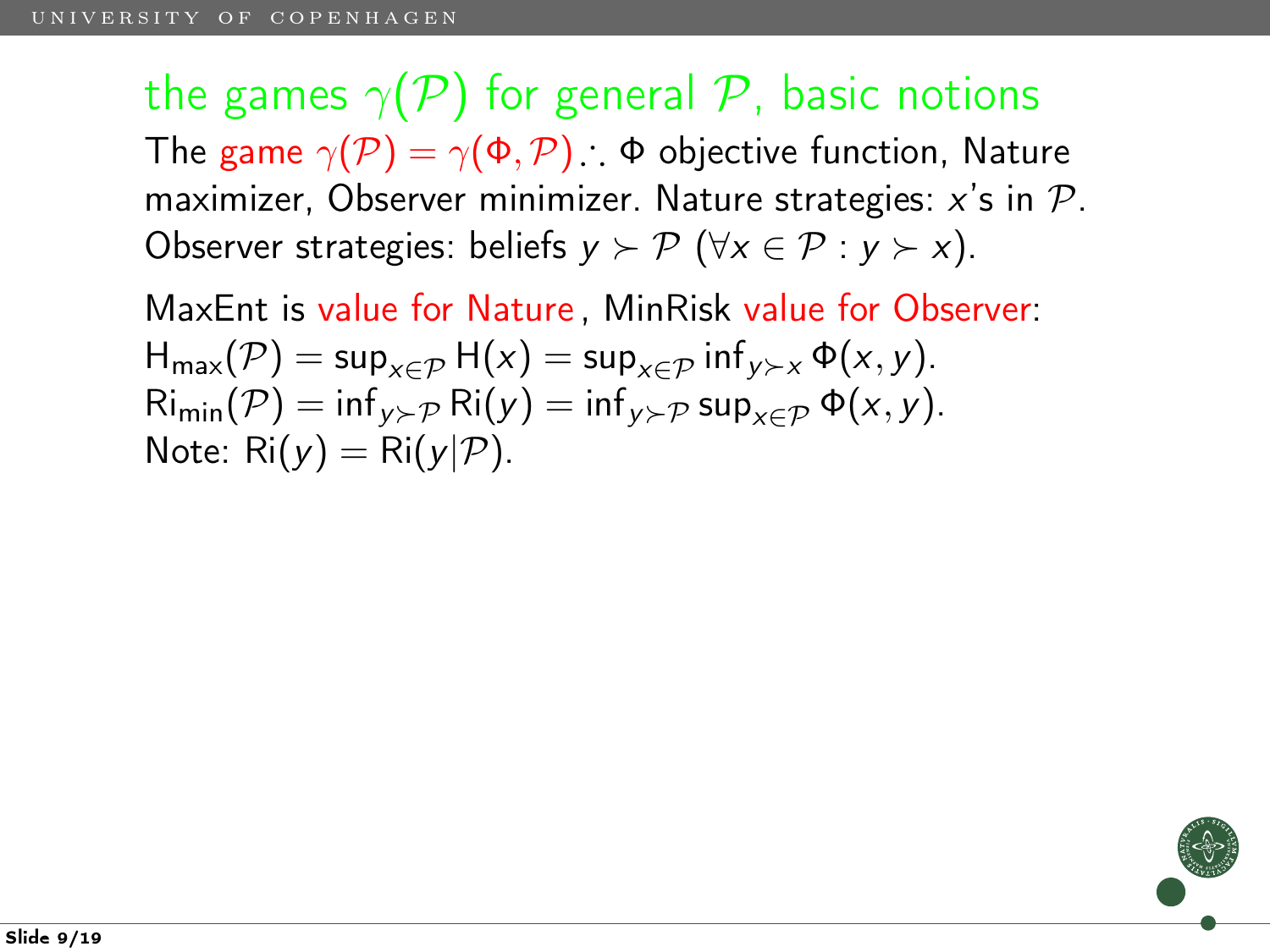the games  $\gamma(\mathcal{P})$  for general  $\mathcal{P}$ , basic notions The game  $\gamma(\mathcal{P}) = \gamma(\Phi, \mathcal{P})$ ;  $\Phi$  objective function, Nature maximizer, Observer minimizer. Nature strategies:  $x$ 's in  $\mathcal{P}$ . Observer strategies: beliefs  $y \succ \mathcal{P}$  ( $\forall x \in \mathcal{P} : y \succ x$ ).

MaxEnt is value for Nature , MinRisk value for Observer:  $H_{\text{max}}(\mathcal{P}) = \sup_{x \in \mathcal{P}} H(x) = \sup_{x \in \mathcal{P}} \inf_{y \succ x} \Phi(x, y).$  $\text{Ri}_{\text{min}}(\mathcal{P}) = \inf_{y \succ \mathcal{P}} \text{Ri}(y) = \inf_{y \succ \mathcal{P}} \text{sup}_{y \in \mathcal{P}} \Phi(x, y).$ Note:  $\text{Ri}(y) = \text{Ri}(y|\mathcal{P})$ .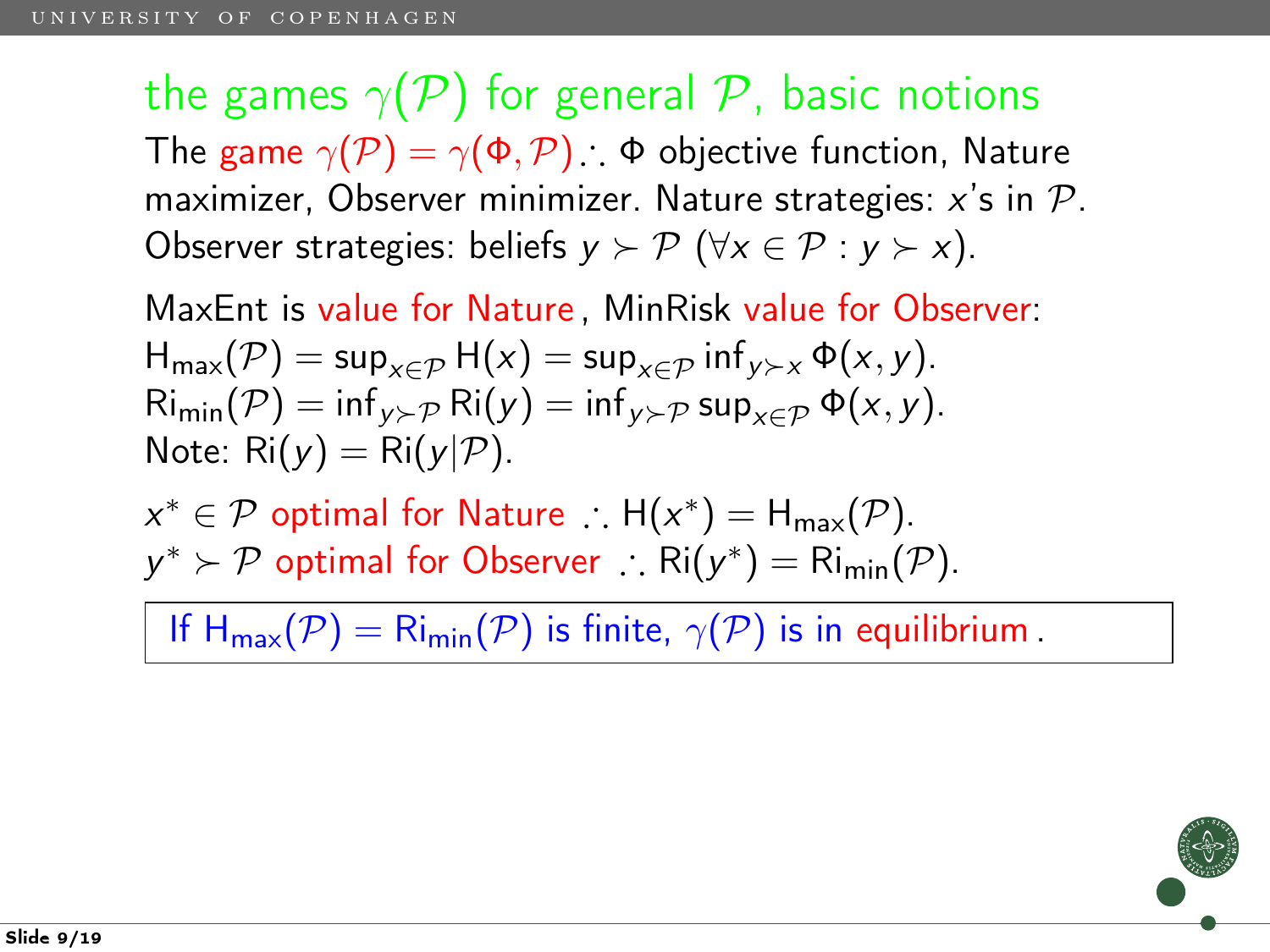the games  $\gamma(P)$  for general P, basic notions The game  $\gamma(\mathcal{P}) = \gamma(\Phi, \mathcal{P})$ ;  $\Phi$  objective function, Nature maximizer, Observer minimizer. Nature strategies:  $x$ 's in  $\mathcal{P}$ . Observer strategies: beliefs  $y \succ \mathcal{P}$  ( $\forall x \in \mathcal{P} : y \succ x$ ).

MaxEnt is value for Nature , MinRisk value for Observer:  $H_{\text{max}}(\mathcal{P}) = \sup_{x \in \mathcal{P}} H(x) = \sup_{x \in \mathcal{P}} \inf_{y \succ x} \Phi(x, y).$  $\text{Ri}_{\text{min}}(\mathcal{P}) = \inf_{y \succ \mathcal{P}} \text{Ri}(y) = \inf_{y \succ \mathcal{P}} \text{sup}_{y \in \mathcal{P}} \Phi(x, y).$ Note:  $\text{Ri}(y) = \text{Ri}(y|\mathcal{P})$ .

 $x^* \in \mathcal{P}$  optimal for Nature  $\therefore$   $H(x^*) = H_{\text{max}}(\mathcal{P}).$  $y^* \succ \mathcal{P}$  optimal for Observer  $\therefore$  Ri $(y^*) = \text{Ri}_{\text{min}}(\mathcal{P})$ .

If  $H_{\text{max}}(\mathcal{P}) = R_{\text{min}}(\mathcal{P})$  is finite,  $\gamma(\mathcal{P})$  is in equilibrium.

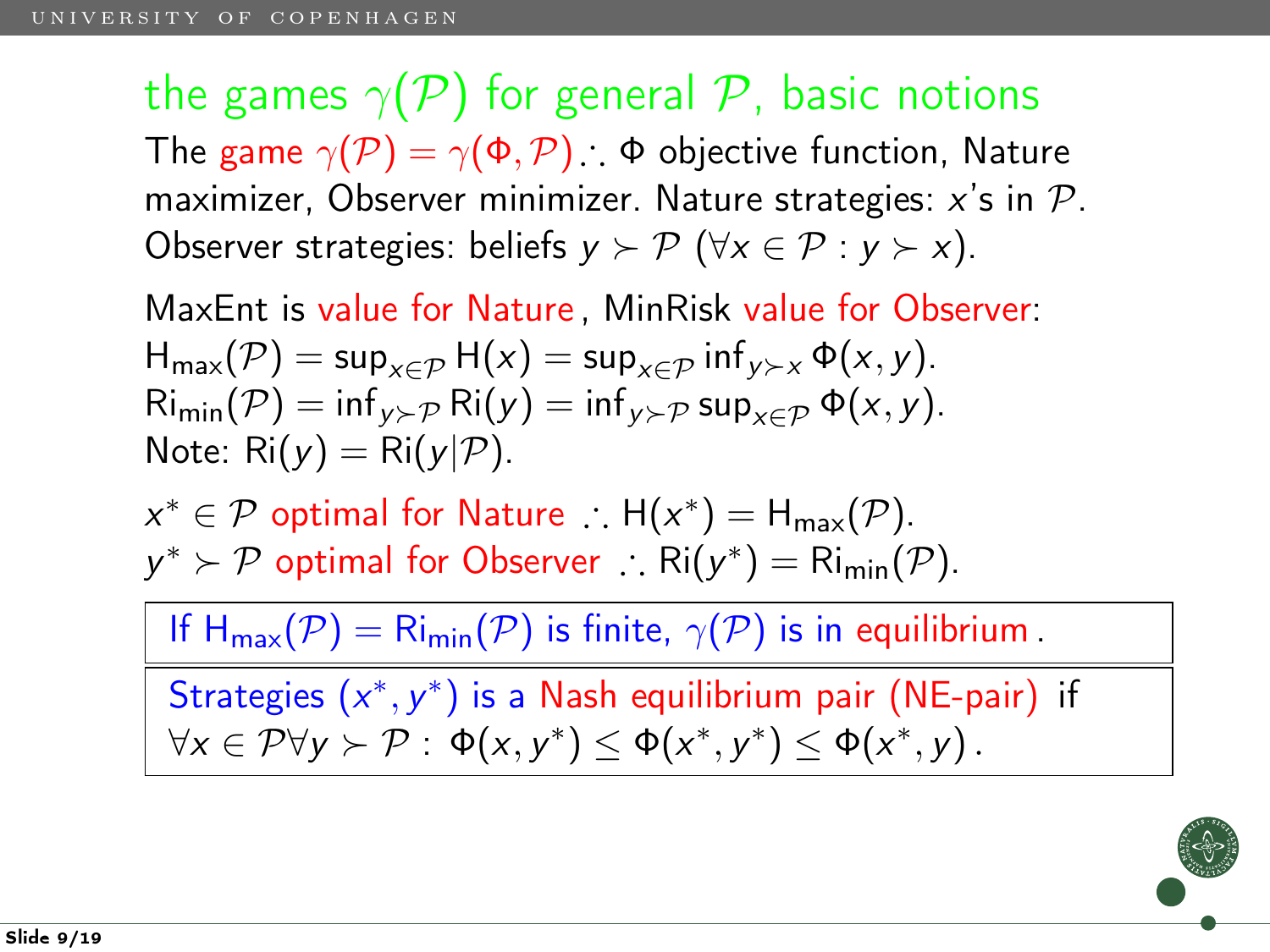the games  $\gamma(\mathcal{P})$  for general  $\mathcal{P}$ , basic notions The game  $\gamma(\mathcal{P}) = \gamma(\Phi, \mathcal{P})$ ;  $\Phi$  objective function, Nature maximizer, Observer minimizer. Nature strategies:  $x$ 's in  $\mathcal{P}$ . Observer strategies: beliefs  $y \succ \mathcal{P}$  ( $\forall x \in \mathcal{P} : y \succ x$ ).

MaxEnt is value for Nature , MinRisk value for Observer:  $H_{\text{max}}(\mathcal{P}) = \sup_{x \in \mathcal{P}} H(x) = \sup_{x \in \mathcal{P}} \inf_{y \succ x} \Phi(x, y).$  $\text{Ri}_{\text{min}}(\mathcal{P}) = \inf_{y \succ \mathcal{P}} \text{Ri}(y) = \inf_{y \succ \mathcal{P}} \text{sup}_{y \in \mathcal{P}} \Phi(x, y).$ Note:  $\text{Ri}(y) = \text{Ri}(y|\mathcal{P})$ .

 $x^* \in \mathcal{P}$  optimal for Nature  $\therefore$   $H(x^*) = H_{\text{max}}(\mathcal{P}).$  $y^* \succ \mathcal{P}$  optimal for Observer  $\therefore$  Ri $(y^*) = \text{Ri}_{\text{min}}(\mathcal{P})$ .

If  $H_{\text{max}}(\mathcal{P}) = R_{\text{min}}(\mathcal{P})$  is finite,  $\gamma(\mathcal{P})$  is in equilibrium.

Strategies  $(x^*, y^*)$  is a Nash equilibrium pair (NE-pair) if  $\forall x \in P \forall y \succ P : \Phi(x, y^*) \leq \Phi(x^*, y^*) \leq \Phi(x^*, y)$ .

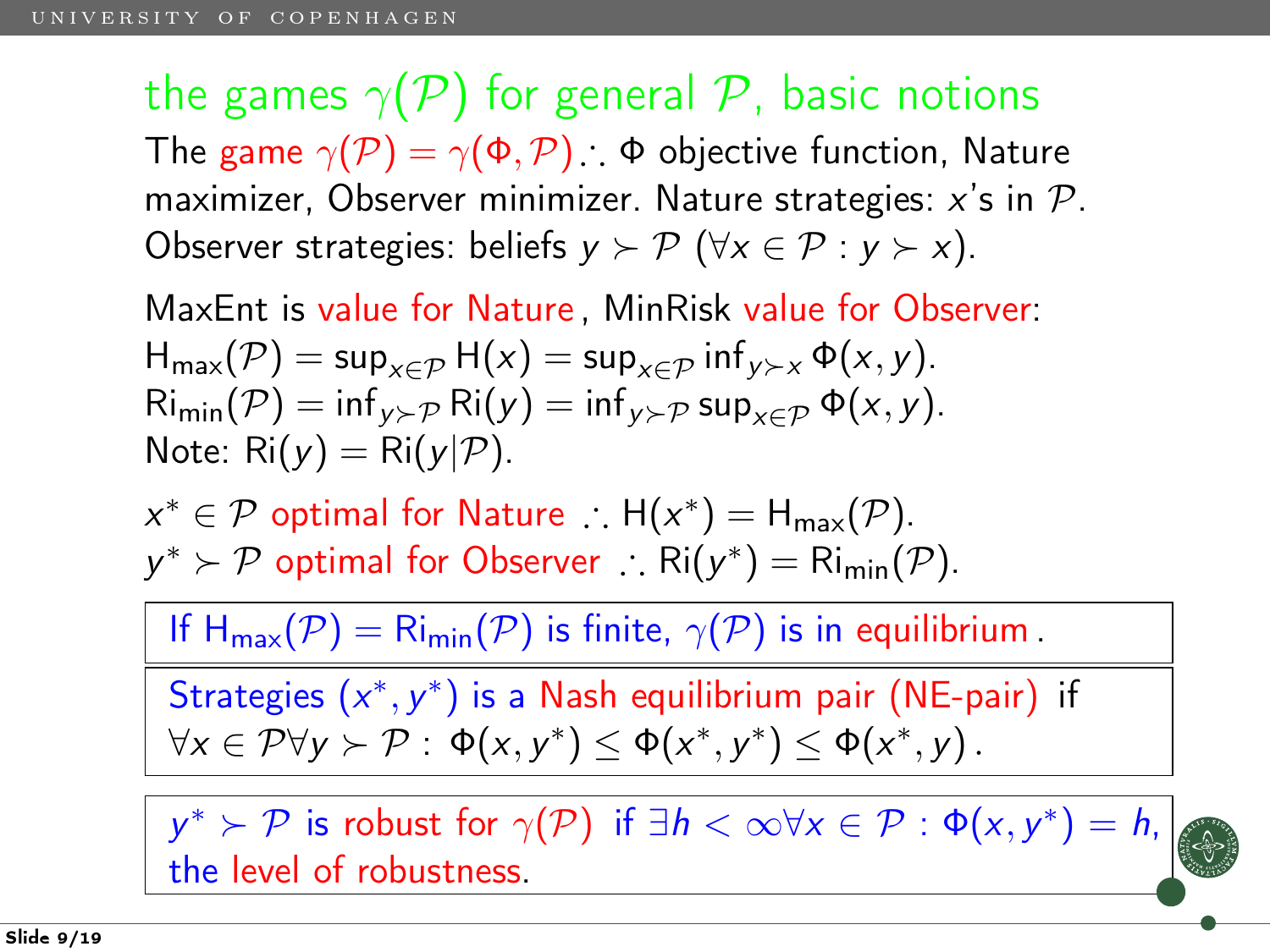the games  $\gamma(\mathcal{P})$  for general  $\mathcal{P}$ , basic notions The game  $\gamma(\mathcal{P}) = \gamma(\Phi, \mathcal{P})$ ;  $\Phi$  objective function, Nature maximizer, Observer minimizer. Nature strategies:  $x$ 's in  $\mathcal{P}$ . Observer strategies: beliefs  $y \succ \mathcal{P}$  ( $\forall x \in \mathcal{P} : y \succ x$ ).

MaxEnt is value for Nature , MinRisk value for Observer:  $H_{\text{max}}(\mathcal{P}) = \sup_{x \in \mathcal{P}} H(x) = \sup_{x \in \mathcal{P}} \inf_{y \succ x} \Phi(x, y).$  $\text{Ri}_{\text{min}}(\mathcal{P}) = \inf_{y \succ \mathcal{P}} \text{Ri}(y) = \inf_{y \succ \mathcal{P}} \text{sup}_{y \in \mathcal{P}} \Phi(x, y).$ Note:  $\text{Ri}(y) = \text{Ri}(y|\mathcal{P})$ .

 $x^* \in \mathcal{P}$  optimal for Nature  $\therefore$   $H(x^*) = H_{\text{max}}(\mathcal{P}).$  $y^* \succ \mathcal{P}$  optimal for Observer  $\therefore$  Ri $(y^*) = \text{Ri}_{\text{min}}(\mathcal{P})$ .

If  $H_{\text{max}}(\mathcal{P}) = R_{\text{min}}(\mathcal{P})$  is finite,  $\gamma(\mathcal{P})$  is in equilibrium.

Strategies  $(x^*, y^*)$  is a Nash equilibrium pair (NE-pair) if  $\forall x \in P \forall y \succ P : \Phi(x, y^*) \leq \Phi(x^*, y^*) \leq \Phi(x^*, y)$ .

 $y^* \succ \mathcal{P}$  is robust for  $\gamma(\mathcal{P})$  if  $\exists h < \infty \forall x \in \mathcal{P} : \Phi(x, y^*) = h$ , the level of robustness.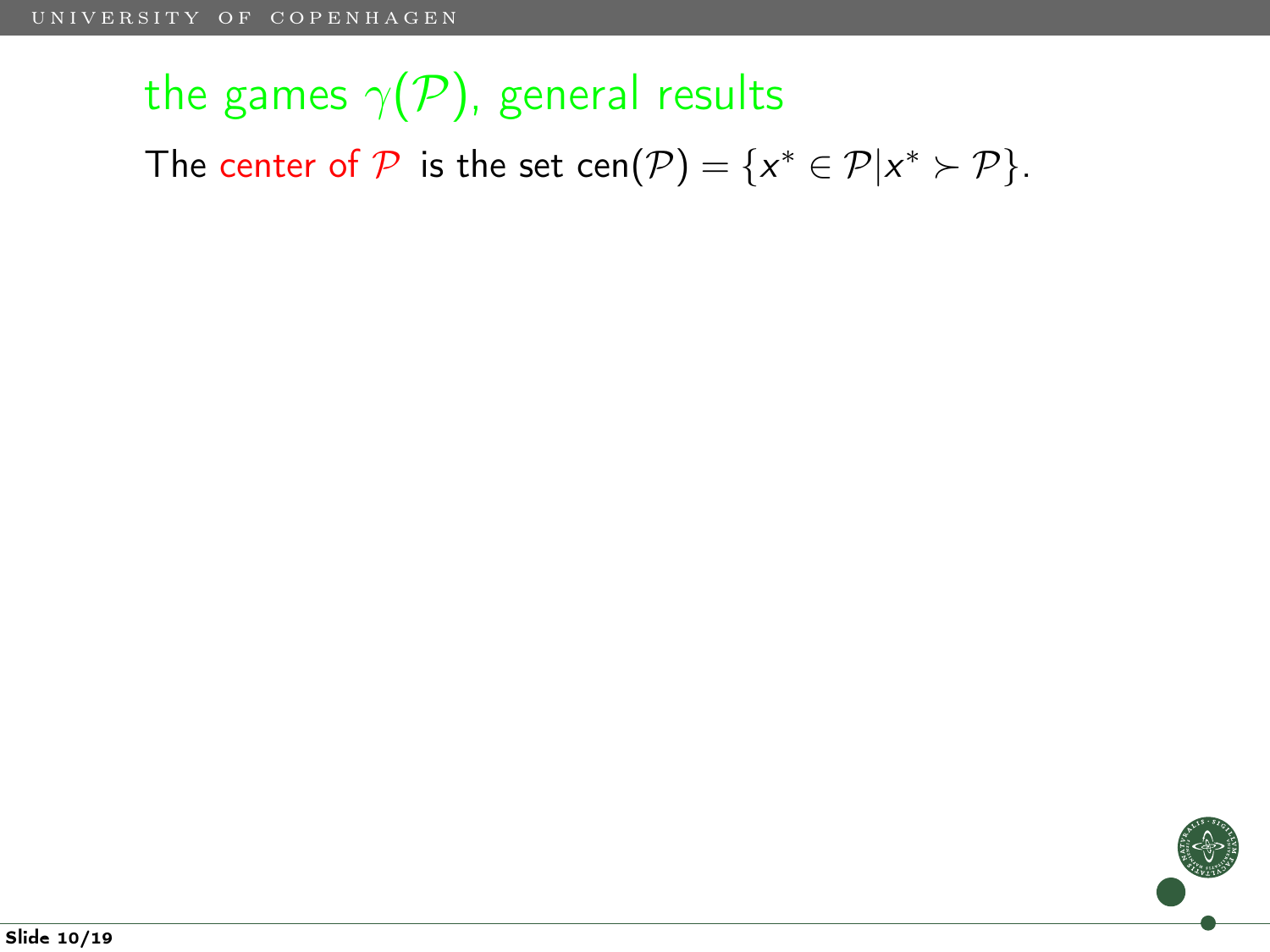# the games  $\gamma(\mathcal{P})$ , general results

The center of  $P$  is the set cen $(P) = \{x^* \in P | x^* \succ P\}.$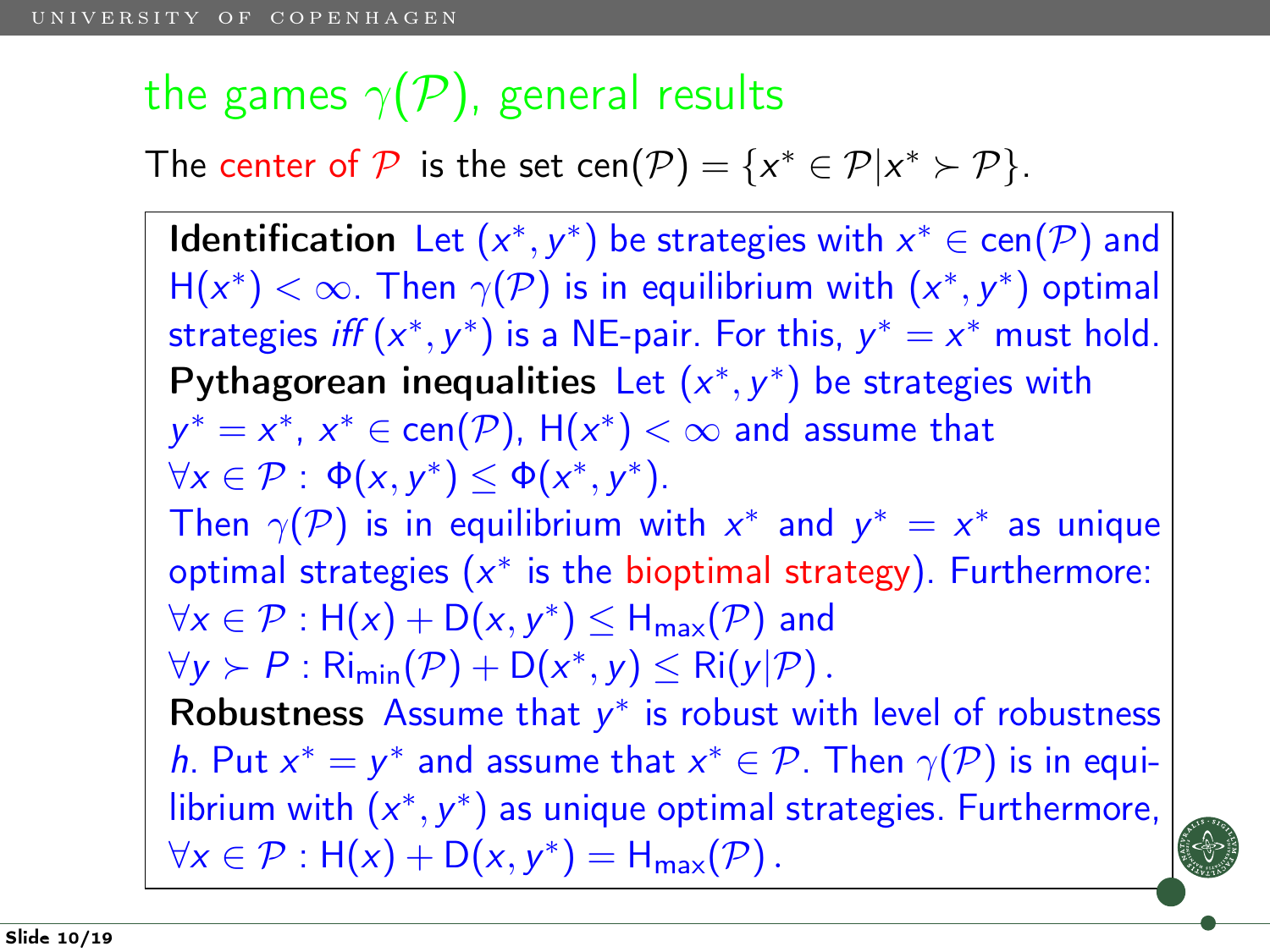# the games  $\gamma(\mathcal{P})$ , general results

The center of  $P$  is the set cen $(P) = \{x^* \in P | x^* \succ P\}.$ 

Identification Let  $(x^*, y^*)$  be strategies with  $x^* \in \text{cen}(\mathcal{P})$  and  $H(x^*) < \infty$ . Then  $\gamma(\mathcal{P})$  is in equilibrium with  $(x^*, y^*)$  optimal strategies iff  $(x^*, y^*)$  is a NE-pair. For this,  $y^* = x^*$  must hold. Pythagorean inequalities Let  $(x^*, y^*)$  be strategies with  $y^* = x^*$ ,  $x^* \in \mathsf{cen}(\mathcal{P})$ ,  $\mathsf{H}(x^*) < \infty$  and assume that  $\forall x \in \mathcal{P}: \Phi(x, y^*) \leq \Phi(x^*, y^*).$ Then  $\gamma(\mathcal{P})$  is in equilibrium with  $x^*$  and  $y^* = x^*$  as unique optimal strategies  $(x^*$  is the bioptimal strategy). Furthermore:  $\forall x \in \mathcal{P}: H(x) + D(x, y^*) \leq H_{\mathsf{max}}(\mathcal{P})$  and  $\forall y \succ P : \text{Ri}_{\text{min}}(\mathcal{P}) + \text{D}(x^*, y) \leq \text{Ri}(y|\mathcal{P})$ . Robustness Assume that  $y^*$  is robust with level of robustness h. Put  $x^* = y^*$  and assume that  $x^* \in \mathcal{P}$ . Then  $\gamma(\mathcal{P})$  is in equilibrium with  $(x^*, y^*)$  as unique optimal strategies. Furthermore,  $\forall x \in \mathcal{P} : H(x) + D(x, y^*) = H_{\text{max}}(\mathcal{P}).$ 

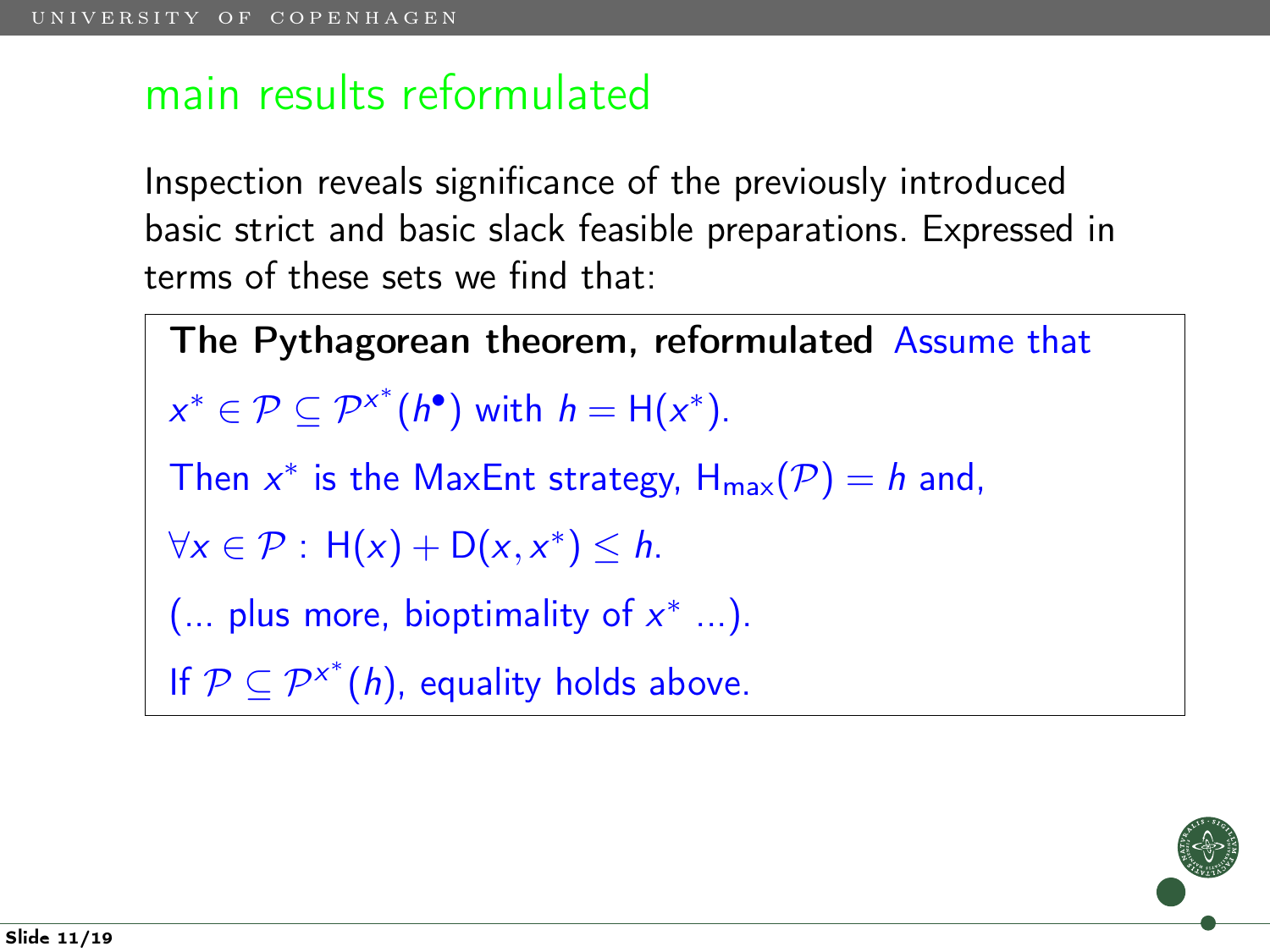### main results reformulated

Inspection reveals significance of the previously introduced basic strict and basic slack feasible preparations. Expressed in terms of these sets we find that:

The Pythagorean theorem, reformulated Assume that  $x^* \in \mathcal{P} \subseteq \mathcal{P}^{x^*}(h^{\bullet})$  with  $h = H(x^*)$ . Then  $x^*$  is the MaxEnt strategy,  $H_{max}(P) = h$  and,  $\forall x \in \mathcal{P}: H(x) + D(x, x^*) \leq h.$  $(...$  plus more, bioptimality of  $x^*$  ...). If  $P \subseteq P^{x^*}(h)$ , equality holds above.

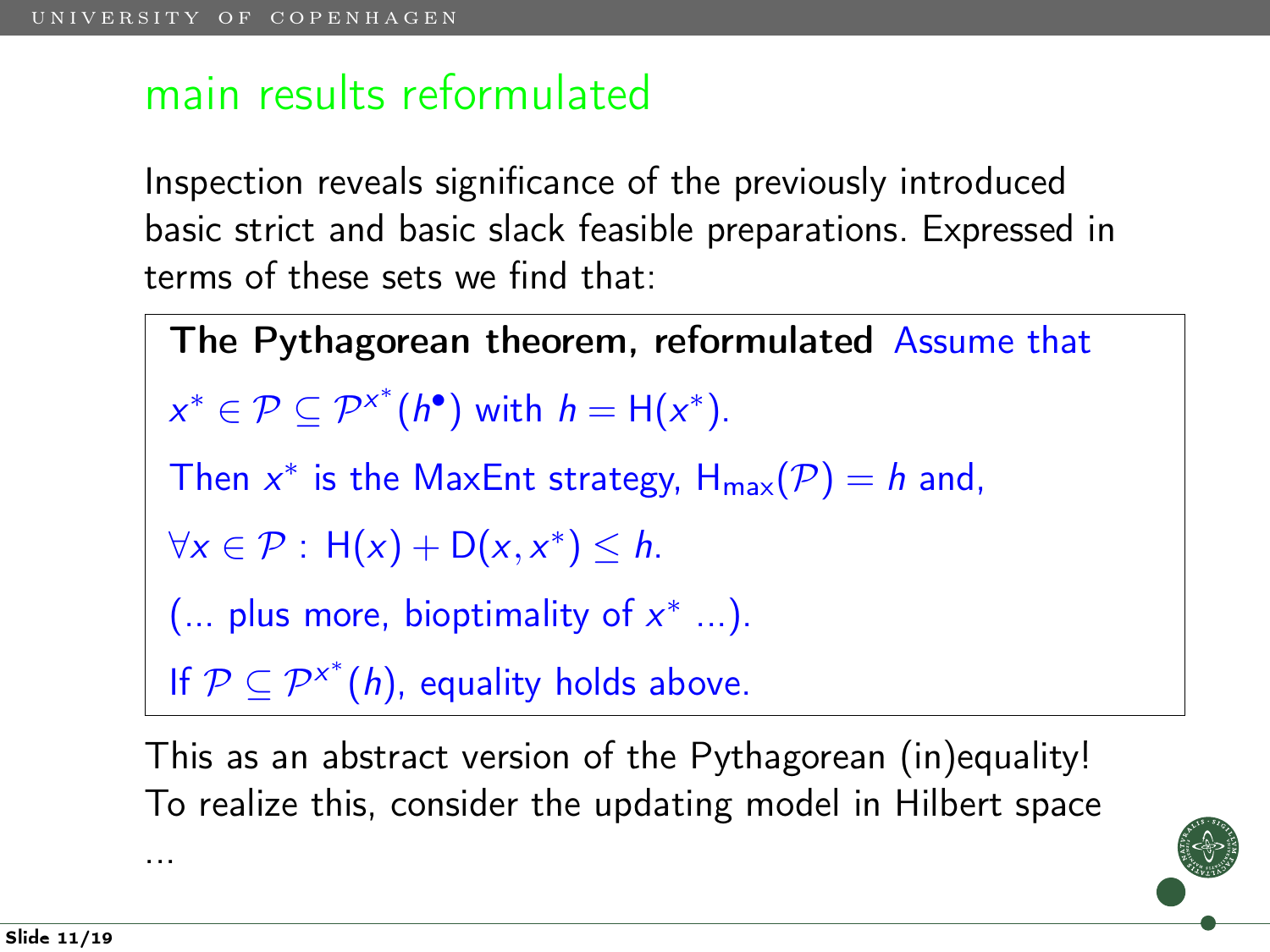## main results reformulated

Inspection reveals significance of the previously introduced basic strict and basic slack feasible preparations. Expressed in terms of these sets we find that:

The Pythagorean theorem, reformulated Assume that  $x^* \in \mathcal{P} \subseteq \mathcal{P}^{x^*}(h^{\bullet})$  with  $h = H(x^*)$ . Then  $x^*$  is the MaxEnt strategy,  $H_{max}(P) = h$  and,  $\forall x \in \mathcal{P}: H(x) + D(x, x^*) \leq h.$  $(...$  plus more, bioptimality of  $x^*$  ...). If  $P \subseteq P^{x^*}(h)$ , equality holds above.

This as an abstract version of the Pythagorean (in)equality! To realize this, consider the updating model in Hilbert space

...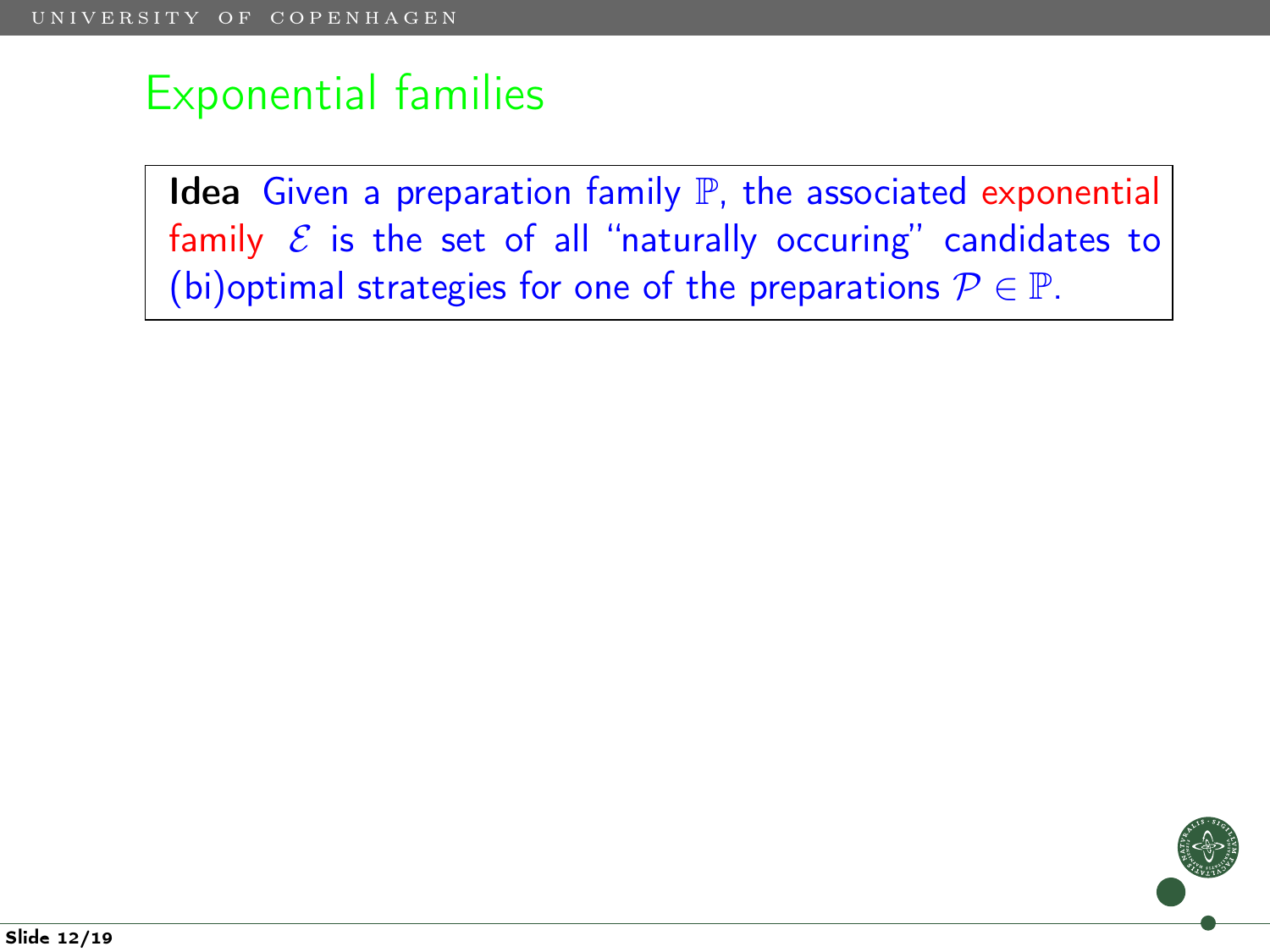Idea Given a preparation family  $P$ , the associated exponential family  $\mathcal E$  is the set of all "naturally occuring" candidates to (bi)optimal strategies for one of the preparations  $P \in \mathbb{P}$ .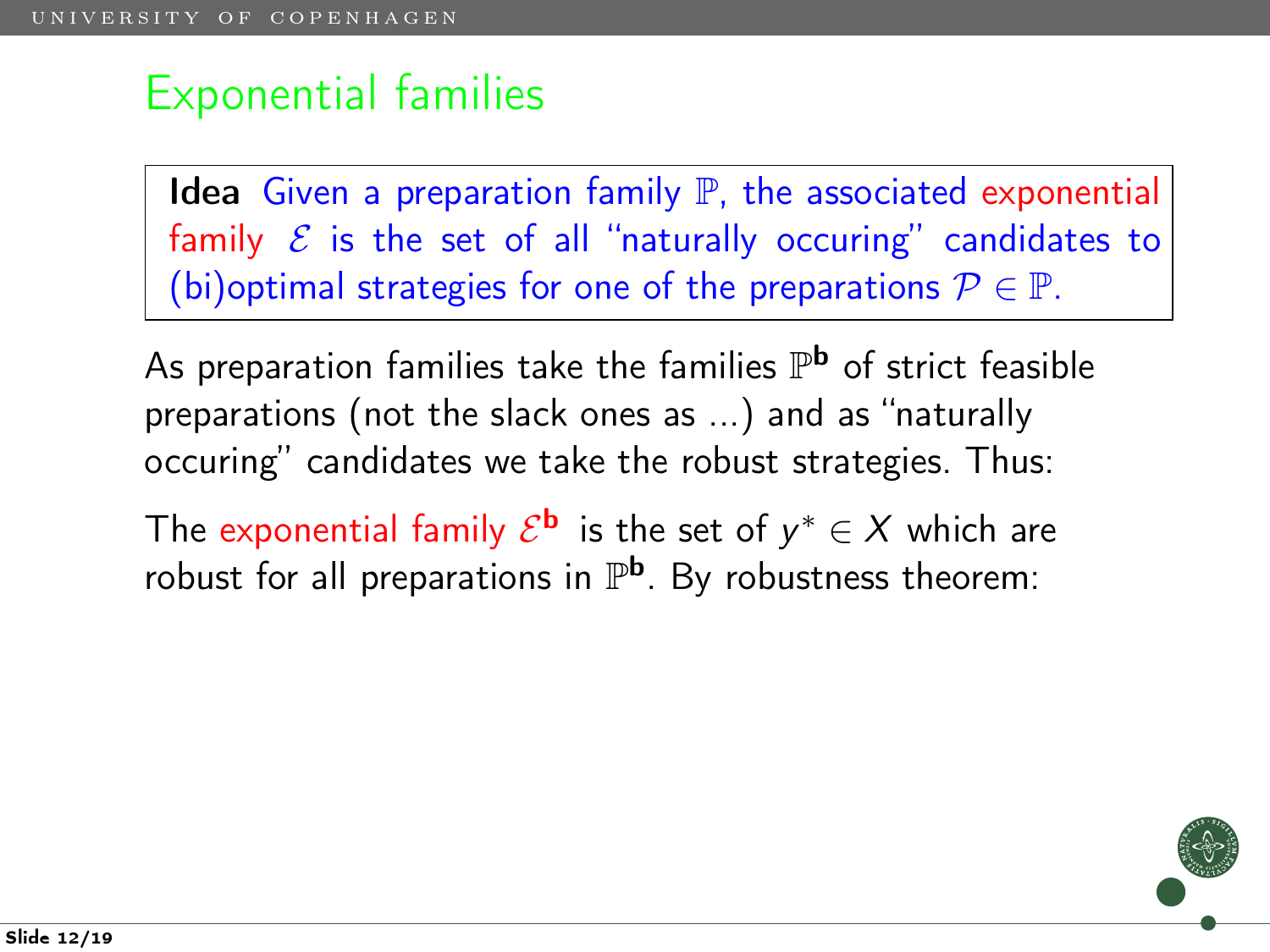Idea Given a preparation family  $P$ , the associated exponential family  $\mathcal E$  is the set of all "naturally occuring" candidates to (bi)optimal strategies for one of the preparations  $P \in \mathbb{P}$ .

As preparation families take the families  $\mathbb{P}^{\mathbf{b}}$  of strict feasible preparations (not the slack ones as ...) and as "naturally occuring" candidates we take the robust strategies. Thus:

The exponential family  $\mathcal{E}^{\mathbf{b}}$  is the set of  $y^* \in X$  which are robust for all preparations in  $\mathbb{P}^{\mathsf{b}}$ . By robustness theorem: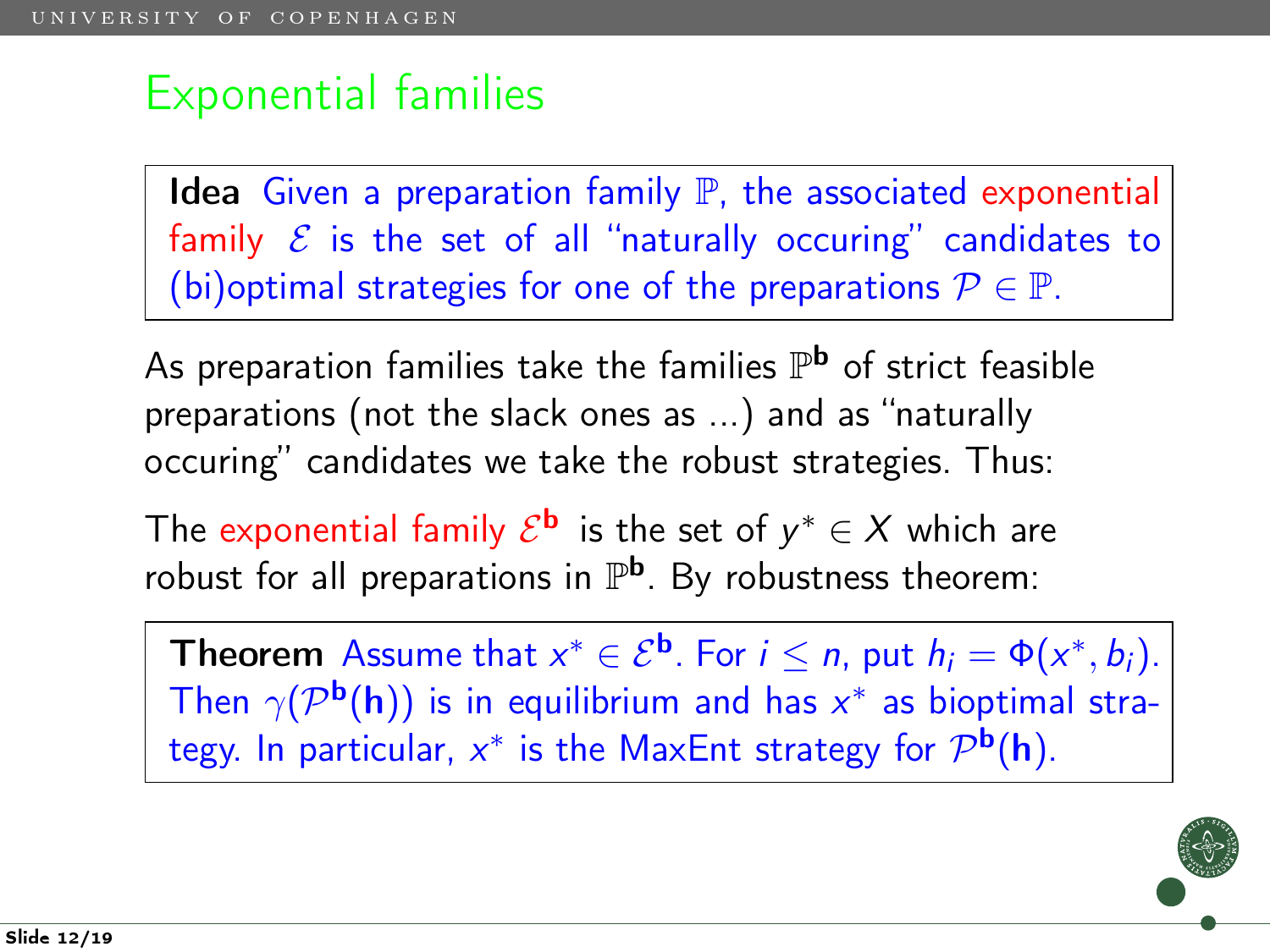Idea Given a preparation family  $P$ , the associated exponential family  $\mathcal E$  is the set of all "naturally occuring" candidates to (bi)optimal strategies for one of the preparations  $P \in \mathbb{P}$ .

As preparation families take the families  $\mathbb{P}^{\mathbf{b}}$  of strict feasible preparations (not the slack ones as ...) and as "naturally occuring" candidates we take the robust strategies. Thus:

The exponential family  $\mathcal{E}^{\mathbf{b}}$  is the set of  $y^* \in X$  which are robust for all preparations in  $\mathbb{P}^{\mathsf{b}}$ . By robustness theorem:

**Theorem** Assume that  $x^* \in \mathcal{E}^{\mathbf{b}}$ . For  $i \leq n$ , put  $h_i = \Phi(x^*, b_i)$ . Then  $\gamma(\mathcal{P}^{\mathbf{b}}(\mathbf{h}))$  is in equilibrium and has  $x^*$  as bioptimal strategy. In particular,  $x^*$  is the MaxEnt strategy for  $\mathcal{P}^{\mathbf{b}}(\mathbf{h}).$ 

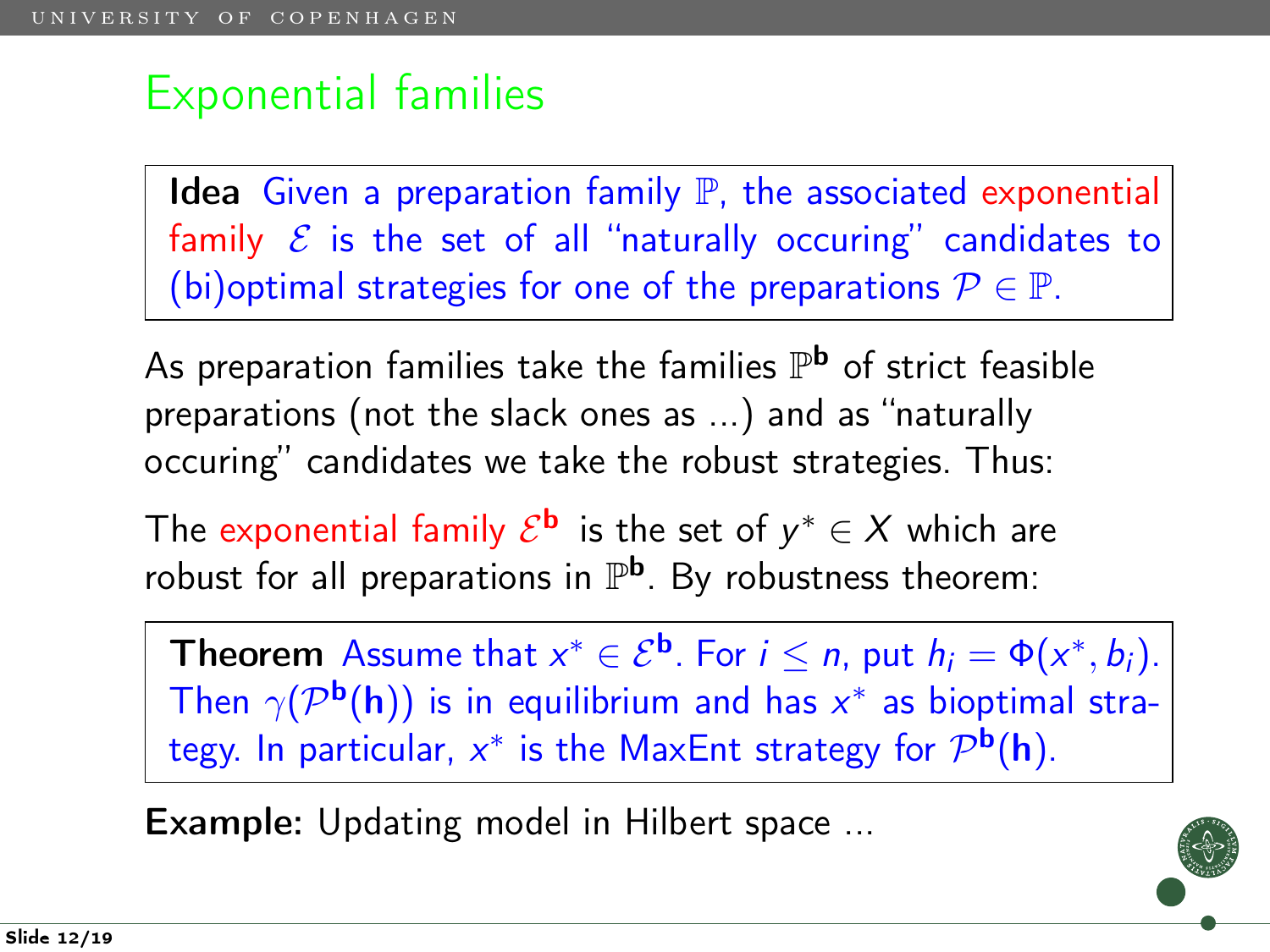Idea Given a preparation family  $P$ , the associated exponential family  $\mathcal E$  is the set of all "naturally occuring" candidates to (bi)optimal strategies for one of the preparations  $P \in \mathbb{P}$ .

As preparation families take the families  $\mathbb{P}^{\mathbf{b}}$  of strict feasible preparations (not the slack ones as ...) and as "naturally occuring" candidates we take the robust strategies. Thus:

The exponential family  $\mathcal{E}^{\mathbf{b}}$  is the set of  $y^* \in X$  which are robust for all preparations in  $\mathbb{P}^{\mathsf{b}}$ . By robustness theorem:

**Theorem** Assume that  $x^* \in \mathcal{E}^{\mathbf{b}}$ . For  $i \leq n$ , put  $h_i = \Phi(x^*, b_i)$ . Then  $\gamma(\mathcal{P}^{\mathbf{b}}(\mathbf{h}))$  is in equilibrium and has  $x^*$  as bioptimal strategy. In particular,  $x^*$  is the MaxEnt strategy for  $\mathcal{P}^{\mathbf{b}}(\mathbf{h}).$ 

Example: Updating model in Hilbert space ...

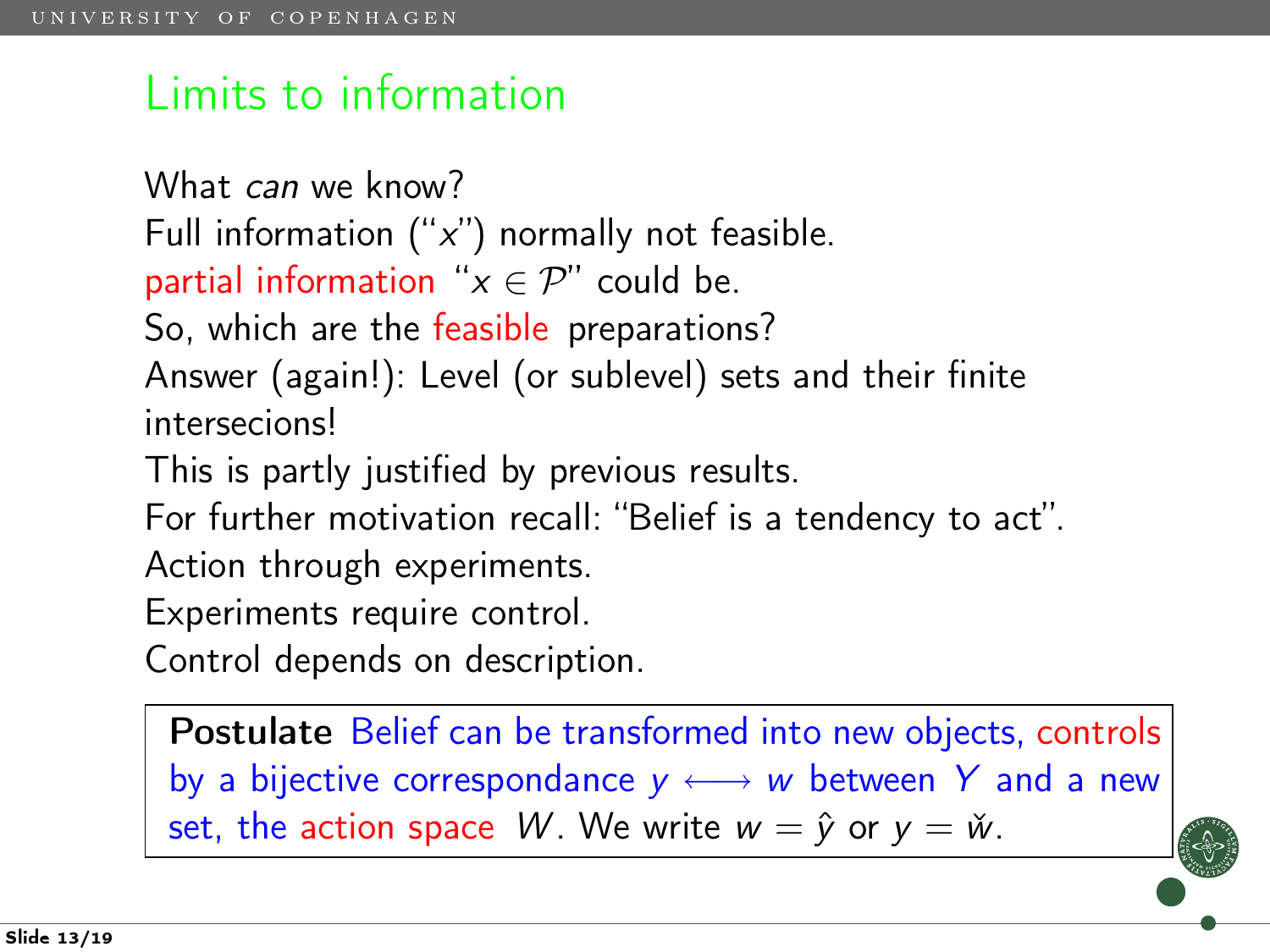### Limits to information

What can we know? Full information  $("x")$  normally not feasible. partial information " $x \in \mathcal{P}$ " could be. So, which are the feasible preparations? Answer (again!): Level (or sublevel) sets and their finite intersecions! This is partly justified by previous results.

For further motivation recall: "Belief is a tendency to act".

Action through experiments.

Experiments require control.

Control depends on description.

Postulate Belief can be transformed into new objects, controls by a bijective correspondance  $y \leftrightarrow w$  between Y and a new set, the action space W. We write  $w = \hat{y}$  or  $y = \check{w}$ .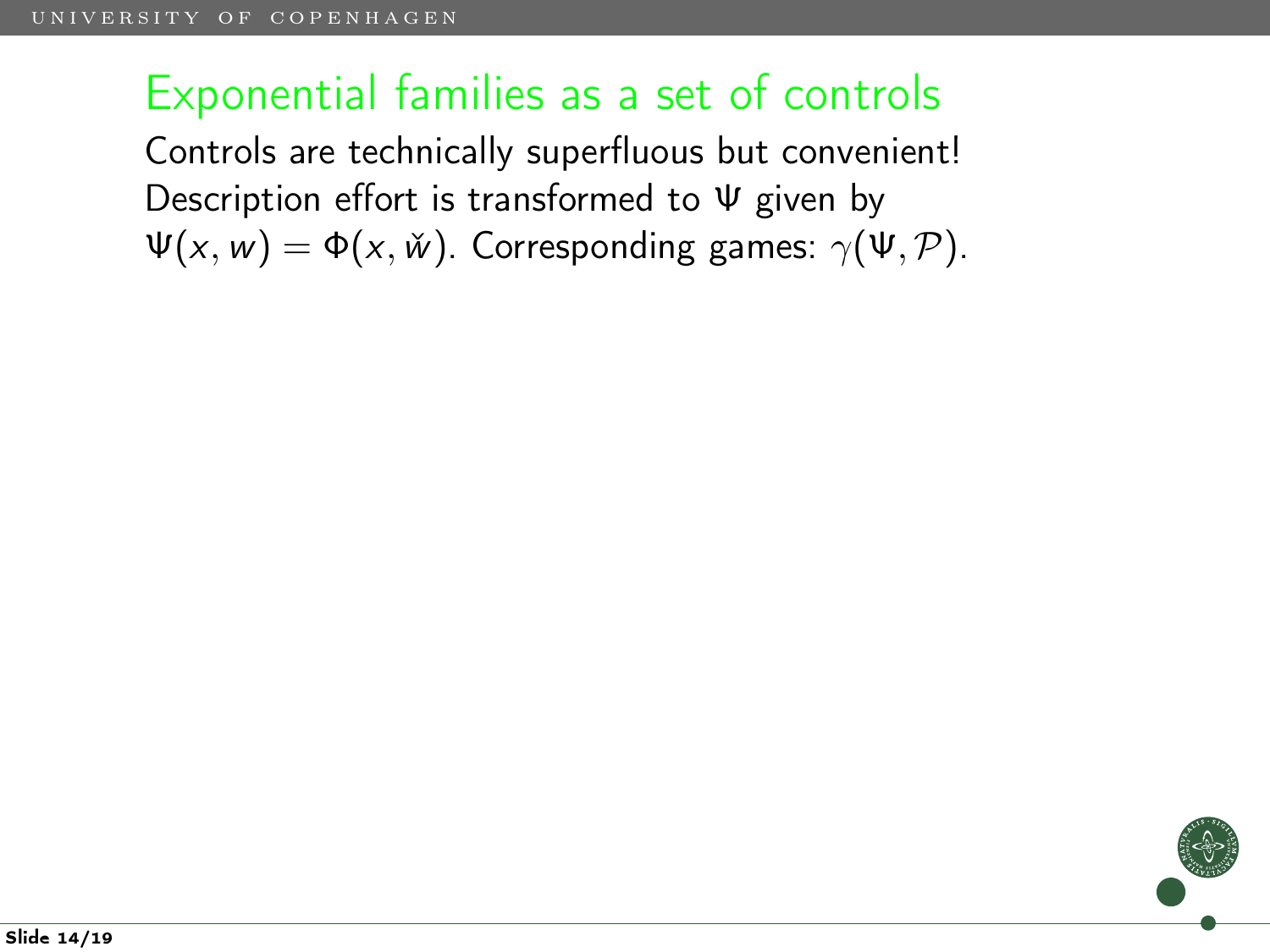Controls are technically superfluous but convenient! Description effort is transformed to Ψ given by  $\Psi(x, w) = \Phi(x, \check{w})$ . Corresponding games:  $\gamma(\Psi, \mathcal{P})$ .

Slide 14/19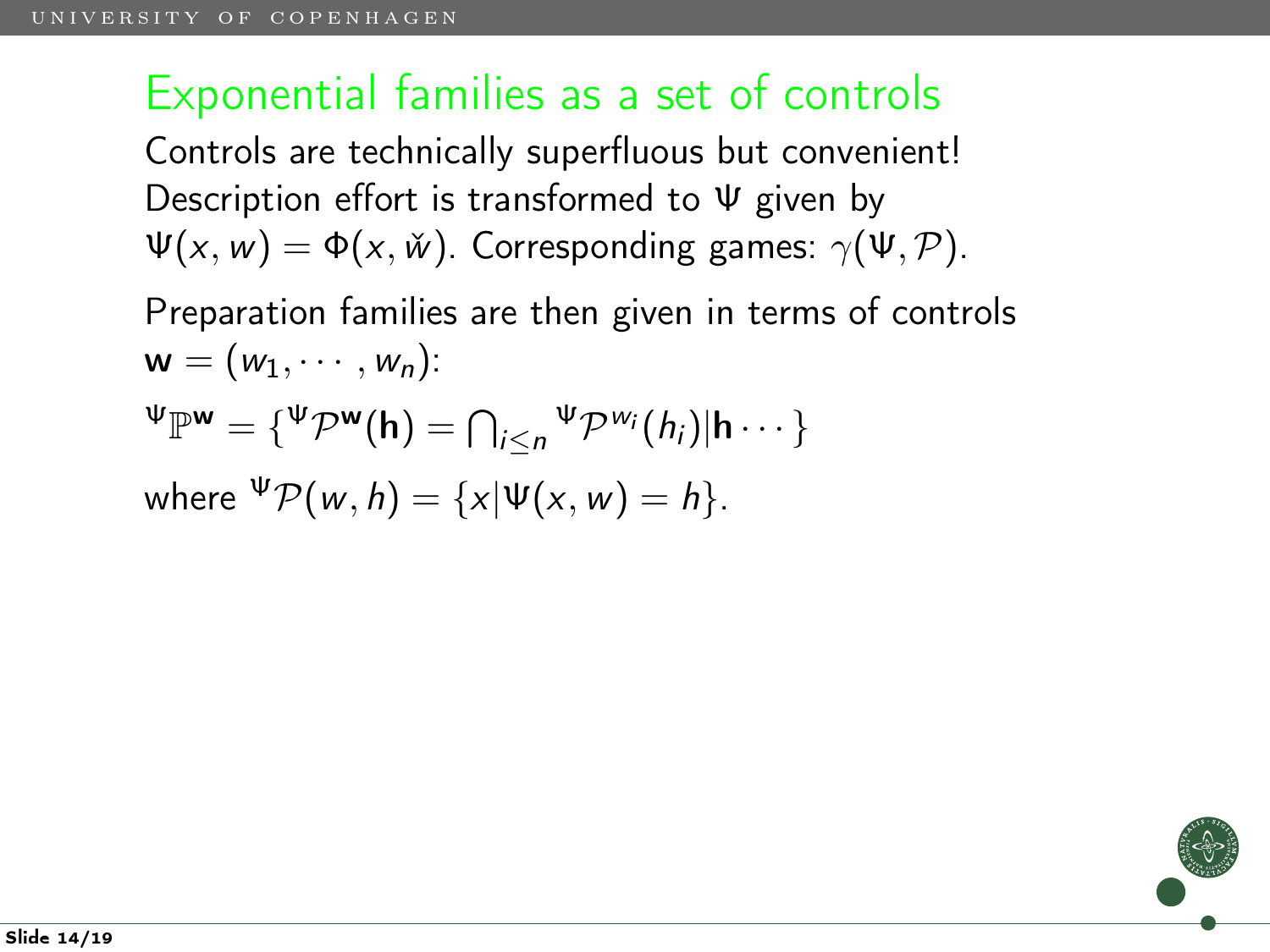Controls are technically superfluous but convenient! Description effort is transformed to Ψ given by  $\Psi(x, w) = \Phi(x, \check{w})$ . Corresponding games:  $\gamma(\Psi, \mathcal{P})$ .

Preparation families are then given in terms of controls  $\mathsf{w} = (w_1, \cdots, w_n)$ :

$$
\Psi_{\mathbb{P}^{\mathbf{w}}} = \{\Psi_{\mathcal{P}^{\mathbf{w}}}(\mathbf{h}) = \bigcap_{i \leq n} \Psi_{\mathcal{P}^{w_i}}(h_i) | \mathbf{h} \cdots \}
$$

where 
$$
\Psi \mathcal{P}(w, h) = \{x | \Psi(x, w) = h\}.
$$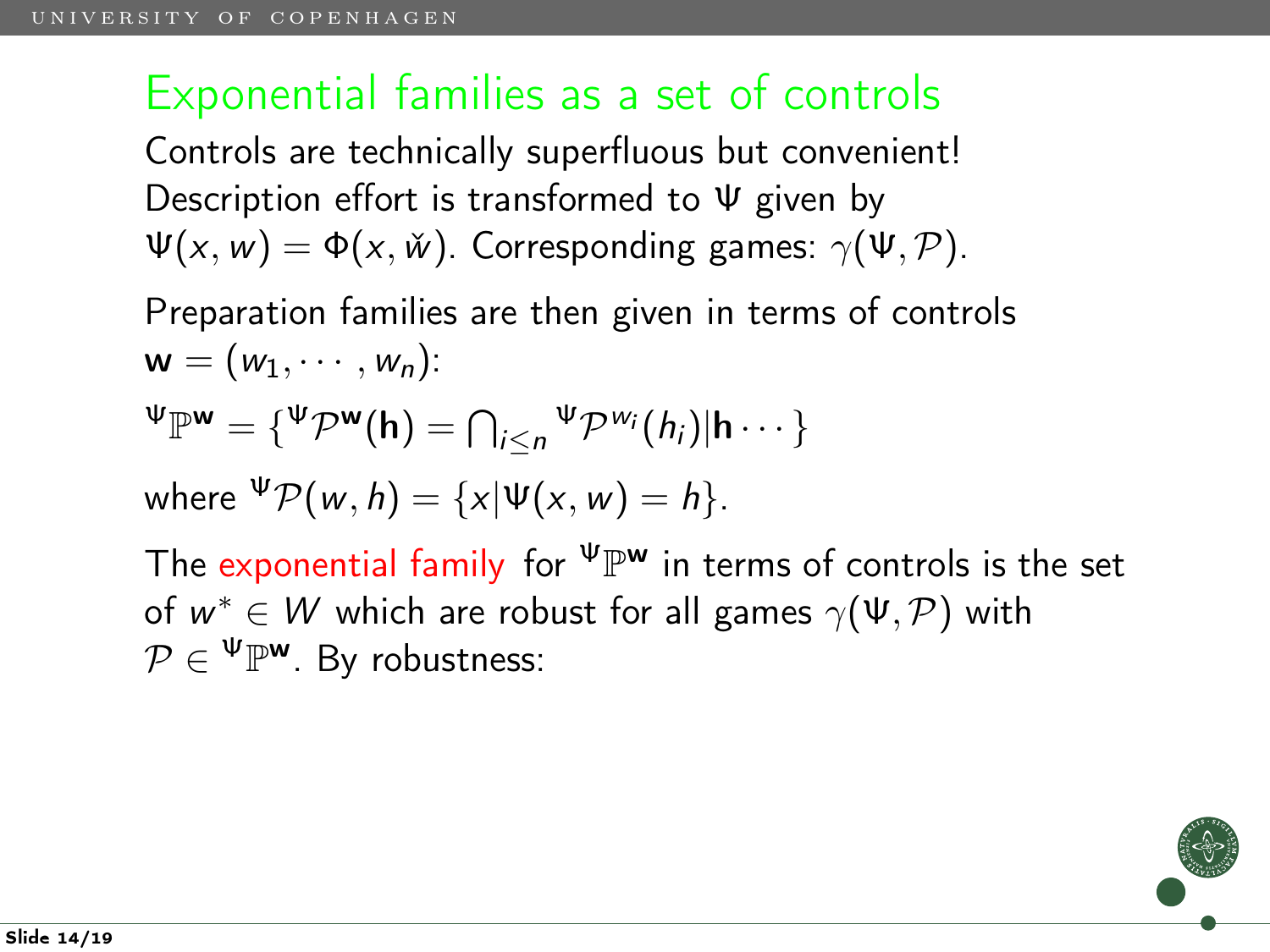Controls are technically superfluous but convenient! Description effort is transformed to Ψ given by  $\Psi(x, w) = \Phi(x, \check{w})$ . Corresponding games:  $\gamma(\Psi, \mathcal{P})$ .

Preparation families are then given in terms of controls  $\mathsf{w} = (w_1, \cdots, w_n)$ :

$$
\Psi_{\mathbb{P}^{\mathbf{w}}} = \{\Psi_{\mathcal{P}^{\mathbf{w}}}(\mathbf{h}) = \bigcap_{i \leq n} \Psi_{\mathcal{P}^{w_i}}(h_i) | \mathbf{h} \cdots \}
$$

where  ${}^{\Psi}P(w, h) = \{x | \Psi(x, w) = h\}.$ 

The exponential family for  $^{\Psi}\mathbb{P}^{\mathsf{w}}$  in terms of controls is the set of  $w^* \in W$  which are robust for all games  $\gamma(\Psi, \mathcal{P})$  with  $\mathcal{P} \in \Psi\mathbb{P}^{\mathsf{w}}$ . By robustness: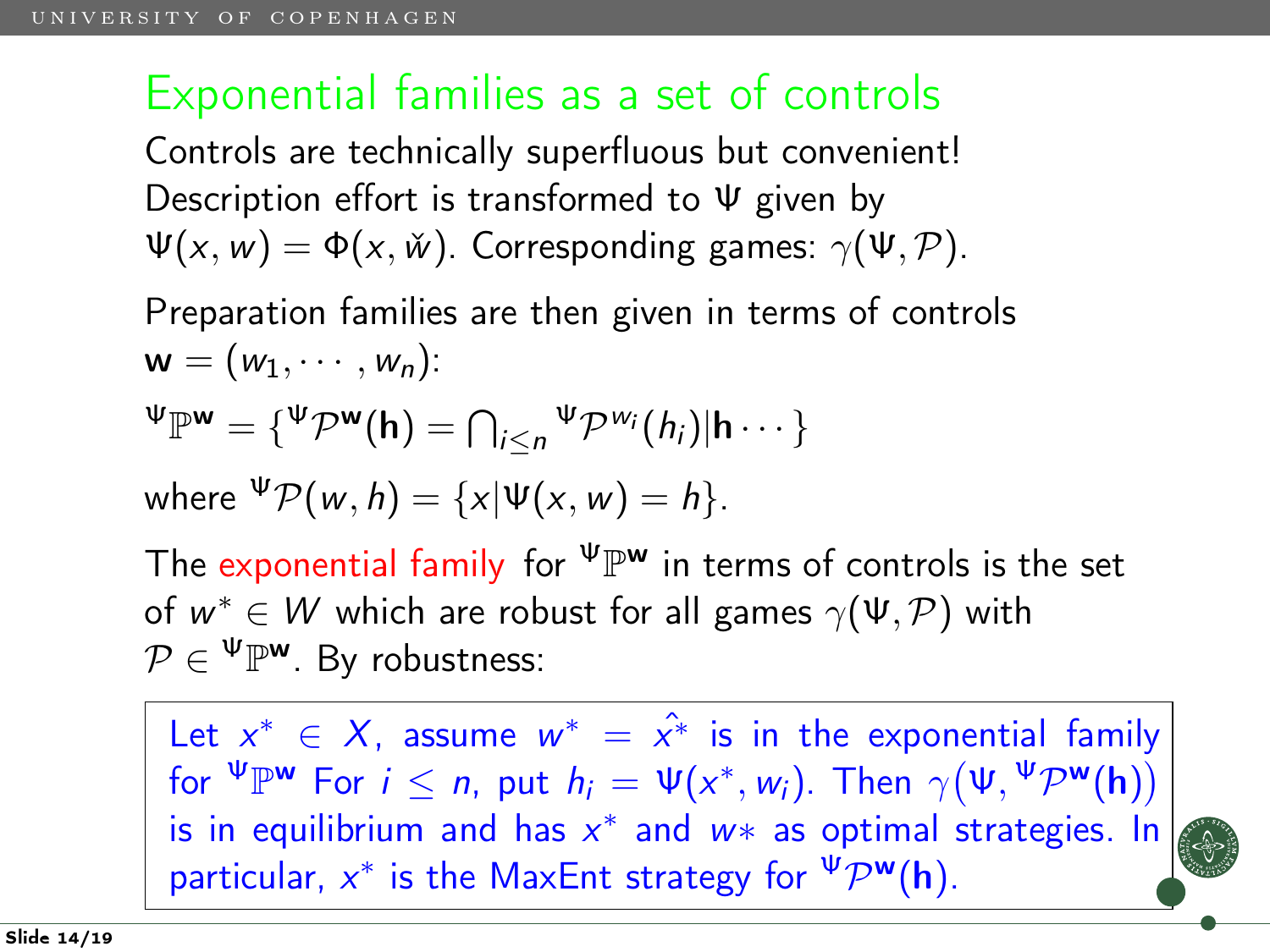Controls are technically superfluous but convenient! Description effort is transformed to Ψ given by  $\Psi(x, w) = \Phi(x, \check{w})$ . Corresponding games:  $\gamma(\Psi, \mathcal{P})$ .

Preparation families are then given in terms of controls  $\mathsf{w} = (w_1, \cdots, w_n)$ :

$$
\Psi_{\mathbb{P}^{\mathbf{w}}} = \{\Psi_{\mathcal{P}^{\mathbf{w}}}(\mathbf{h}) = \bigcap_{i \leq n} \Psi_{\mathcal{P}^{\mathbf{w}_i}}(h_i) | \mathbf{h} \cdots \}
$$

where 
$$
\Psi \mathcal{P}(w, h) = \{x | \Psi(x, w) = h\}.
$$

The exponential family for  $^{\Psi}\mathbb{P}^{\mathsf{w}}$  in terms of controls is the set of  $w^* \in W$  which are robust for all games  $\gamma(\Psi, \mathcal{P})$  with  $\mathcal{P} \in \Psi\mathbb{P}^{\mathsf{w}}$ . By robustness:

Let  $x^* \in X$ , assume  $w^* = \hat{x^*}$  is in the exponential family for  $\mathbf{W}^{\mathbf{w}}$  For  $i \leq n$ , put  $h_i = \Psi(x^*, w_i)$ . Then  $\gamma(\Psi, \Psi \mathcal{P}^{\mathbf{w}}(\mathbf{h}))$ is in equilibrium and has  $x^*$  and w\* as optimal strategies. In particular,  $x^*$  is the MaxEnt strategy for  $\Psi \mathcal{P}^{\mathbf{w}}(\mathbf{h})$ .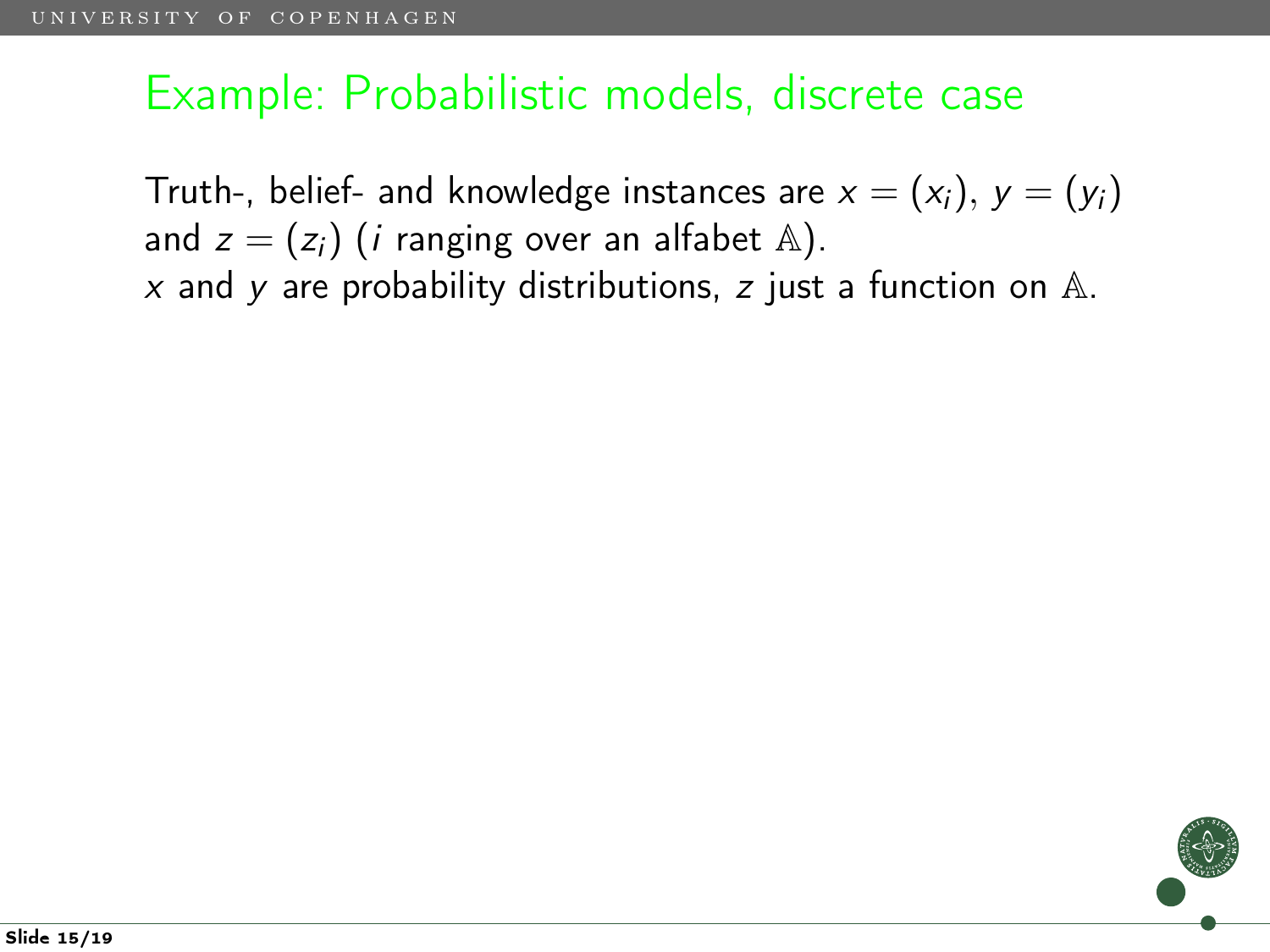#### Example: Probabilistic models, discrete case

Truth-, belief- and knowledge instances are  $x = (x_i)$ ,  $y = (y_i)$ and  $z = (z_i)$  (*i* ranging over an alfabet  $\mathbb{A}$ ).  $x$  and y are probability distributions, z just a function on  $A$ .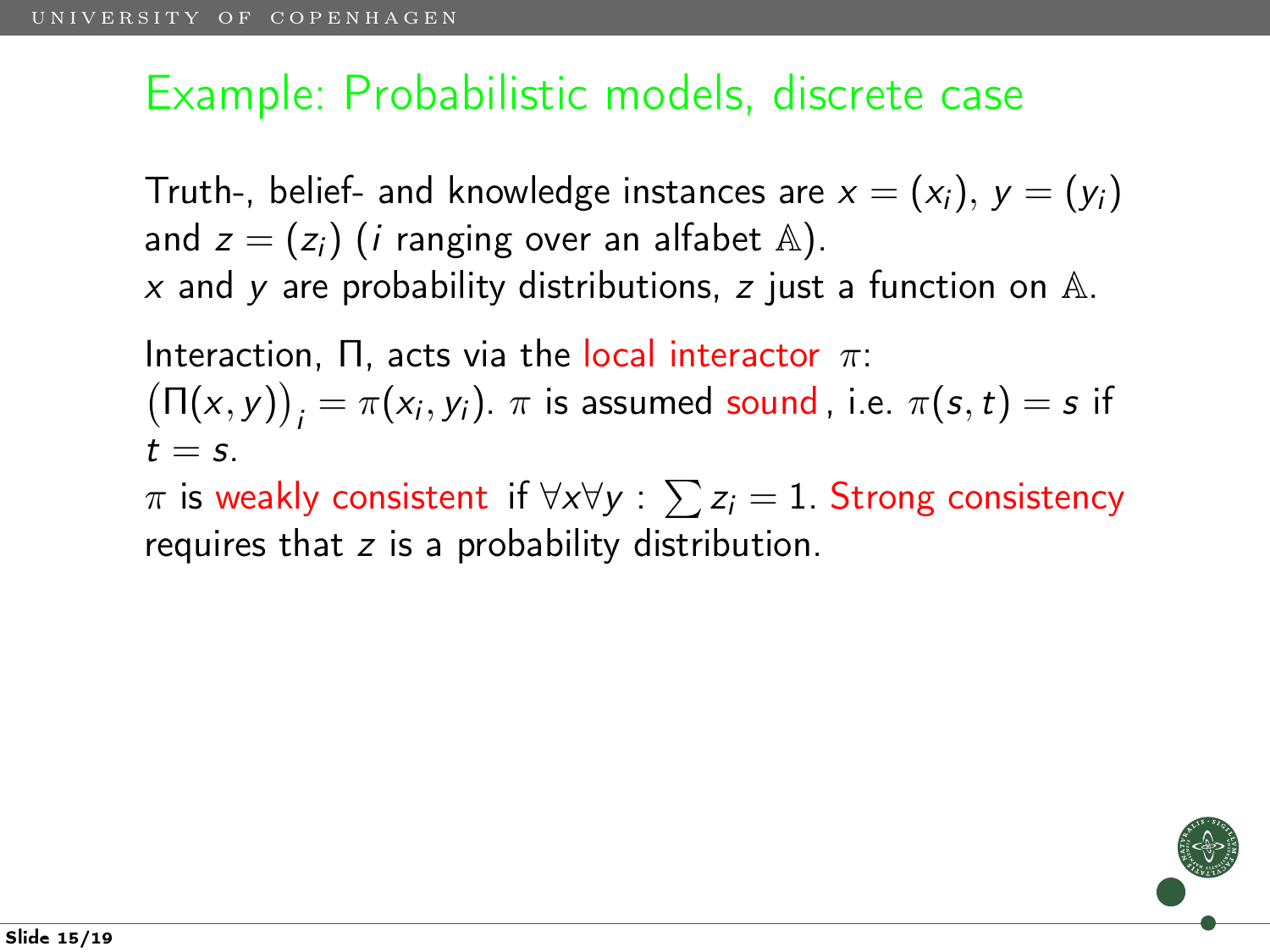#### Example: Probabilistic models, discrete case

Truth-, belief- and knowledge instances are  $x = (x_i)$ ,  $y = (y_i)$ and  $z = (z_i)$  (*i* ranging over an alfabet  $\mathbb{A}$ ). x and y are probability distributions, z just a function on  $A$ .

Interaction,  $\Pi$ , acts via the local interactor  $\pi$ :  $(\Pi(x, y))_i = \pi(x_i, y_i)$ .  $\pi$  is assumed sound, i.e.  $\pi(s, t) = s$  if  $t = s$ .

 $\pi$  is weakly consistent  $\mathsf{if}~\forall \mathsf{x}\forall \mathsf{y}:\sum \mathsf{z}_i = 1.$  Strong consistency requires that z is a probability distribution.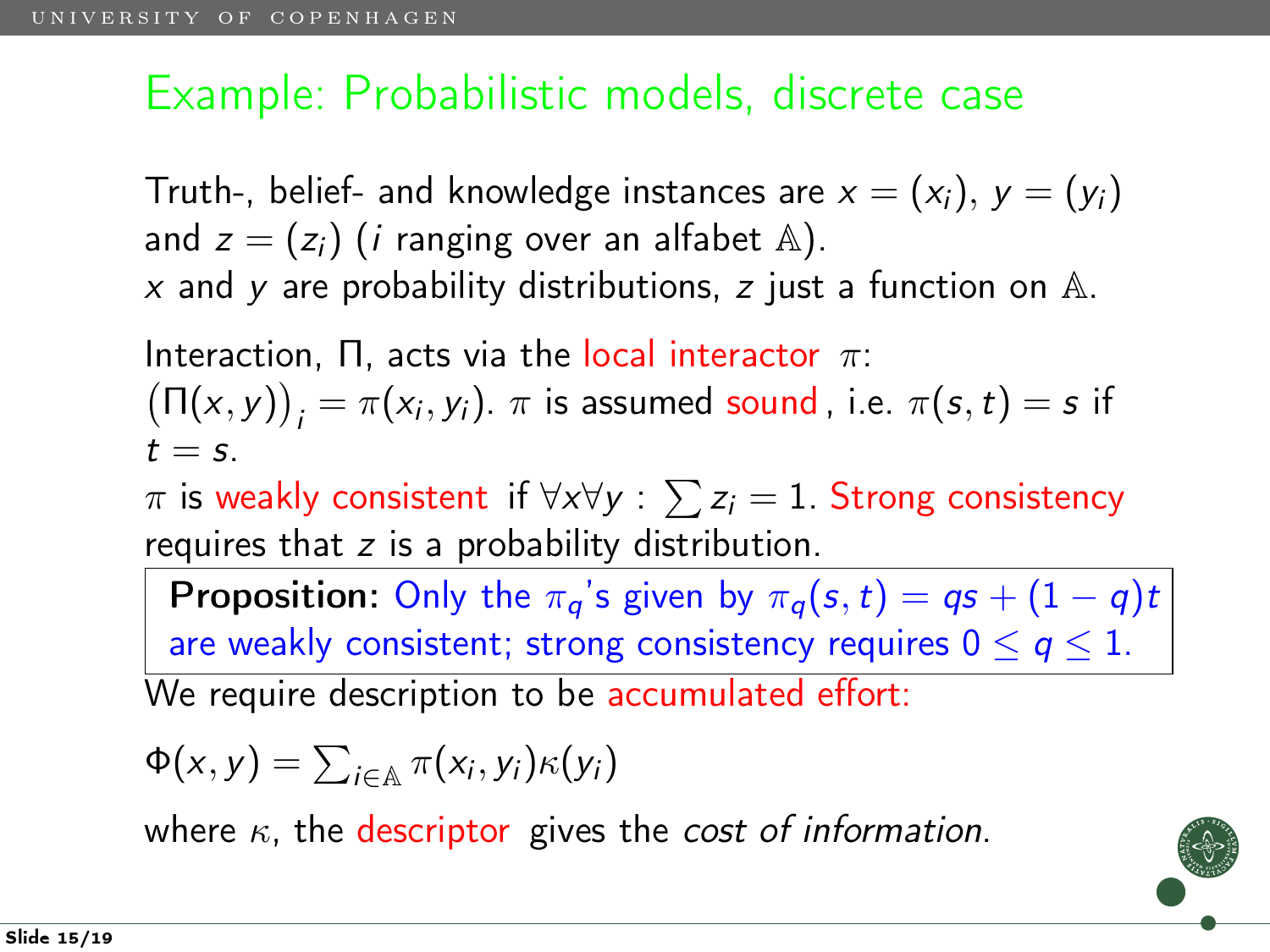### Example: Probabilistic models, discrete case

Truth-, belief- and knowledge instances are  $x = (x_i)$ ,  $y = (y_i)$ and  $z = (z_i)$  (*i* ranging over an alfabet  $\mathbb{A}$ ). x and y are probability distributions, z just a function on  $A$ .

Interaction,  $\Pi$ , acts via the local interactor  $\pi$ :  $(\Pi(x, y))_i = \pi(x_i, y_i)$ .  $\pi$  is assumed sound, i.e.  $\pi(s, t) = s$  if  $t = s$ .

 $\pi$  is weakly consistent  $\mathsf{if}~\forall \mathsf{x}\forall \mathsf{y}:\sum \mathsf{z}_i = 1.$  Strong consistency requires that  $z$  is a probability distribution.

**Proposition:** Only the  $\pi_q$ 's given by  $\pi_q(s,t) = qs + (1 - q)t$ are weakly consistent; strong consistency requires  $0 \le q \le 1$ . We require description to be accumulated effort:

$$
\Phi(x, y) = \sum_{i \in \mathbb{A}} \pi(x_i, y_i) \kappa(y_i)
$$

where  $\kappa$ , the descriptor gives the cost of information.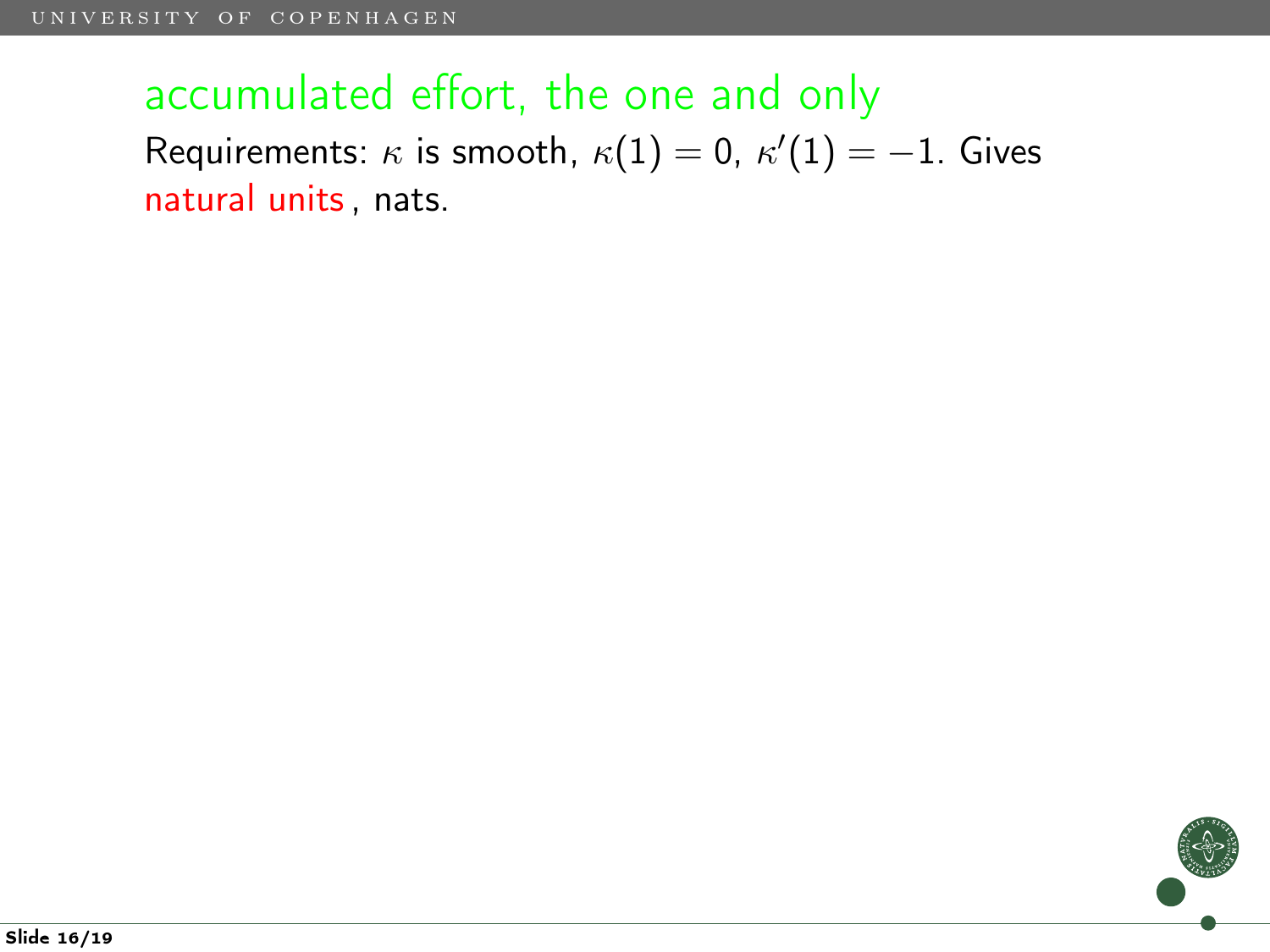## accumulated effort, the one and only Requirements:  $\kappa$  is smooth,  $\kappa(1)=0$ ,  $\kappa'(1)=-1.$  Gives natural units, nats.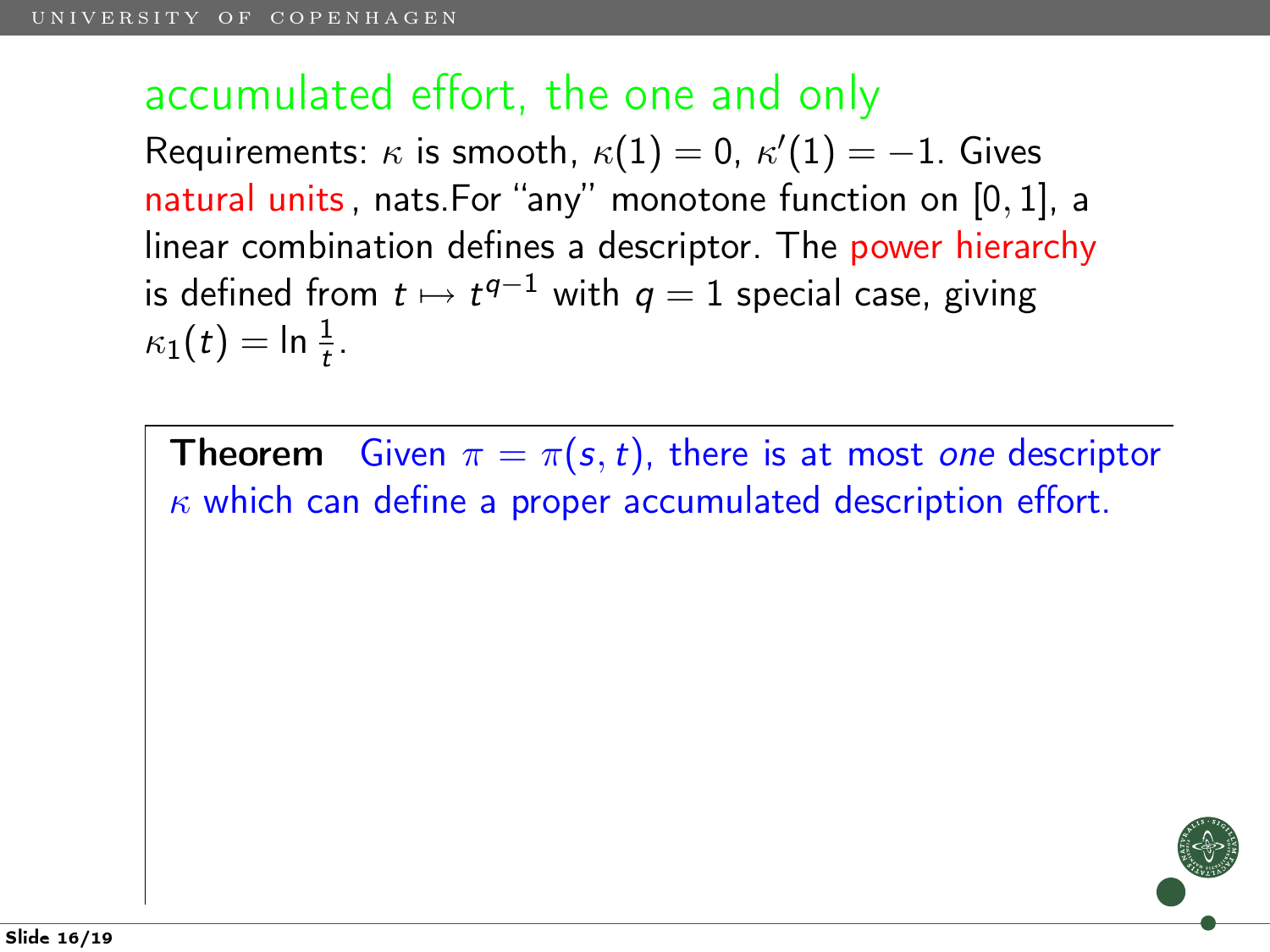#### accumulated effort, the one and only

Requirements:  $\kappa$  is smooth,  $\kappa(1)=0$ ,  $\kappa'(1)=-1.$  Gives natural units, nats.For "any" monotone function on [0, 1], a linear combination defines a descriptor. The power hierarchy is defined from  $t \mapsto t^{q-1}$  with  $q=1$  special case, giving  $\kappa_1(t) = \ln \frac{1}{t}$ .

**Theorem** Given  $\pi = \pi(s, t)$ , there is at most one descriptor  $\kappa$  which can define a proper accumulated description effort.

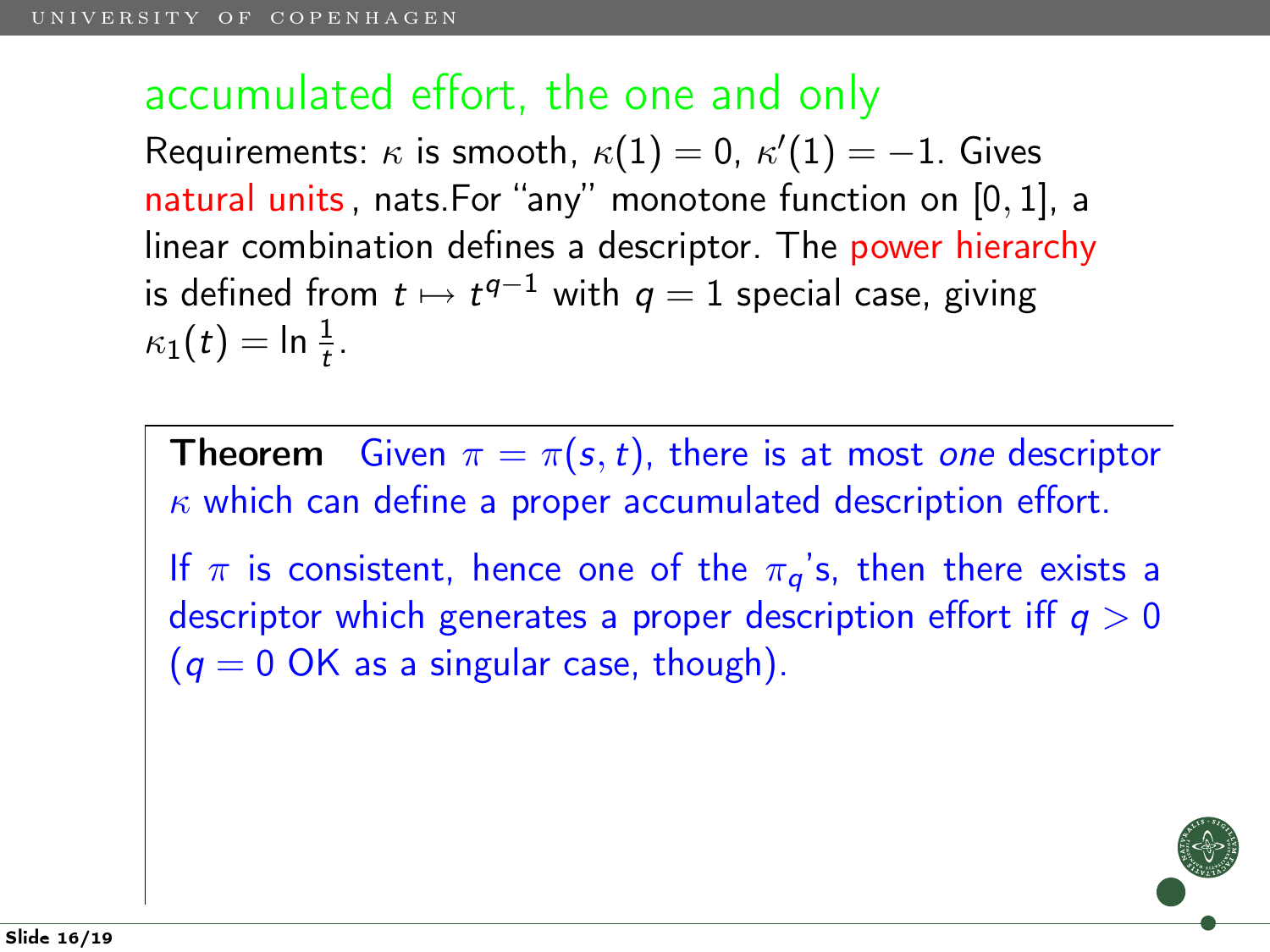#### accumulated effort, the one and only

Requirements:  $\kappa$  is smooth,  $\kappa(1)=0$ ,  $\kappa'(1)=-1.$  Gives natural units, nats.For "any" monotone function on [0, 1], a linear combination defines a descriptor. The power hierarchy is defined from  $t \mapsto t^{q-1}$  with  $q=1$  special case, giving  $\kappa_1(t) = \ln \frac{1}{t}$ .

**Theorem** Given  $\pi = \pi(s, t)$ , there is at most one descriptor  $\kappa$  which can define a proper accumulated description effort. If  $\pi$  is consistent, hence one of the  $\pi_q$ 's, then there exists a

descriptor which generates a proper description effort iff  $q > 0$  $(q = 0 \text{ OK as a singular case, though}).$ 

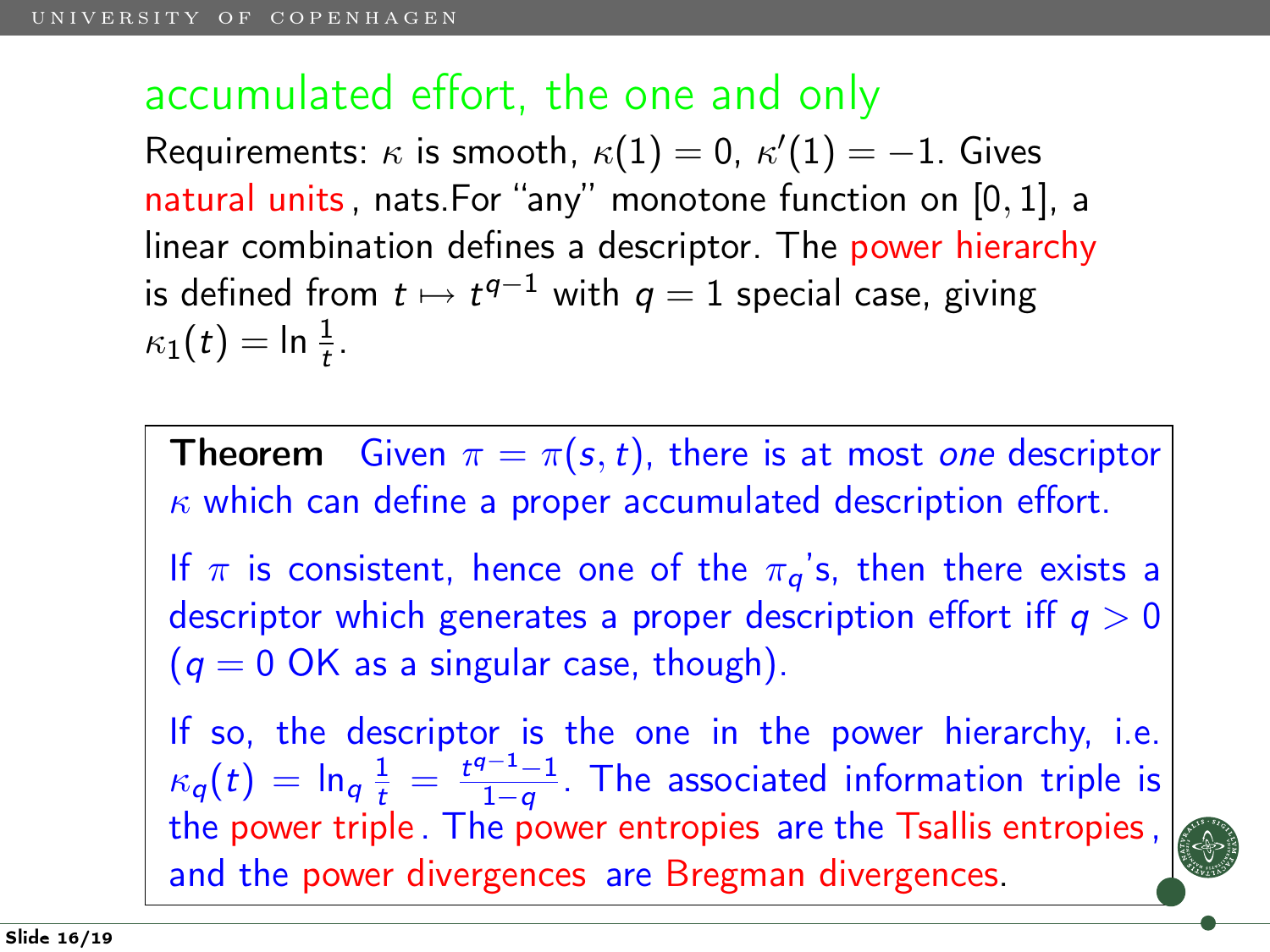### accumulated effort, the one and only

Requirements:  $\kappa$  is smooth,  $\kappa(1)=0$ ,  $\kappa'(1)=-1.$  Gives natural units, nats.For "any" monotone function on [0, 1], a linear combination defines a descriptor. The power hierarchy is defined from  $t \mapsto t^{q-1}$  with  $q=1$  special case, giving  $\kappa_1(t) = \ln \frac{1}{t}$ .

**Theorem** Given  $\pi = \pi(s, t)$ , there is at most one descriptor  $\kappa$  which can define a proper accumulated description effort. If  $\pi$  is consistent, hence one of the  $\pi_{\alpha}$ 's, then there exists a descriptor which generates a proper description effort iff  $q > 0$  $(q = 0 \text{ OK as a singular case, though}).$ 

If so, the descriptor is the one in the power hierarchy, i.e.  $\kappa_{q}(t) = \ln_{q} \frac{1}{t} = \frac{t^{q-1}-1}{1-q}$  $\frac{q-1}{1-q}$ . The associated information triple is the power triple . The power entropies are the Tsallis entropies, and the power divergences are Bregman divergences.

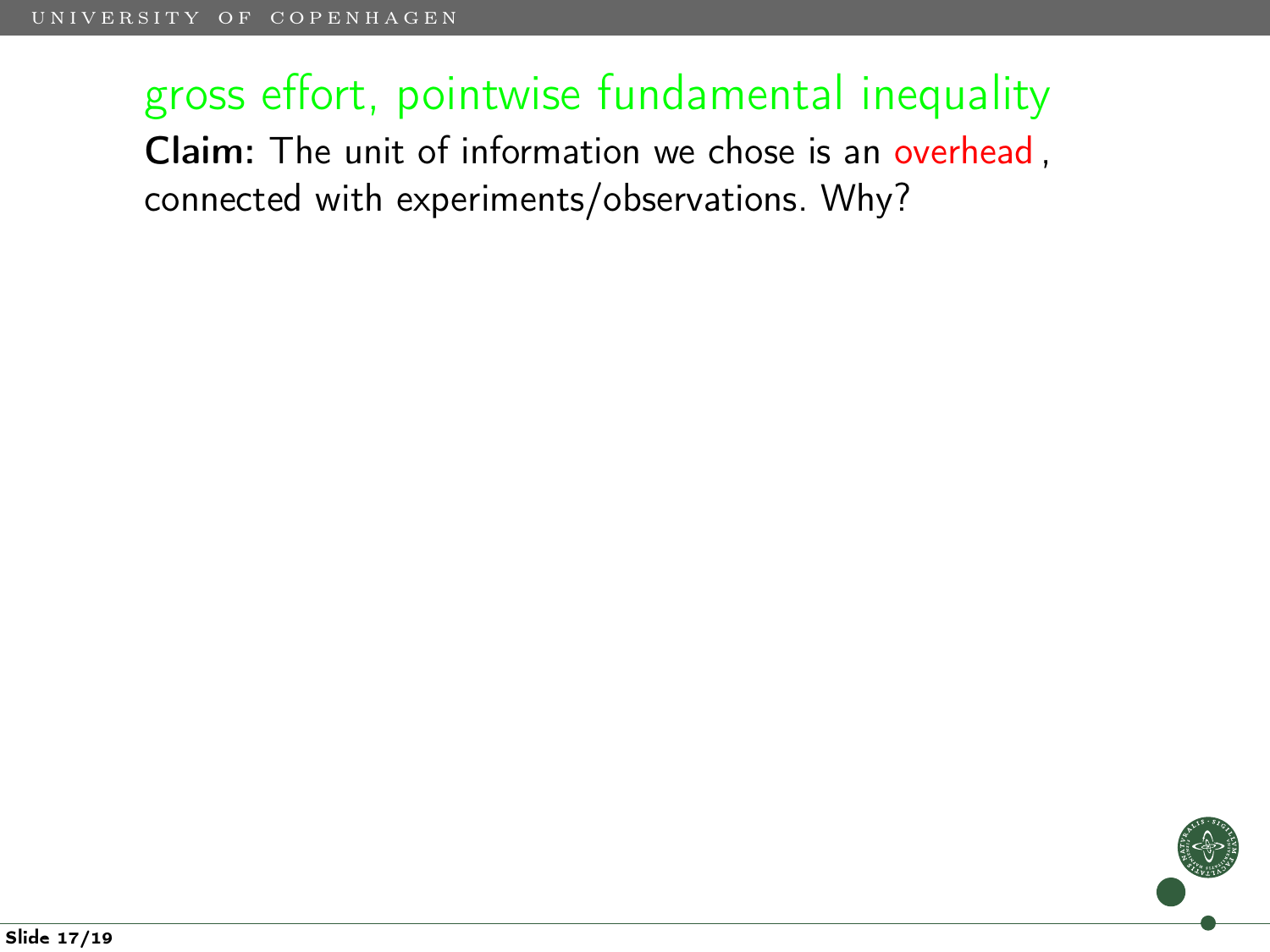## gross effort, pointwise fundamental inequality Claim: The unit of information we chose is an overhead , connected with experiments/observations. Why?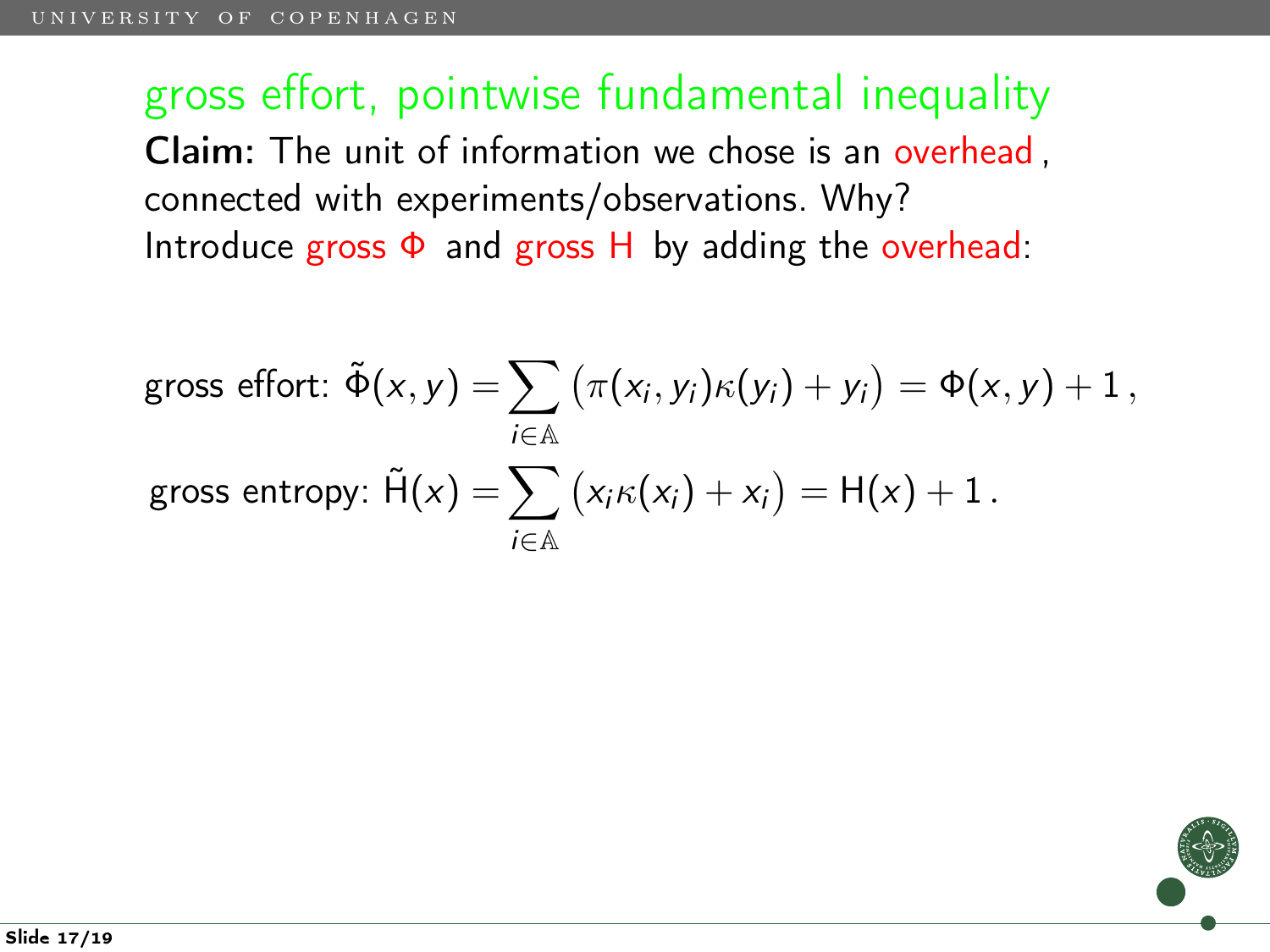gross effort: 
$$
\tilde{\Phi}(x, y) = \sum_{i \in \mathbb{A}} (\pi(x_i, y_i) \kappa(y_i) + y_i) = \Phi(x, y) + 1,
$$
  
gross entropy:  $\tilde{H}(x) = \sum_{i \in \mathbb{A}} (x_i \kappa(x_i) + x_i) = H(x) + 1.$ 

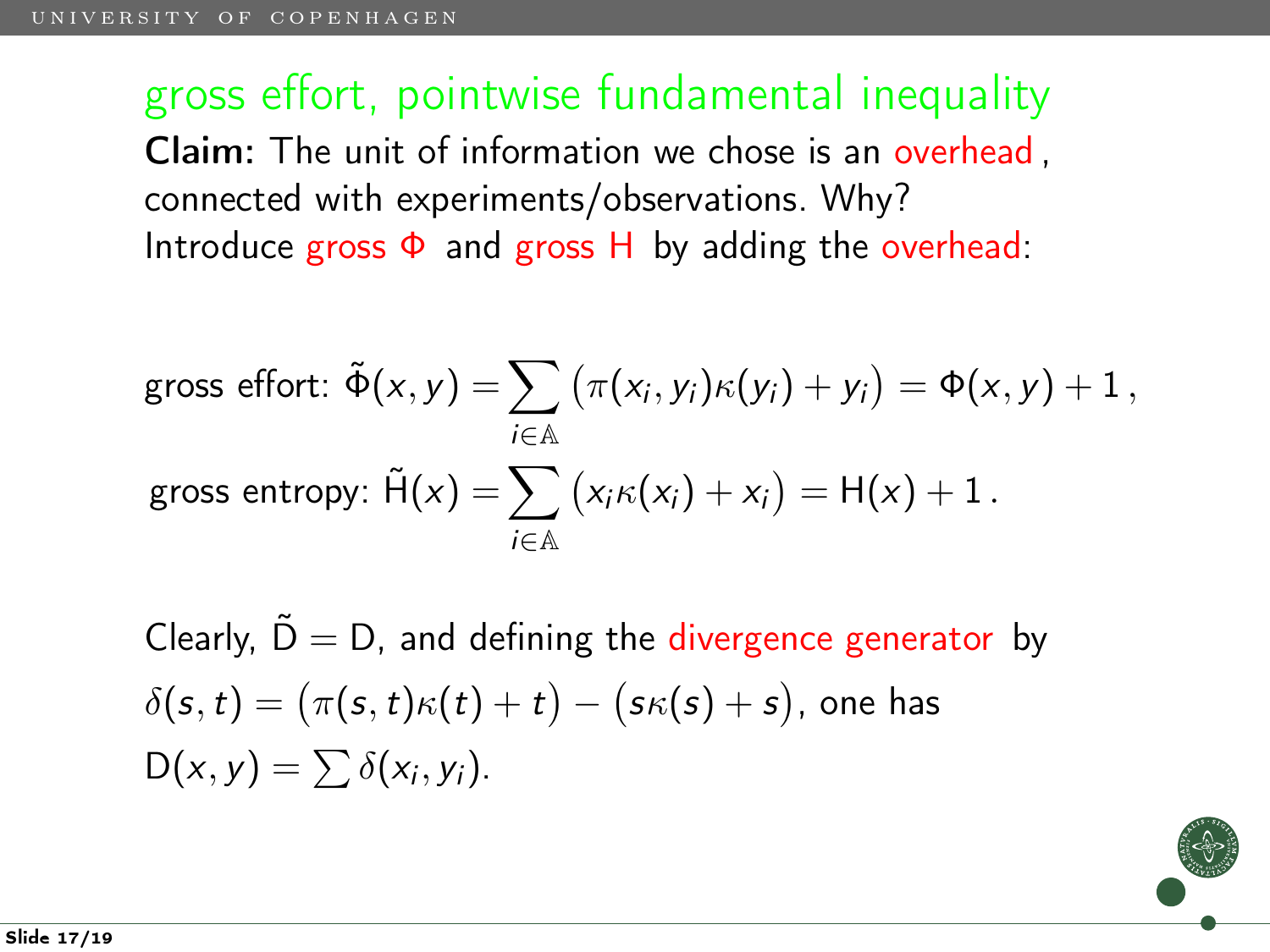gross effort: 
$$
\tilde{\Phi}(x, y) = \sum_{i \in \mathbb{A}} (\pi(x_i, y_i) \kappa(y_i) + y_i) = \Phi(x, y) + 1,
$$
  
gross entropy:  $\tilde{H}(x) = \sum_{i \in \mathbb{A}} (x_i \kappa(x_i) + x_i) = H(x) + 1.$ 

Clearly,  $\tilde{D} = D$ , and defining the divergence generator by  $\delta(\pmb{s},t)=(\pi(\pmb{s},t)\kappa(t)+t)-(\pmb{s}\kappa(\pmb{s})+\pmb{s}),$  one has  $D(x, y) = \sum \delta(x_i, y_i).$ 

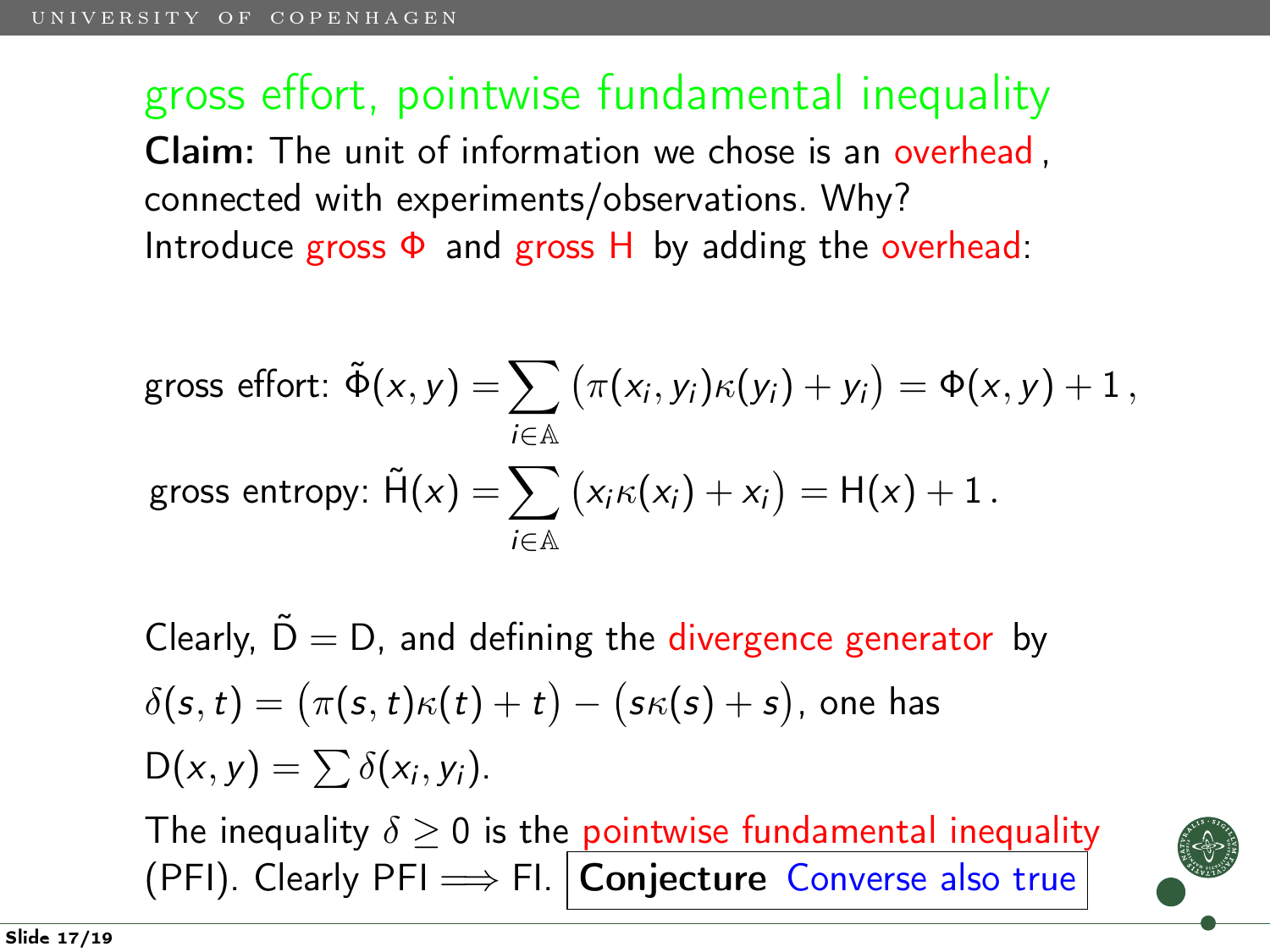gross effort: 
$$
\tilde{\Phi}(x, y) = \sum_{i \in \mathbb{A}} (\pi(x_i, y_i) \kappa(y_i) + y_i) = \Phi(x, y) + 1,
$$
  
gross entropy:  $\tilde{H}(x) = \sum_{i \in \mathbb{A}} (x_i \kappa(x_i) + x_i) = H(x) + 1.$ 

Clearly,  $\tilde{D} = D$ , and defining the divergence generator by  $\delta(\pmb{s},t)=(\pi(\pmb{s},t)\kappa(t)+t)-(\pmb{s}\kappa(\pmb{s})+\pmb{s}),$  one has  $D(x, y) = \sum \delta(x_i, y_i).$ 

The inequality  $\delta \geq 0$  is the pointwise fundamental inequality (PFI). Clearly PFI  $\Longrightarrow$  FI. Conjecture Converse also true

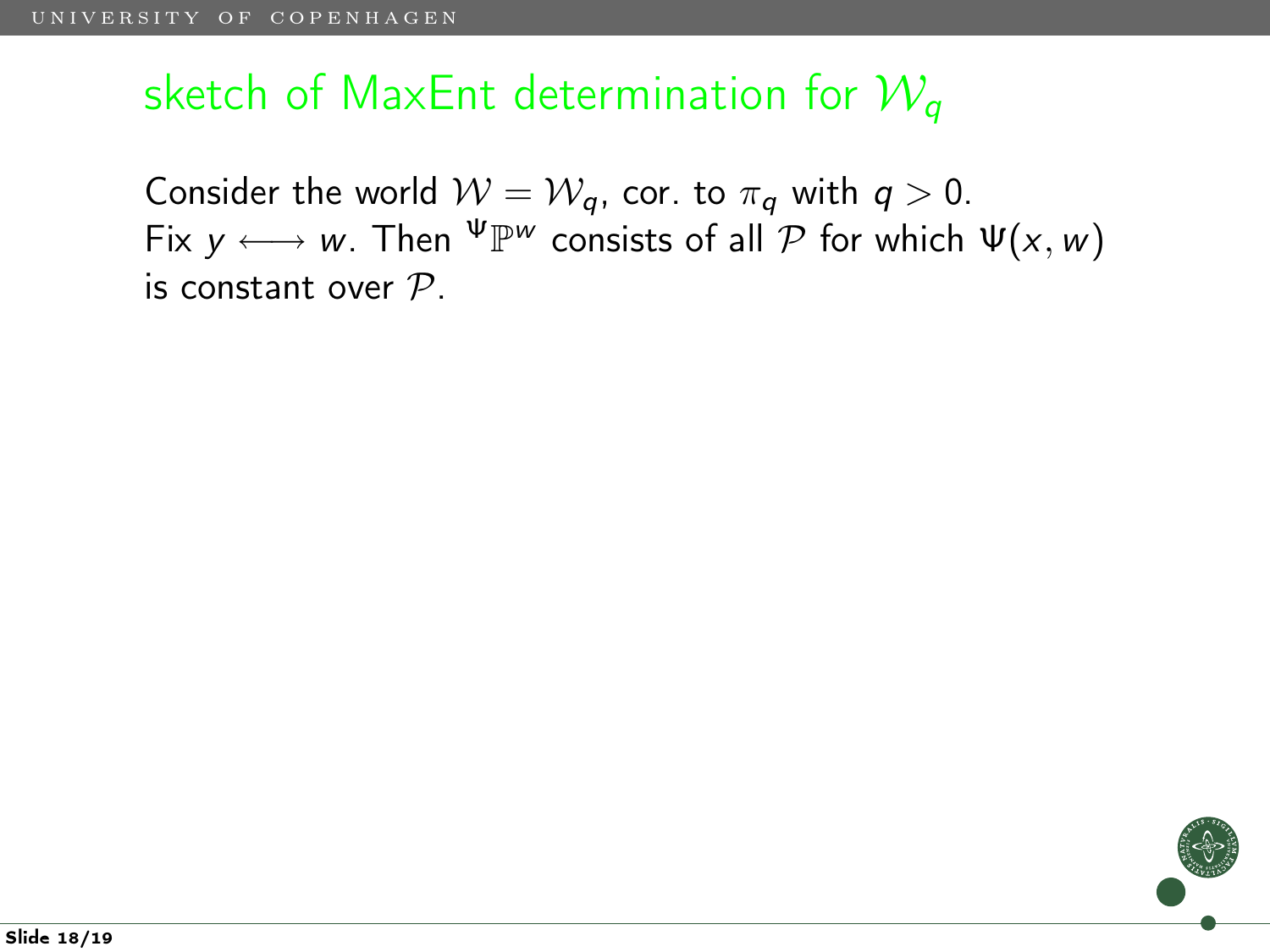## sketch of MaxEnt determination for  $\mathcal{W}_q$

Consider the world  $W = W_q$ , cor. to  $\pi_q$  with  $q > 0$ . Fix  $y \longleftrightarrow w$ . Then  $\Psi \mathbb{P}^w$  consists of all  $\mathcal P$  for which  $\Psi(x, w)$ is constant over  $P$ .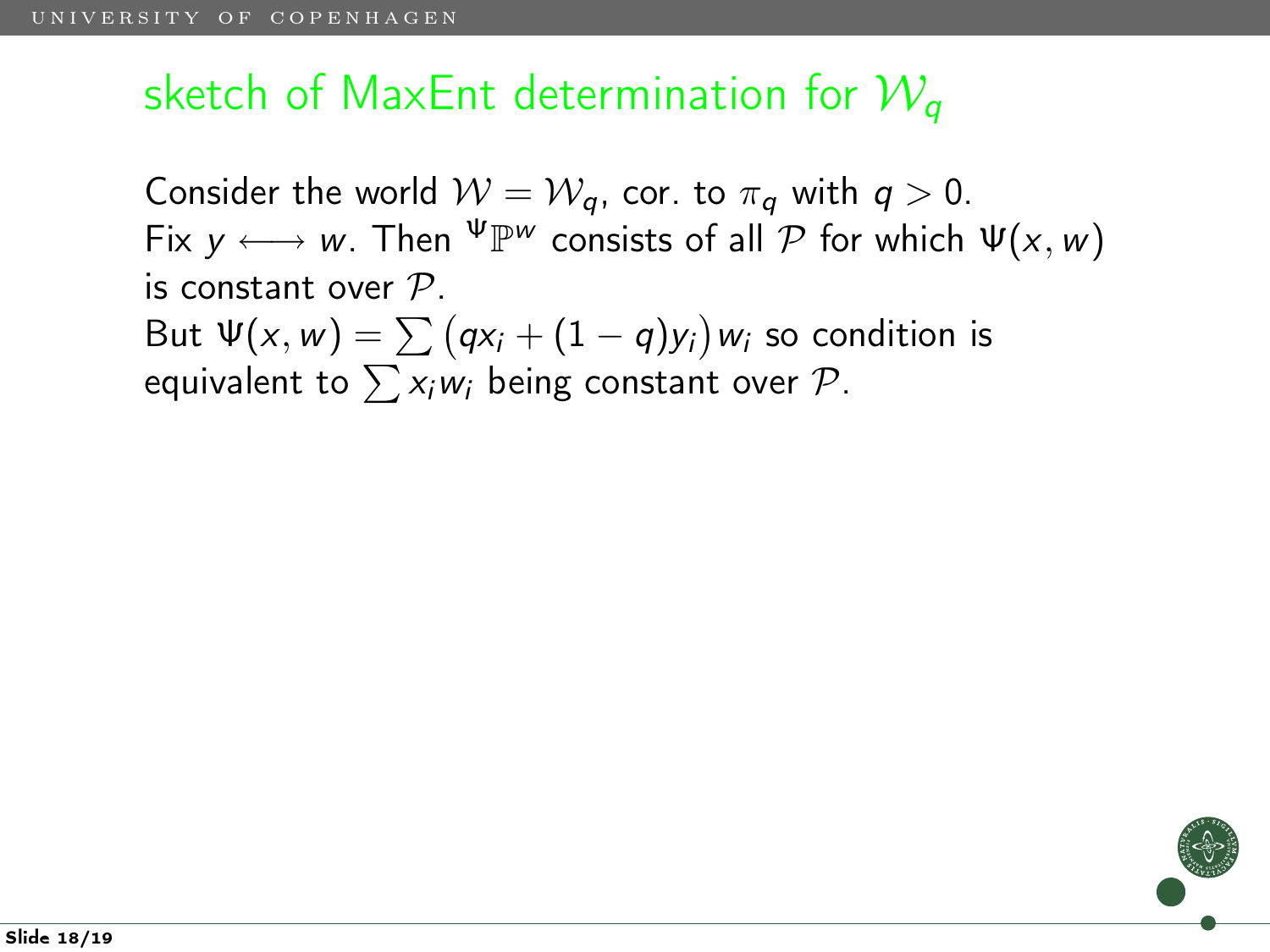## sketch of MaxEnt determination for  $\mathcal{W}_q$

Consider the world  $W = W_a$ , cor. to  $\pi_a$  with  $q > 0$ . Fix  $y \longleftrightarrow w$ . Then  $\Psi \mathbb{P}^w$  consists of all  $\mathcal P$  for which  $\Psi(x, w)$ is constant over  $P$ . But  $\Psi(x,w)=\sum\big(q\textsf{x}_i+(1-q)\textsf{y}_i\big)$ w $_i$  so condition is equivalent to  $\sum x_iw_i$  being constant over  $\mathcal{P}$ .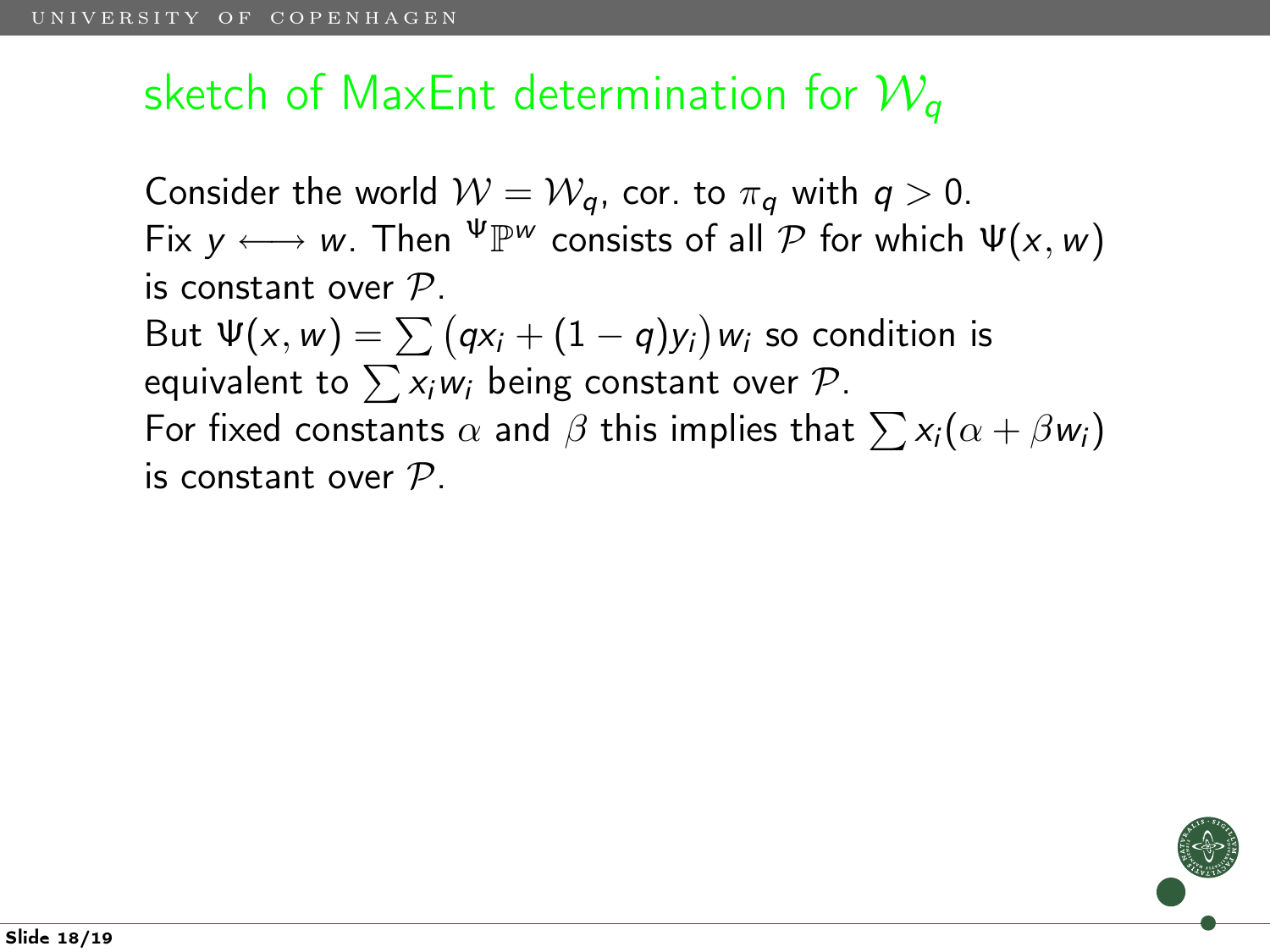## sketch of MaxEnt determination for  $W_a$

Consider the world  $W = W_a$ , cor. to  $\pi_a$  with  $q > 0$ . Fix  $y \longleftrightarrow w$ . Then  $\Psi \mathbb{P}^w$  consists of all  $\mathcal P$  for which  $\Psi(x, w)$ is constant over  $P$ . But  $\Psi(x,w)=\sum\big(q\textsf{x}_i+(1-q)\textsf{y}_i\big)$ w $_i$  so condition is equivalent to  $\sum x_iw_i$  being constant over  $\mathcal{P}$ . For fixed constants  $\alpha$  and  $\beta$  this implies that  $\sum x_i(\alpha + \beta w_i)$ is constant over  $P$ .

Slide 18/19

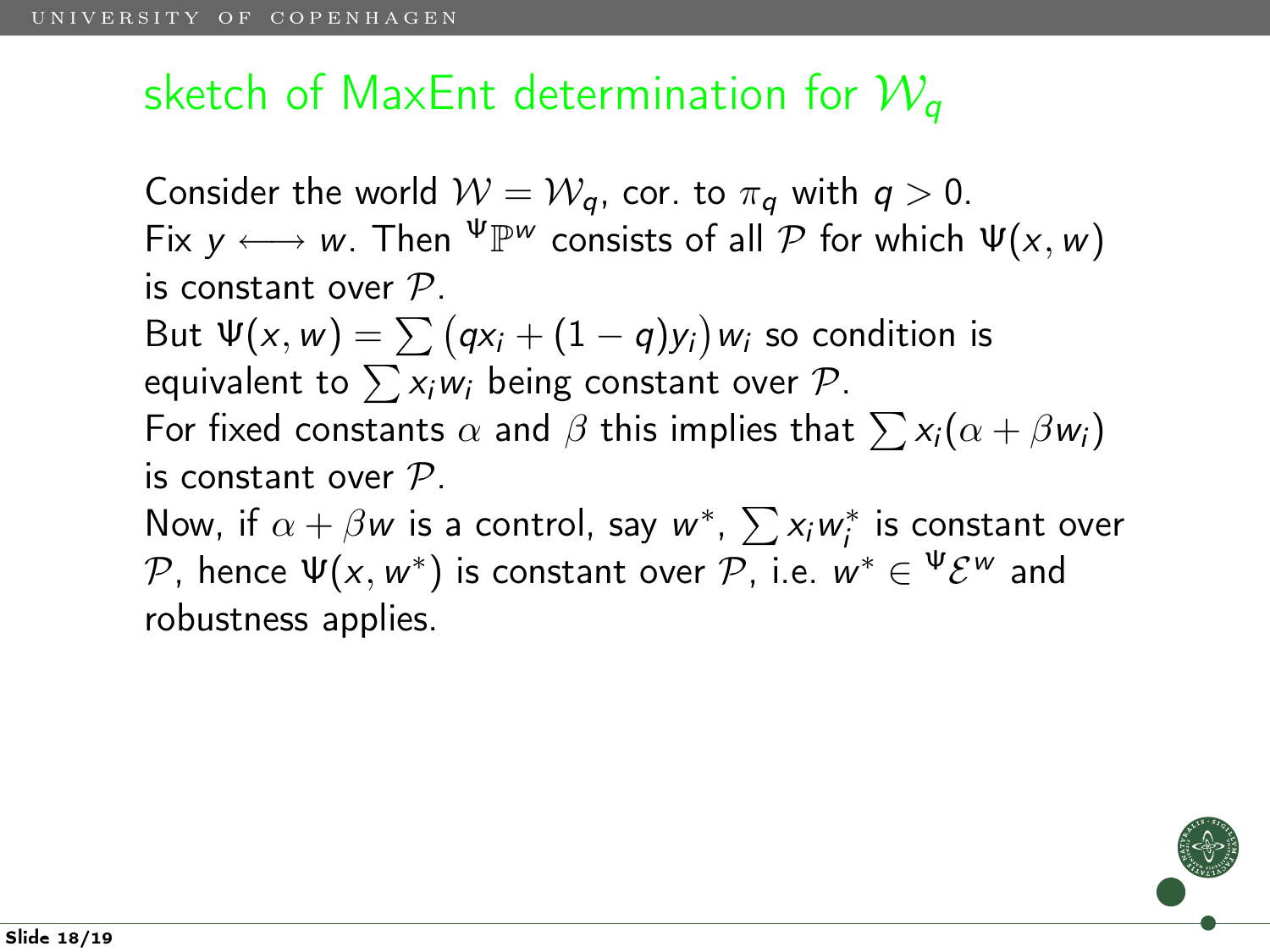## sketch of MaxEnt determination for  $W_a$

Consider the world  $W = W_a$ , cor. to  $\pi_a$  with  $q > 0$ . Fix  $y \longleftrightarrow w$ . Then  $\Psi \mathbb{P}^w$  consists of all  $\mathcal P$  for which  $\Psi(x, w)$ is constant over  $P$ . But  $\Psi(x,w)=\sum\big(q\textsf{x}_i+(1-q)\textsf{y}_i\big)$ w $_i$  so condition is equivalent to  $\sum x_i w_i$  being constant over  $\mathcal{P}$ . For fixed constants  $\alpha$  and  $\beta$  this implies that  $\sum x_i(\alpha + \beta w_i)$ is constant over  $P$ . Now, if  $\alpha + \beta w$  is a control, say  $w^*$ ,  $\sum x_iw_i^*$  is constant over  $\mathcal{P}.$  hence  $\Psi(x,w^*)$  is constant over  $\mathcal{P}.$  i.e.  $w^*\in {}^{\Psi}\mathcal{E}^w$  and robustness applies.

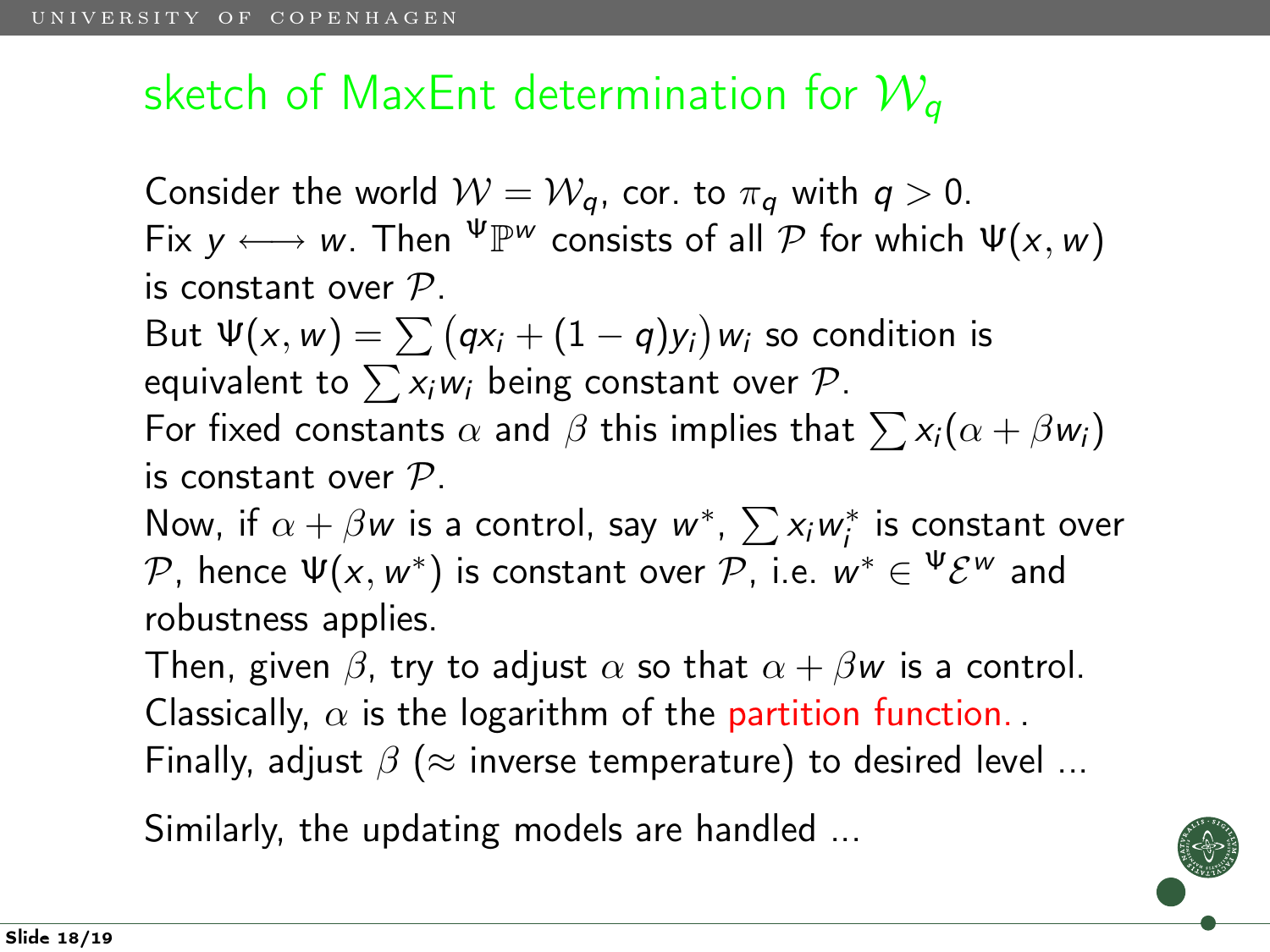## sketch of MaxEnt determination for  $W_a$

Consider the world  $W = W_a$ , cor. to  $\pi_a$  with  $q > 0$ . Fix  $y \longleftrightarrow w$ . Then  $\Psi \mathbb{P}^w$  consists of all  $\mathcal P$  for which  $\Psi(x, w)$ is constant over  $P$ . But  $\Psi(x,w)=\sum\big(q\textsf{x}_i+(1-q)\textsf{y}_i\big)$ w $_i$  so condition is equivalent to  $\sum x_i w_i$  being constant over  $\mathcal{P}$ . For fixed constants  $\alpha$  and  $\beta$  this implies that  $\sum x_i(\alpha + \beta w_i)$ is constant over  $P$ . Now, if  $\alpha + \beta w$  is a control, say  $w^*$ ,  $\sum x_iw_i^*$  is constant over  $\mathcal{P}.$  hence  $\Psi(x,w^*)$  is constant over  $\mathcal{P}.$  i.e.  $w^*\in {}^{\Psi}\mathcal{E}^w$  and robustness applies. Then, given  $\beta$ , try to adjust  $\alpha$  so that  $\alpha + \beta w$  is a control. Classically,  $\alpha$  is the logarithm of the partition function. Finally, adjust  $\beta$  ( $\approx$  inverse temperature) to desired level ...

Similarly, the updating models are handled ...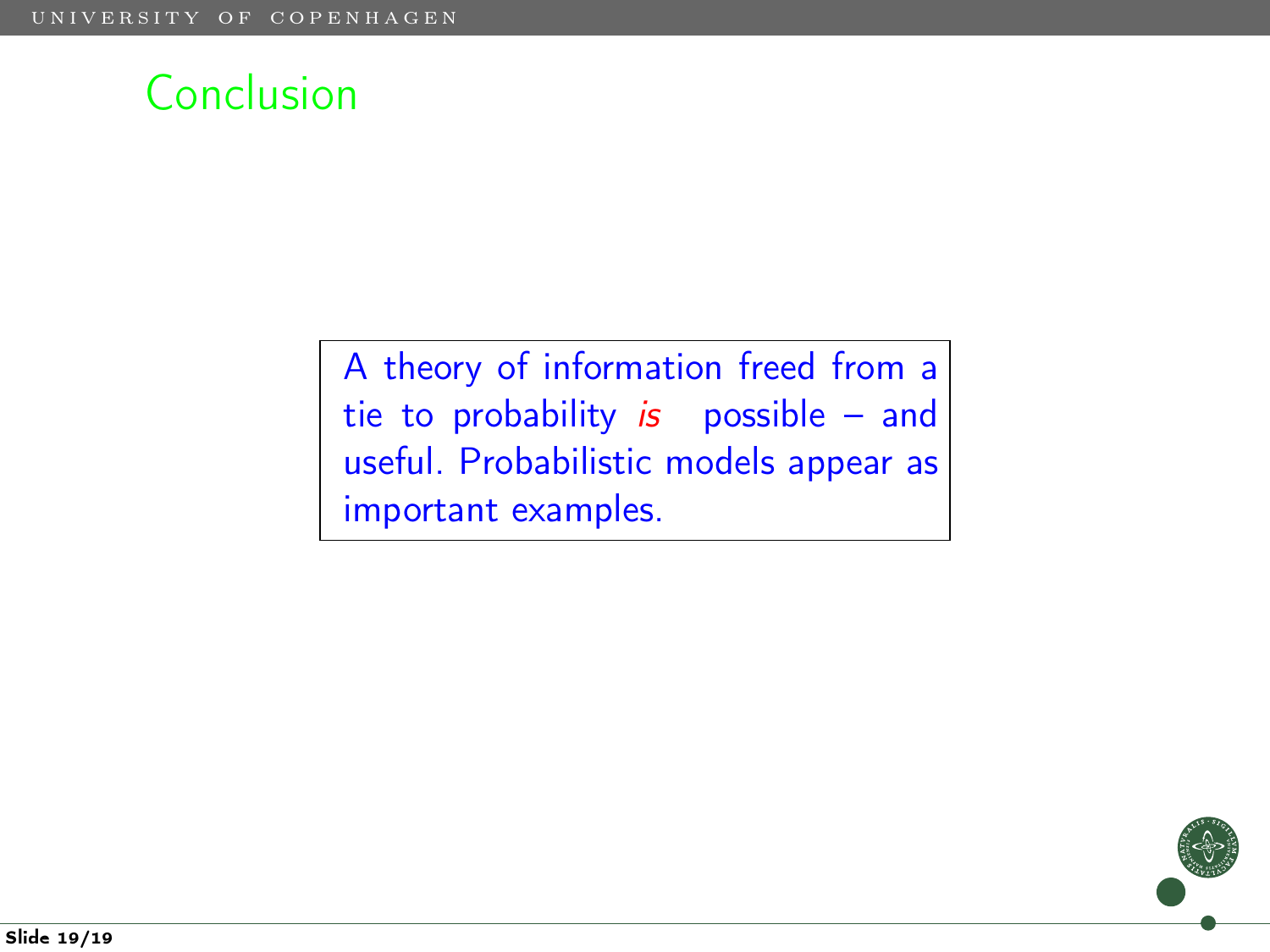

A theory of information freed from a tie to probability is possible  $-$  and useful. Probabilistic models appear as important examples.